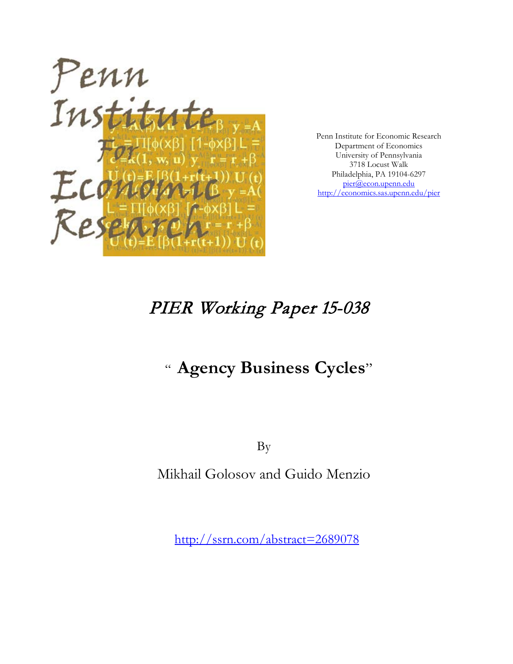

Penn Institute for Economic Research Department of Economics University of Pennsylvania 3718 Locust Walk Philadelphia, PA 19104-6297 [pier@econ.upenn.edu](mailto:pier@econ.upenn.edu) <http://economics.sas.upenn.edu/pier>

# PIER Working Paper 15-038

# " **Agency Business Cycles**"

By

Mikhail Golosov and Guido Menzio

[http://ssrn.com/abstract=2](http://ssrn.com/abstract_id=)689078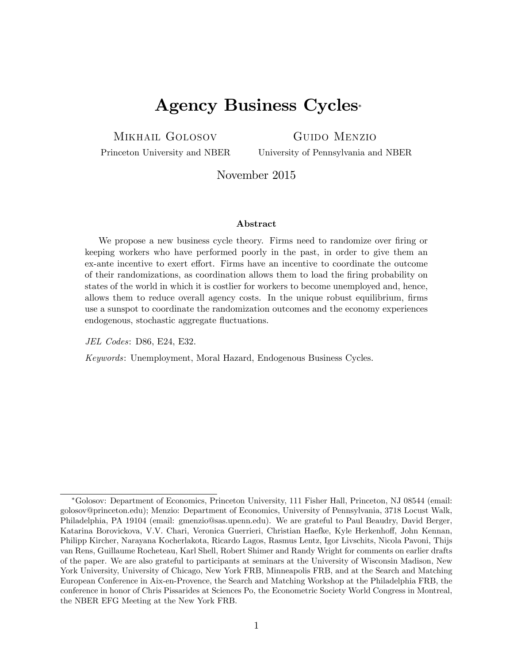## Agency Business Cycles

Mikhail Golosov

Guido Menzio

Princeton University and NBER

University of Pennsylvania and NBER

November 2015

#### Abstract

We propose a new business cycle theory. Firms need to randomize over firing or keeping workers who have performed poorly in the past, in order to give them an ex-ante incentive to exert effort. Firms have an incentive to coordinate the outcome of their randomizations, as coordination allows them to load the Öring probability on states of the world in which it is costlier for workers to become unemployed and, hence, allows them to reduce overall agency costs. In the unique robust equilibrium, firms use a sunspot to coordinate the randomization outcomes and the economy experiences endogenous, stochastic aggregate fluctuations.

JEL Codes: D86, E24, E32.

Keywords: Unemployment, Moral Hazard, Endogenous Business Cycles.

Golosov: Department of Economics, Princeton University, 111 Fisher Hall, Princeton, NJ 08544 (email: golosov@princeton.edu); Menzio: Department of Economics, University of Pennsylvania, 3718 Locust Walk, Philadelphia, PA 19104 (email: gmenzio@sas.upenn.edu). We are grateful to Paul Beaudry, David Berger, Katarina Borovickova, V.V. Chari, Veronica Guerrieri, Christian Haefke, Kyle Herkenhoff, John Kennan, Philipp Kircher, Narayana Kocherlakota, Ricardo Lagos, Rasmus Lentz, Igor Livschits, Nicola Pavoni, Thijs van Rens, Guillaume Rocheteau, Karl Shell, Robert Shimer and Randy Wright for comments on earlier drafts of the paper. We are also grateful to participants at seminars at the University of Wisconsin Madison, New York University, University of Chicago, New York FRB, Minneapolis FRB, and at the Search and Matching European Conference in Aix-en-Provence, the Search and Matching Workshop at the Philadelphia FRB, the conference in honor of Chris Pissarides at Sciences Po, the Econometric Society World Congress in Montreal, the NBER EFG Meeting at the New York FRB.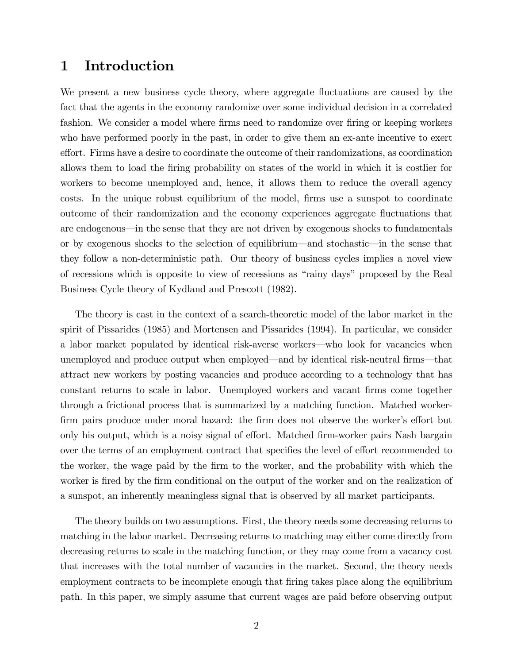## 1 Introduction

We present a new business cycle theory, where aggregate fluctuations are caused by the fact that the agents in the economy randomize over some individual decision in a correlated fashion. We consider a model where firms need to randomize over firing or keeping workers who have performed poorly in the past, in order to give them an ex-ante incentive to exert effort. Firms have a desire to coordinate the outcome of their randomizations, as coordination allows them to load the Öring probability on states of the world in which it is costlier for workers to become unemployed and, hence, it allows them to reduce the overall agency costs. In the unique robust equilibrium of the model, firms use a sunspot to coordinate outcome of their randomization and the economy experiences aggregate áuctuations that are endogenous—in the sense that they are not driven by exogenous shocks to fundamentals or by exogenous shocks to the selection of equilibrium—and stochastic—in the sense that they follow a non-deterministic path. Our theory of business cycles implies a novel view of recessions which is opposite to view of recessions as "rainy days" proposed by the Real Business Cycle theory of Kydland and Prescott (1982).

The theory is cast in the context of a search-theoretic model of the labor market in the spirit of Pissarides (1985) and Mortensen and Pissarides (1994). In particular, we consider a labor market populated by identical risk-averse workers—who look for vacancies when unemployed and produce output when employed—and by identical risk-neutral firms—that attract new workers by posting vacancies and produce according to a technology that has constant returns to scale in labor. Unemployed workers and vacant firms come together through a frictional process that is summarized by a matching function. Matched workerfirm pairs produce under moral hazard: the firm does not observe the worker's effort but only his output, which is a noisy signal of effort. Matched firm-worker pairs Nash bargain over the terms of an employment contract that specifies the level of effort recommended to the worker, the wage paid by the Örm to the worker, and the probability with which the worker is fired by the firm conditional on the output of the worker and on the realization of a sunspot, an inherently meaningless signal that is observed by all market participants.

The theory builds on two assumptions. First, the theory needs some decreasing returns to matching in the labor market. Decreasing returns to matching may either come directly from decreasing returns to scale in the matching function, or they may come from a vacancy cost that increases with the total number of vacancies in the market. Second, the theory needs employment contracts to be incomplete enough that firing takes place along the equilibrium path. In this paper, we simply assume that current wages are paid before observing output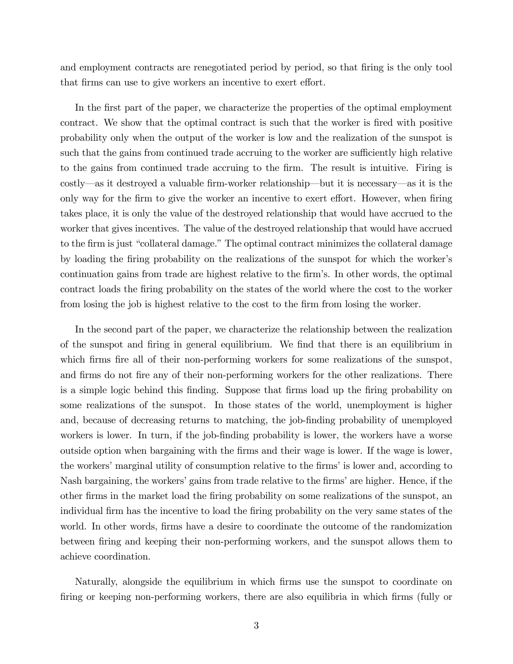and employment contracts are renegotiated period by period, so that firing is the only tool that firms can use to give workers an incentive to exert effort.

In the first part of the paper, we characterize the properties of the optimal employment contract. We show that the optimal contract is such that the worker is fired with positive probability only when the output of the worker is low and the realization of the sunspot is such that the gains from continued trade accruing to the worker are sufficiently high relative to the gains from continued trade accruing to the Örm. The result is intuitive. Firing is costly—as it destroyed a valuable firm-worker relationship—but it is necessary—as it is the only way for the firm to give the worker an incentive to exert effort. However, when firing takes place, it is only the value of the destroyed relationship that would have accrued to the worker that gives incentives. The value of the destroyed relationship that would have accrued to the firm is just "collateral damage." The optimal contract minimizes the collateral damage by loading the Öring probability on the realizations of the sunspot for which the workerís continuation gains from trade are highest relative to the firm's. In other words, the optimal contract loads the Öring probability on the states of the world where the cost to the worker from losing the job is highest relative to the cost to the firm from losing the worker.

In the second part of the paper, we characterize the relationship between the realization of the sunspot and Öring in general equilibrium. We Önd that there is an equilibrium in which firms fire all of their non-performing workers for some realizations of the sunspot, and firms do not fire any of their non-performing workers for the other realizations. There is a simple logic behind this finding. Suppose that firms load up the firing probability on some realizations of the sunspot. In those states of the world, unemployment is higher and, because of decreasing returns to matching, the job-finding probability of unemployed workers is lower. In turn, if the job-finding probability is lower, the workers have a worse outside option when bargaining with the Örms and their wage is lower. If the wage is lower, the workers' marginal utility of consumption relative to the firms' is lower and, according to Nash bargaining, the workers' gains from trade relative to the firms' are higher. Hence, if the other firms in the market load the firing probability on some realizations of the sunspot, an individual firm has the incentive to load the firing probability on the very same states of the world. In other words, firms have a desire to coordinate the outcome of the randomization between firing and keeping their non-performing workers, and the sunspot allows them to achieve coordination.

Naturally, alongside the equilibrium in which Örms use the sunspot to coordinate on firing or keeping non-performing workers, there are also equilibria in which firms (fully or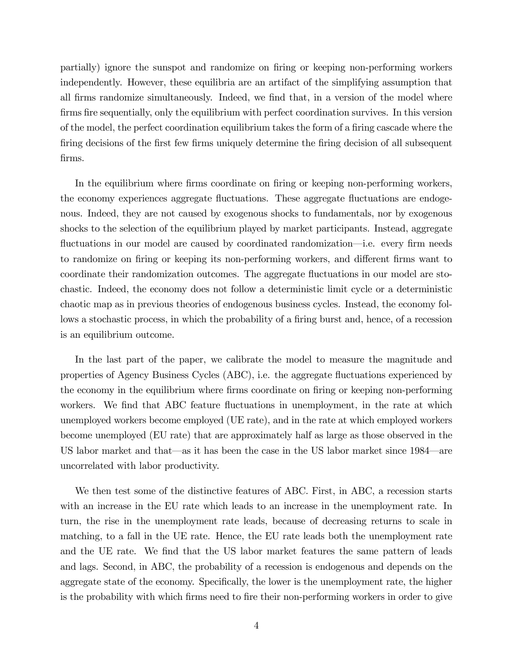partially) ignore the sunspot and randomize on Öring or keeping non-performing workers independently. However, these equilibria are an artifact of the simplifying assumption that all firms randomize simultaneously. Indeed, we find that, in a version of the model where firms fire sequentially, only the equilibrium with perfect coordination survives. In this version of the model, the perfect coordination equilibrium takes the form of a firing cascade where the firing decisions of the first few firms uniquely determine the firing decision of all subsequent firms.

In the equilibrium where firms coordinate on firing or keeping non-performing workers, the economy experiences aggregate áuctuations. These aggregate áuctuations are endogenous. Indeed, they are not caused by exogenous shocks to fundamentals, nor by exogenous shocks to the selection of the equilibrium played by market participants. Instead, aggregate fluctuations in our model are caused by coordinated randomization—i.e. every firm needs to randomize on firing or keeping its non-performing workers, and different firms want to coordinate their randomization outcomes. The aggregate áuctuations in our model are stochastic. Indeed, the economy does not follow a deterministic limit cycle or a deterministic chaotic map as in previous theories of endogenous business cycles. Instead, the economy follows a stochastic process, in which the probability of a firing burst and, hence, of a recession is an equilibrium outcome.

In the last part of the paper, we calibrate the model to measure the magnitude and properties of Agency Business Cycles (ABC), i.e. the aggregate áuctuations experienced by the economy in the equilibrium where firms coordinate on firing or keeping non-performing workers. We find that ABC feature fluctuations in unemployment, in the rate at which unemployed workers become employed (UE rate), and in the rate at which employed workers become unemployed (EU rate) that are approximately half as large as those observed in the US labor market and that—as it has been the case in the US labor market since  $1984$ —are uncorrelated with labor productivity.

We then test some of the distinctive features of ABC. First, in ABC, a recession starts with an increase in the EU rate which leads to an increase in the unemployment rate. In turn, the rise in the unemployment rate leads, because of decreasing returns to scale in matching, to a fall in the UE rate. Hence, the EU rate leads both the unemployment rate and the UE rate. We find that the US labor market features the same pattern of leads and lags. Second, in ABC, the probability of a recession is endogenous and depends on the aggregate state of the economy. Specifically, the lower is the unemployment rate, the higher is the probability with which firms need to fire their non-performing workers in order to give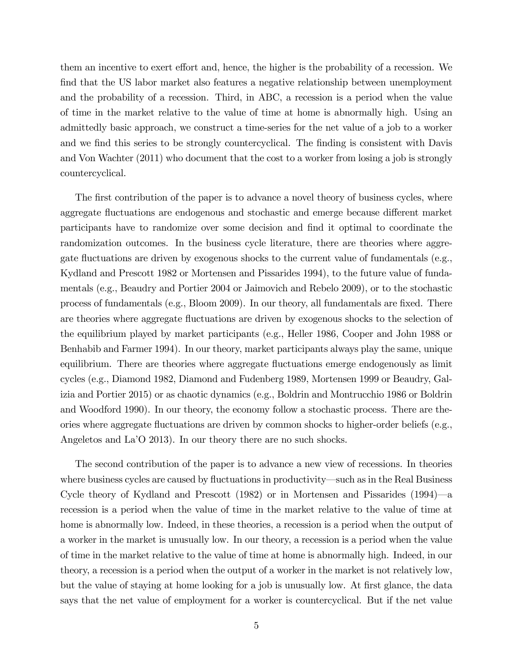them an incentive to exert effort and, hence, the higher is the probability of a recession. We find that the US labor market also features a negative relationship between unemployment and the probability of a recession. Third, in ABC, a recession is a period when the value of time in the market relative to the value of time at home is abnormally high. Using an admittedly basic approach, we construct a time-series for the net value of a job to a worker and we find this series to be strongly countercyclical. The finding is consistent with Davis and Von Wachter (2011) who document that the cost to a worker from losing a job is strongly countercyclical.

The first contribution of the paper is to advance a novel theory of business cycles, where aggregate fluctuations are endogenous and stochastic and emerge because different market participants have to randomize over some decision and find it optimal to coordinate the randomization outcomes. In the business cycle literature, there are theories where aggregate fluctuations are driven by exogenous shocks to the current value of fundamentals (e.g., Kydland and Prescott 1982 or Mortensen and Pissarides 1994), to the future value of fundamentals (e.g., Beaudry and Portier 2004 or Jaimovich and Rebelo 2009), or to the stochastic process of fundamentals (e.g., Bloom 2009). In our theory, all fundamentals are fixed. There are theories where aggregate fluctuations are driven by exogenous shocks to the selection of the equilibrium played by market participants (e.g., Heller 1986, Cooper and John 1988 or Benhabib and Farmer 1994). In our theory, market participants always play the same, unique equilibrium. There are theories where aggregate fluctuations emerge endogenously as limit cycles (e.g., Diamond 1982, Diamond and Fudenberg 1989, Mortensen 1999 or Beaudry, Galizia and Portier 2015) or as chaotic dynamics (e.g., Boldrin and Montrucchio 1986 or Boldrin and Woodford 1990). In our theory, the economy follow a stochastic process. There are theories where aggregate fluctuations are driven by common shocks to higher-order beliefs (e.g., Angeletos and La<sup>'</sup>O 2013). In our theory there are no such shocks.

The second contribution of the paper is to advance a new view of recessions. In theories where business cycles are caused by fluctuations in productivity—such as in the Real Business Cycle theory of Kydland and Prescott  $(1982)$  or in Mortensen and Pissarides  $(1994)$ —a recession is a period when the value of time in the market relative to the value of time at home is abnormally low. Indeed, in these theories, a recession is a period when the output of a worker in the market is unusually low. In our theory, a recession is a period when the value of time in the market relative to the value of time at home is abnormally high. Indeed, in our theory, a recession is a period when the output of a worker in the market is not relatively low, but the value of staying at home looking for a job is unusually low. At first glance, the data says that the net value of employment for a worker is countercyclical. But if the net value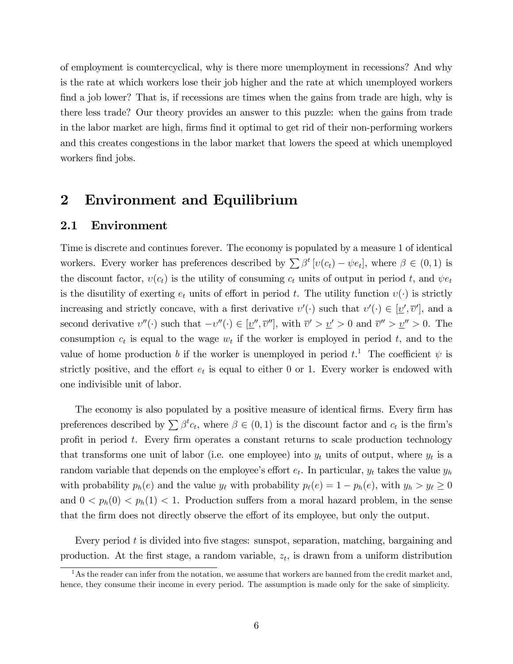of employment is countercyclical, why is there more unemployment in recessions? And why is the rate at which workers lose their job higher and the rate at which unemployed workers find a job lower? That is, if recessions are times when the gains from trade are high, why is there less trade? Our theory provides an answer to this puzzle: when the gains from trade in the labor market are high, firms find it optimal to get rid of their non-performing workers and this creates congestions in the labor market that lowers the speed at which unemployed workers find jobs.

### 2 Environment and Equilibrium

### 2.1 Environment

Time is discrete and continues forever. The economy is populated by a measure 1 of identical workers. Every worker has preferences described by  $\sum \beta^t [v(c_t) - \psi e_t]$ , where  $\beta \in (0, 1)$  is the discount factor,  $v(c_t)$  is the utility of consuming  $c_t$  units of output in period t, and  $\psi e_t$ is the disutility of exerting  $e_t$  units of effort in period t. The utility function  $v(\cdot)$  is strictly increasing and strictly concave, with a first derivative  $v'(\cdot)$  such that  $v'(\cdot) \in [\underline{v}', \overline{v}']$ , and a second derivative  $v''(\cdot)$  such that  $-v''(\cdot) \in [\underline{v}'', \overline{v}''],$  with  $\overline{v}' > \underline{v}' > 0$  and  $\overline{v}'' > \underline{v}'' > 0$ . The consumption  $c_t$  is equal to the wage  $w_t$  if the worker is employed in period t, and to the value of home production b if the worker is unemployed in period  $t$ <sup>1</sup>. The coefficient  $\psi$  is strictly positive, and the effort  $e_t$  is equal to either 0 or 1. Every worker is endowed with one indivisible unit of labor.

The economy is also populated by a positive measure of identical firms. Every firm has preferences described by  $\sum \beta^t c_t$ , where  $\beta \in (0,1)$  is the discount factor and  $c_t$  is the firm's profit in period  $t$ . Every firm operates a constant returns to scale production technology that transforms one unit of labor (i.e. one employee) into  $y_t$  units of output, where  $y_t$  is a random variable that depends on the employee's effort  $e_t$ . In particular,  $y_t$  takes the value  $y_h$ with probability  $p_h(e)$  and the value  $y_\ell$  with probability  $p_\ell(e) = 1 - p_h(e)$ , with  $y_h > y_\ell \ge 0$ and  $0 < p_h(0) < p_h(1) < 1$ . Production suffers from a moral hazard problem, in the sense that the firm does not directly observe the effort of its employee, but only the output.

Every period  $t$  is divided into five stages: sunspot, separation, matching, bargaining and production. At the first stage, a random variable,  $z_t$ , is drawn from a uniform distribution

 $1<sup>1</sup>$ As the reader can infer from the notation, we assume that workers are banned from the credit market and, hence, they consume their income in every period. The assumption is made only for the sake of simplicity.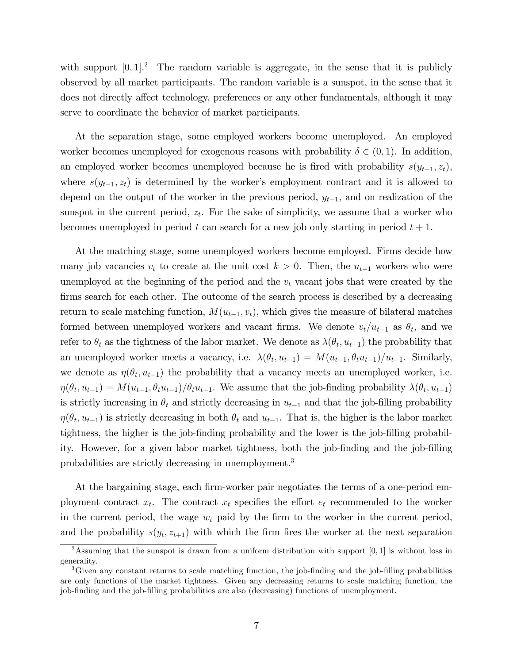with support  $[0, 1]$ . The random variable is aggregate, in the sense that it is publicly observed by all market participants. The random variable is a sunspot, in the sense that it does not directly affect technology, preferences or any other fundamentals, although it may serve to coordinate the behavior of market participants.

At the separation stage, some employed workers become unemployed. An employed worker becomes unemployed for exogenous reasons with probability  $\delta \in (0,1)$ . In addition, an employed worker becomes unemployed because he is fired with probability  $s(y_{t-1}, z_t)$ , where  $s(y_{t-1}, z_t)$  is determined by the worker's employment contract and it is allowed to depend on the output of the worker in the previous period,  $y_{t-1}$ , and on realization of the sunspot in the current period,  $z_t$ . For the sake of simplicity, we assume that a worker who becomes unemployed in period t can search for a new job only starting in period  $t + 1$ .

At the matching stage, some unemployed workers become employed. Firms decide how many job vacancies  $v_t$  to create at the unit cost  $k > 0$ . Then, the  $u_{t-1}$  workers who were unemployed at the beginning of the period and the  $v_t$  vacant jobs that were created by the firms search for each other. The outcome of the search process is described by a decreasing return to scale matching function,  $M(u_{t-1}, v_t)$ , which gives the measure of bilateral matches formed between unemployed workers and vacant firms. We denote  $v_t/u_{t-1}$  as  $\theta_t$ , and we refer to  $\theta_t$  as the tightness of the labor market. We denote as  $\lambda(\theta_t, u_{t-1})$  the probability that an unemployed worker meets a vacancy, i.e.  $\lambda(\theta_t, u_{t-1}) = M(u_{t-1}, \theta_t u_{t-1})/u_{t-1}$ . Similarly, we denote as  $\eta(\theta_t, u_{t-1})$  the probability that a vacancy meets an unemployed worker, i.e.  $\eta(\theta_t, u_{t-1}) = M(u_{t-1}, \theta_t u_{t-1})/\theta_t u_{t-1}$ . We assume that the job-finding probability  $\lambda(\theta_t, u_{t-1})$ is strictly increasing in  $\theta_t$  and strictly decreasing in  $u_{t-1}$  and that the job-filling probability  $\eta(\theta_t, u_{t-1})$  is strictly decreasing in both  $\theta_t$  and  $u_{t-1}$ . That is, the higher is the labor market tightness, the higher is the job-finding probability and the lower is the job-filling probability. However, for a given labor market tightness, both the job-finding and the job-filling probabilities are strictly decreasing in unemployment.<sup>3</sup>

At the bargaining stage, each firm-worker pair negotiates the terms of a one-period employment contract  $x_t$ . The contract  $x_t$  specifies the effort  $e_t$  recommended to the worker in the current period, the wage  $w_t$  paid by the firm to the worker in the current period, and the probability  $s(y_t, z_{t+1})$  with which the firm fires the worker at the next separation

<sup>&</sup>lt;sup>2</sup>Assuming that the sunspot is drawn from a uniform distribution with support [0, 1] is without loss in generality.

<sup>&</sup>lt;sup>3</sup>Given any constant returns to scale matching function, the job-finding and the job-filling probabilities are only functions of the market tightness. Given any decreasing returns to scale matching function, the job-finding and the job-filling probabilities are also (decreasing) functions of unemployment.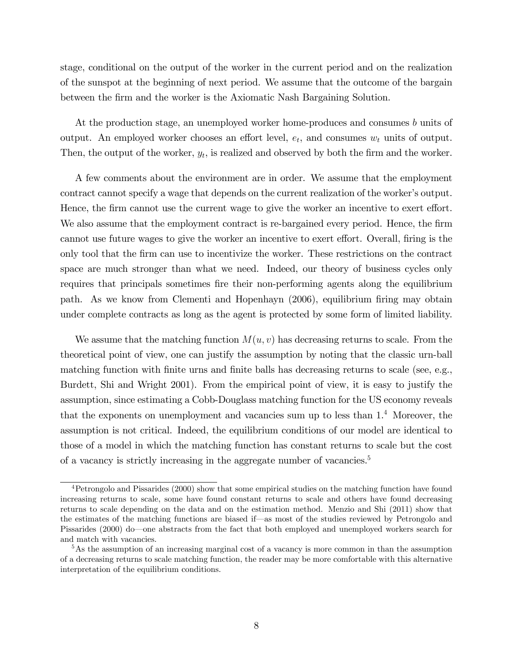stage, conditional on the output of the worker in the current period and on the realization of the sunspot at the beginning of next period. We assume that the outcome of the bargain between the Örm and the worker is the Axiomatic Nash Bargaining Solution.

At the production stage, an unemployed worker home-produces and consumes b units of output. An employed worker chooses an effort level,  $e_t$ , and consumes  $w_t$  units of output. Then, the output of the worker,  $y_t$ , is realized and observed by both the firm and the worker.

A few comments about the environment are in order. We assume that the employment contract cannot specify a wage that depends on the current realization of the worker's output. Hence, the firm cannot use the current wage to give the worker an incentive to exert effort. We also assume that the employment contract is re-bargained every period. Hence, the firm cannot use future wages to give the worker an incentive to exert effort. Overall, firing is the only tool that the Örm can use to incentivize the worker. These restrictions on the contract space are much stronger than what we need. Indeed, our theory of business cycles only requires that principals sometimes fire their non-performing agents along the equilibrium path. As we know from Clementi and Hopenhayn (2006), equilibrium firing may obtain under complete contracts as long as the agent is protected by some form of limited liability.

We assume that the matching function  $M(u, v)$  has decreasing returns to scale. From the theoretical point of view, one can justify the assumption by noting that the classic urn-ball matching function with finite urns and finite balls has decreasing returns to scale (see, e.g., Burdett, Shi and Wright 2001). From the empirical point of view, it is easy to justify the assumption, since estimating a Cobb-Douglass matching function for the US economy reveals that the exponents on unemployment and vacancies sum up to less than  $1<sup>4</sup>$  Moreover, the assumption is not critical. Indeed, the equilibrium conditions of our model are identical to those of a model in which the matching function has constant returns to scale but the cost of a vacancy is strictly increasing in the aggregate number of vacancies.<sup>5</sup>

<sup>4</sup>Petrongolo and Pissarides (2000) show that some empirical studies on the matching function have found increasing returns to scale, some have found constant returns to scale and others have found decreasing returns to scale depending on the data and on the estimation method. Menzio and Shi (2011) show that the estimates of the matching functions are biased if—as most of the studies reviewed by Petrongolo and Pissarides (2000) do—one abstracts from the fact that both employed and unemployed workers search for and match with vacancies.

<sup>&</sup>lt;sup>5</sup>As the assumption of an increasing marginal cost of a vacancy is more common in than the assumption of a decreasing returns to scale matching function, the reader may be more comfortable with this alternative interpretation of the equilibrium conditions.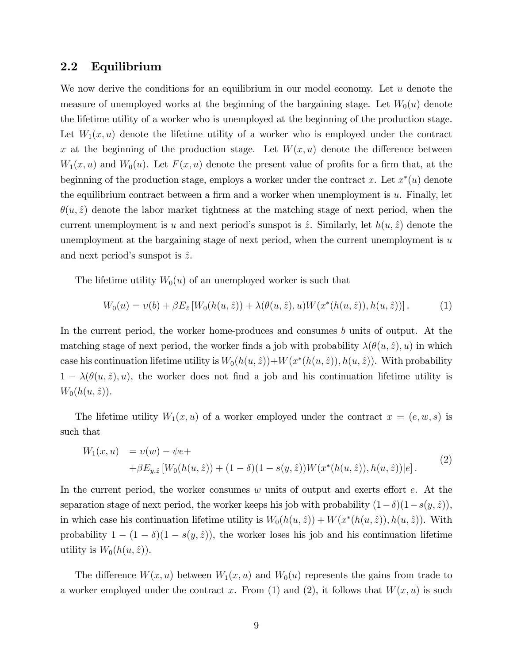### 2.2 Equilibrium

We now derive the conditions for an equilibrium in our model economy. Let  $u$  denote the measure of unemployed works at the beginning of the bargaining stage. Let  $W_0(u)$  denote the lifetime utility of a worker who is unemployed at the beginning of the production stage. Let  $W_1(x, u)$  denote the lifetime utility of a worker who is employed under the contract x at the beginning of the production stage. Let  $W(x, u)$  denote the difference between  $W_1(x, u)$  and  $W_0(u)$ . Let  $F(x, u)$  denote the present value of profits for a firm that, at the beginning of the production stage, employs a worker under the contract x. Let  $x^*(u)$  denote the equilibrium contract between a firm and a worker when unemployment is  $u$ . Finally, let  $\theta(u, \hat{z})$  denote the labor market tightness at the matching stage of next period, when the current unemployment is u and next period's sunspot is  $\hat{z}$ . Similarly, let  $h(u, \hat{z})$  denote the unemployment at the bargaining stage of next period, when the current unemployment is  $u$ and next period's sunspot is  $\hat{z}$ .

The lifetime utility  $W_0(u)$  of an unemployed worker is such that

$$
W_0(u) = v(b) + \beta E_{\hat{z}} \left[ W_0(h(u, \hat{z})) + \lambda(\theta(u, \hat{z}), u) W(x^*(h(u, \hat{z})), h(u, \hat{z})) \right]. \tag{1}
$$

In the current period, the worker home-produces and consumes b units of output. At the matching stage of next period, the worker finds a job with probability  $\lambda(\theta(u, \hat{z}), u)$  in which case his continuation lifetime utility is  $W_0(h(u, \hat{z})) + W(x^*(h(u, \hat{z})), h(u, \hat{z}))$ . With probability  $1 - \lambda(\theta(u, \hat{z}), u)$ , the worker does not find a job and his continuation lifetime utility is  $W_0(h(u, \hat{z}))$ .

The lifetime utility  $W_1(x, u)$  of a worker employed under the contract  $x = (e, w, s)$  is such that

$$
W_1(x, u) = v(w) - \psi e ++ \beta E_{y, \hat{z}} [W_0(h(u, \hat{z})) + (1 - \delta)(1 - s(y, \hat{z})) W(x^*(h(u, \hat{z})), h(u, \hat{z}))|e].
$$
\n(2)

In the current period, the worker consumes  $w$  units of output and exerts effort  $e$ . At the separation stage of next period, the worker keeps his job with probability  $(1-\delta)(1-s(y,\hat z))$ , in which case his continuation lifetime utility is  $W_0(h(u, \hat{z})) + W(x^*(h(u, \hat{z})), h(u, \hat{z}))$ . With probability  $1 - (1 - \delta)(1 - s(y, \hat{z}))$ , the worker loses his job and his continuation lifetime utility is  $W_0(h(u, \hat{z}))$ .

The difference  $W(x, u)$  between  $W_1(x, u)$  and  $W_0(u)$  represents the gains from trade to a worker employed under the contract x. From (1) and (2), it follows that  $W(x, u)$  is such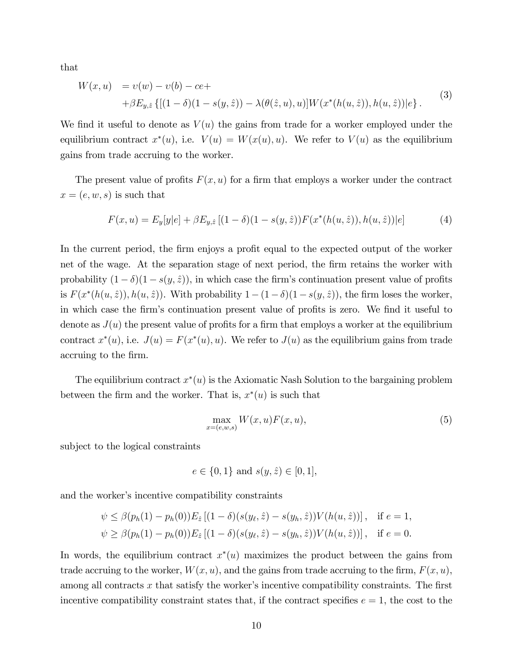that

$$
W(x, u) = v(w) - v(b) - ce ++ \beta E_{y, \hat{z}} \{ [(1 - \delta)(1 - s(y, \hat{z})) - \lambda(\theta(\hat{z}, u), u)] W(x^*(h(u, \hat{z})), h(u, \hat{z})) | e \}.
$$
 (3)

We find it useful to denote as  $V(u)$  the gains from trade for a worker employed under the equilibrium contract  $x^*(u)$ , i.e.  $V(u) = W(x(u), u)$ . We refer to  $V(u)$  as the equilibrium gains from trade accruing to the worker.

The present value of profits  $F(x, u)$  for a firm that employs a worker under the contract  $x = (e, w, s)$  is such that

$$
F(x, u) = E_y[y|e] + \beta E_{y, \hat{z}} [(1 - \delta)(1 - s(y, \hat{z})) F(x^*(h(u, \hat{z})), h(u, \hat{z}))|e]
$$
(4)

In the current period, the firm enjoys a profit equal to the expected output of the worker net of the wage. At the separation stage of next period, the firm retains the worker with probability  $(1 - \delta)(1 - s(y, \hat{z}))$ , in which case the firm's continuation present value of profits is  $F(x^*(h(u, \hat{z})), h(u, \hat{z}))$ . With probability  $1 - (1 - \delta)(1 - s(y, \hat{z}))$ , the firm loses the worker, in which case the firm's continuation present value of profits is zero. We find it useful to denote as  $J(u)$  the present value of profits for a firm that employs a worker at the equilibrium contract  $x^*(u)$ , i.e.  $J(u) = F(x^*(u), u)$ . We refer to  $J(u)$  as the equilibrium gains from trade accruing to the firm.

The equilibrium contract  $x^*(u)$  is the Axiomatic Nash Solution to the bargaining problem between the firm and the worker. That is,  $x^*(u)$  is such that

$$
\max_{x=(e,w,s)} W(x,u)F(x,u),\tag{5}
$$

subject to the logical constraints

$$
e \in \{0, 1\} \text{ and } s(y, \hat{z}) \in [0, 1],
$$

and the worker's incentive compatibility constraints

$$
\psi \leq \beta(p_h(1) - p_h(0))E_{\hat{z}}[(1 - \delta)(s(y_{\ell}, \hat{z}) - s(y_h, \hat{z}))V(h(u, \hat{z}))], \text{ if } e = 1,
$$
  

$$
\psi \geq \beta(p_h(1) - p_h(0))E_{\hat{z}}[(1 - \delta)(s(y_{\ell}, \hat{z}) - s(y_h, \hat{z}))V(h(u, \hat{z}))], \text{ if } e = 0.
$$

In words, the equilibrium contract  $x^*(u)$  maximizes the product between the gains from trade accruing to the worker,  $W(x, u)$ , and the gains from trade accruing to the firm,  $F(x, u)$ , among all contracts  $x$  that satisfy the worker's incentive compatibility constraints. The first incentive compatibility constraint states that, if the contract specifies  $e = 1$ , the cost to the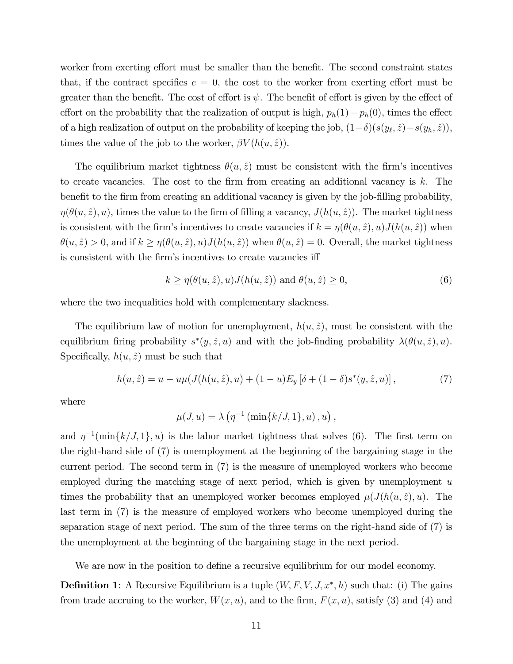worker from exerting effort must be smaller than the benefit. The second constraint states that, if the contract specifies  $e = 0$ , the cost to the worker from exerting effort must be greater than the benefit. The cost of effort is  $\psi$ . The benefit of effort is given by the effect of effort on the probability that the realization of output is high,  $p_h(1)-p_h(0)$ , times the effect of a high realization of output on the probability of keeping the job,  $(1-\delta)(s(y_\ell, \hat{z}) - s(y_h, \hat{z}))$ , times the value of the job to the worker,  $\beta V(h(u, \hat{z}))$ .

The equilibrium market tightness  $\theta(u, \hat{z})$  must be consistent with the firm's incentives to create vacancies. The cost to the firm from creating an additional vacancy is  $k$ . The benefit to the firm from creating an additional vacancy is given by the job-filling probability,  $\eta(\theta(u, \hat{z}), u)$ , times the value to the firm of filling a vacancy,  $J(h(u, \hat{z}))$ . The market tightness is consistent with the firm's incentives to create vacancies if  $k = \eta(\theta(u, \hat{z}), u)J(h(u, \hat{z}))$  when  $\theta(u, \hat{z}) > 0$ , and if  $k \ge \eta(\theta(u, \hat{z}), u)J(h(u, \hat{z}))$  when  $\theta(u, \hat{z}) = 0$ . Overall, the market tightness is consistent with the firm's incentives to create vacancies iff

$$
k \ge \eta(\theta(u, \hat{z}), u) J(h(u, \hat{z})) \text{ and } \theta(u, \hat{z}) \ge 0,
$$
\n
$$
(6)
$$

where the two inequalities hold with complementary slackness.

The equilibrium law of motion for unemployment,  $h(u, \hat{z})$ , must be consistent with the equilibrium firing probability  $s^*(y, \hat{z}, u)$  and with the job-finding probability  $\lambda(\theta(u, \hat{z}), u)$ . Specifically,  $h(u, \hat{z})$  must be such that

$$
h(u, \hat{z}) = u - u\mu(J(h(u, \hat{z}), u) + (1 - u)E_y[\delta + (1 - \delta)s^*(y, \hat{z}, u)], \qquad (7)
$$

where

$$
\mu(J, u) = \lambda \left( \eta^{-1} \left( \min\{k/J, 1\}, u \right), u \right),
$$

and  $\eta^{-1}(\min\{k/J, 1\}, u)$  is the labor market tightness that solves (6). The first term on the right-hand side of (7) is unemployment at the beginning of the bargaining stage in the current period. The second term in (7) is the measure of unemployed workers who become employed during the matching stage of next period, which is given by unemployment  $u$ times the probability that an unemployed worker becomes employed  $\mu(J(h(u, \hat{z}), u)$ . The last term in (7) is the measure of employed workers who become unemployed during the separation stage of next period. The sum of the three terms on the right-hand side of (7) is the unemployment at the beginning of the bargaining stage in the next period.

We are now in the position to define a recursive equilibrium for our model economy.

**Definition 1**: A Recursive Equilibrium is a tuple  $(W, F, V, J, x^*, h)$  such that: (i) The gains from trade accruing to the worker,  $W(x, u)$ , and to the firm,  $F(x, u)$ , satisfy (3) and (4) and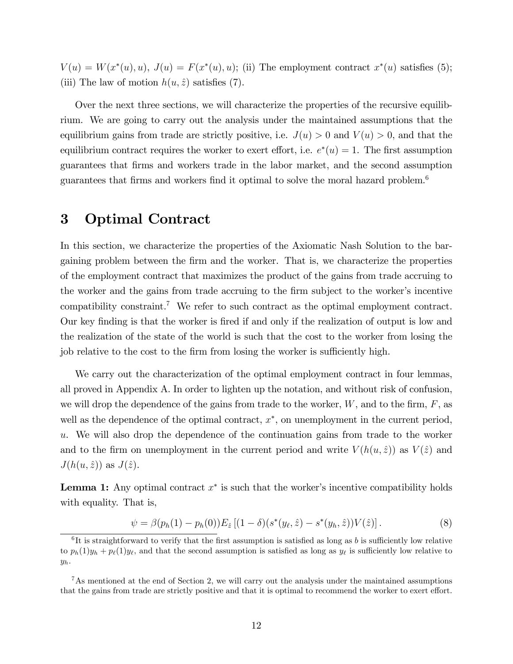$V(u) = W(x^*(u), u), J(u) = F(x^*(u), u);$  (ii) The employment contract  $x^*(u)$  satisfies (5); (iii) The law of motion  $h(u, \hat{z})$  satisfies (7).

Over the next three sections, we will characterize the properties of the recursive equilibrium. We are going to carry out the analysis under the maintained assumptions that the equilibrium gains from trade are strictly positive, i.e.  $J(u) > 0$  and  $V(u) > 0$ , and that the equilibrium contract requires the worker to exert effort, i.e.  $e^*(u) = 1$ . The first assumption guarantees that Örms and workers trade in the labor market, and the second assumption guarantees that firms and workers find it optimal to solve the moral hazard problem.<sup>6</sup>

## 3 Optimal Contract

In this section, we characterize the properties of the Axiomatic Nash Solution to the bargaining problem between the Örm and the worker. That is, we characterize the properties of the employment contract that maximizes the product of the gains from trade accruing to the worker and the gains from trade accruing to the firm subject to the worker's incentive compatibility constraint.<sup>7</sup> We refer to such contract as the optimal employment contract. Our key finding is that the worker is fired if and only if the realization of output is low and the realization of the state of the world is such that the cost to the worker from losing the job relative to the cost to the firm from losing the worker is sufficiently high.

We carry out the characterization of the optimal employment contract in four lemmas, all proved in Appendix A. In order to lighten up the notation, and without risk of confusion, we will drop the dependence of the gains from trade to the worker,  $W$ , and to the firm,  $F$ , as well as the dependence of the optimal contract,  $x^*$ , on unemployment in the current period, u. We will also drop the dependence of the continuation gains from trade to the worker and to the firm on unemployment in the current period and write  $V (h (u, \hat{z}))$  as  $V (\hat{z})$  and  $J(h(u, \hat{z}))$  as  $J(\hat{z})$ .

**Lemma 1:** Any optimal contract  $x^*$  is such that the worker's incentive compatibility holds with equality. That is,

$$
\psi = \beta(p_h(1) - p_h(0))E_{\hat{z}}[(1 - \delta)(s^*(y_\ell, \hat{z}) - s^*(y_h, \hat{z}))V(\hat{z})].
$$
\n(8)

<sup>&</sup>lt;sup>6</sup>It is straightforward to verify that the first assumption is satisfied as long as b is sufficiently low relative to  $p_h(1)y_h + p_\ell(1)y_\ell$ , and that the second assumption is satisfied as long as  $y_\ell$  is sufficiently low relative to  $y_h$ .

<sup>7</sup>As mentioned at the end of Section 2, we will carry out the analysis under the maintained assumptions that the gains from trade are strictly positive and that it is optimal to recommend the worker to exert effort.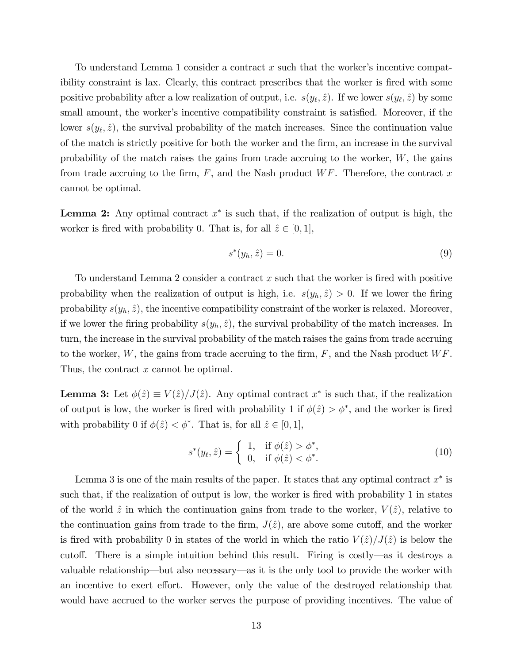To understand Lemma 1 consider a contract  $x$  such that the worker's incentive compatibility constraint is lax. Clearly, this contract prescribes that the worker is fired with some positive probability after a low realization of output, i.e.  $s(y_\ell, \hat{z})$ . If we lower  $s(y_\ell, \hat{z})$  by some small amount, the worker's incentive compatibility constraint is satisfied. Moreover, if the lower  $s(y_\ell, \hat{z})$ , the survival probability of the match increases. Since the continuation value of the match is strictly positive for both the worker and the Örm, an increase in the survival probability of the match raises the gains from trade accruing to the worker,  $W$ , the gains from trade accruing to the firm,  $F$ , and the Nash product W $F$ . Therefore, the contract x cannot be optimal.

**Lemma 2:** Any optimal contract  $x^*$  is such that, if the realization of output is high, the worker is fired with probability 0. That is, for all  $\hat{z} \in [0, 1],$ 

$$
s^*(y_h, \hat{z}) = 0. \tag{9}
$$

To understand Lemma 2 consider a contract x such that the worker is fired with positive probability when the realization of output is high, i.e.  $s(y_h, \hat{z}) > 0$ . If we lower the firing probability  $s(y_h, \hat{z})$ , the incentive compatibility constraint of the worker is relaxed. Moreover, if we lower the firing probability  $s(y_h, \hat{z})$ , the survival probability of the match increases. In turn, the increase in the survival probability of the match raises the gains from trade accruing to the worker,  $W$ , the gains from trade accruing to the firm,  $F$ , and the Nash product  $WF$ . Thus, the contract x cannot be optimal.

**Lemma 3:** Let  $\phi(\hat{z}) \equiv V(\hat{z})/J(\hat{z})$ . Any optimal contract  $x^*$  is such that, if the realization of output is low, the worker is fired with probability 1 if  $\phi(\hat{z}) > \phi^*$ , and the worker is fired with probability 0 if  $\phi(\hat{z}) < \phi^*$ . That is, for all  $\hat{z} \in [0, 1],$ 

$$
s^*(y_\ell, \hat{z}) = \begin{cases} 1, & \text{if } \phi(\hat{z}) > \phi^*, \\ 0, & \text{if } \phi(\hat{z}) < \phi^*. \end{cases}
$$
 (10)

Lemma 3 is one of the main results of the paper. It states that any optimal contract  $x^*$  is such that, if the realization of output is low, the worker is fired with probability 1 in states of the world  $\hat{z}$  in which the continuation gains from trade to the worker,  $V (\hat{z})$ , relative to the continuation gains from trade to the firm,  $J(\hat{z})$ , are above some cutoff, and the worker is fired with probability 0 in states of the world in which the ratio  $V(\hat{z})/J(\hat{z})$  is below the cutoff. There is a simple intuition behind this result. Firing is costly—as it destroys a valuable relationship—but also necessary—as it is the only tool to provide the worker with an incentive to exert effort. However, only the value of the destroyed relationship that would have accrued to the worker serves the purpose of providing incentives. The value of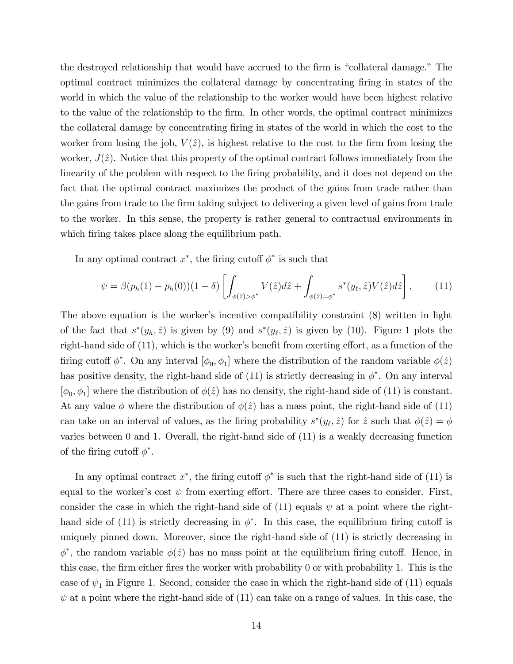the destroyed relationship that would have accrued to the firm is "collateral damage." The optimal contract minimizes the collateral damage by concentrating Öring in states of the world in which the value of the relationship to the worker would have been highest relative to the value of the relationship to the firm. In other words, the optimal contract minimizes the collateral damage by concentrating Öring in states of the world in which the cost to the worker from losing the job,  $V(\hat{z})$ , is highest relative to the cost to the firm from losing the worker,  $J(\hat{z})$ . Notice that this property of the optimal contract follows immediately from the linearity of the problem with respect to the firing probability, and it does not depend on the fact that the optimal contract maximizes the product of the gains from trade rather than the gains from trade to the Örm taking subject to delivering a given level of gains from trade to the worker. In this sense, the property is rather general to contractual environments in which firing takes place along the equilibrium path.

In any optimal contract  $x^*$ , the firing cutoff  $\phi^*$  is such that

$$
\psi = \beta(p_h(1) - p_h(0))(1 - \delta) \left[ \int_{\phi(\hat{z}) > \phi^*} V(\hat{z}) d\hat{z} + \int_{\phi(\hat{z}) = \phi^*} s^*(y_\ell, \hat{z}) V(\hat{z}) d\hat{z} \right], \tag{11}
$$

The above equation is the worker's incentive compatibility constraint (8) written in light of the fact that  $s^*(y_h, \hat{z})$  is given by (9) and  $s^*(y_\ell, \hat{z})$  is given by (10). Figure 1 plots the right-hand side of  $(11)$ , which is the worker's benefit from exerting effort, as a function of the firing cutoff  $\phi^*$ . On any interval  $[\phi_0, \phi_1]$  where the distribution of the random variable  $\phi(\hat{z})$ has positive density, the right-hand side of  $(11)$  is strictly decreasing in  $\phi^*$ . On any interval  $[\phi_0, \phi_1]$  where the distribution of  $\phi(\hat{z})$  has no density, the right-hand side of (11) is constant. At any value  $\phi$  where the distribution of  $\phi(\hat{z})$  has a mass point, the right-hand side of (11) can take on an interval of values, as the firing probability  $s^*(y_\ell, \hat{z})$  for  $\hat{z}$  such that  $\phi(\hat{z}) = \phi$ varies between 0 and 1. Overall, the right-hand side of (11) is a weakly decreasing function of the firing cutoff  $\phi^*$ .

In any optimal contract  $x^*$ , the firing cutoff  $\phi^*$  is such that the right-hand side of (11) is equal to the worker's cost  $\psi$  from exerting effort. There are three cases to consider. First, consider the case in which the right-hand side of (11) equals  $\psi$  at a point where the righthand side of (11) is strictly decreasing in  $\phi^*$ . In this case, the equilibrium firing cutoff is uniquely pinned down. Moreover, since the right-hand side of (11) is strictly decreasing in  $\phi^*$ , the random variable  $\phi(\hat{z})$  has no mass point at the equilibrium firing cutoff. Hence, in this case, the firm either fires the worker with probability 0 or with probability 1. This is the case of  $\psi_1$  in Figure 1. Second, consider the case in which the right-hand side of (11) equals  $\psi$  at a point where the right-hand side of (11) can take on a range of values. In this case, the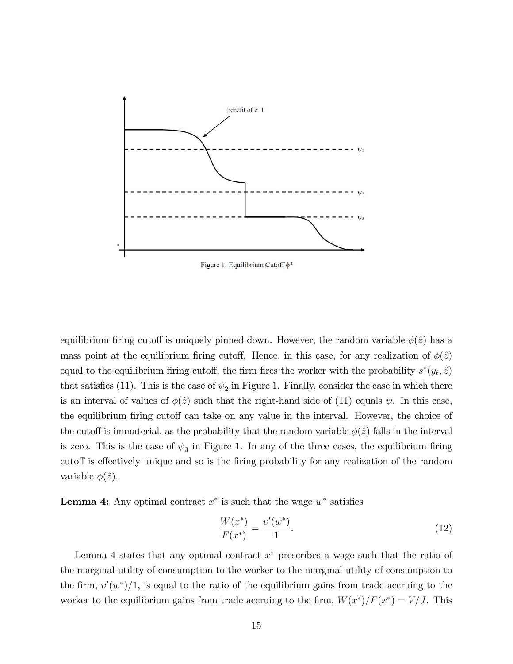

Figure 1: Equilibrium Cutoff  $\phi^*$ 

equilibrium firing cutoff is uniquely pinned down. However, the random variable  $\phi(\hat{z})$  has a mass point at the equilibrium firing cutoff. Hence, in this case, for any realization of  $\phi(\hat{z})$ equal to the equilibrium firing cutoff, the firm fires the worker with the probability  $s^*(y_\ell, \hat{z})$ that satisfies (11). This is the case of  $\psi_2$  in Figure 1. Finally, consider the case in which there is an interval of values of  $\phi(\hat{z})$  such that the right-hand side of (11) equals  $\psi$ . In this case, the equilibrium firing cutoff can take on any value in the interval. However, the choice of the cutoff is immaterial, as the probability that the random variable  $\phi(\hat{z})$  falls in the interval is zero. This is the case of  $\psi_3$  in Figure 1. In any of the three cases, the equilibrium firing cutoff is effectively unique and so is the firing probability for any realization of the random variable  $\phi(\hat{z})$ .

**Lemma 4:** Any optimal contract  $x^*$  is such that the wage  $w^*$  satisfies

$$
\frac{W(x^*)}{F(x^*)} = \frac{\upsilon'(w^*)}{1}.\tag{12}
$$

Lemma 4 states that any optimal contract  $x^*$  prescribes a wage such that the ratio of the marginal utility of consumption to the worker to the marginal utility of consumption to the firm,  $v'(w^*)/1$ , is equal to the ratio of the equilibrium gains from trade accruing to the worker to the equilibrium gains from trade accruing to the firm,  $W(x^*)/F(x^*) = V/J$ . This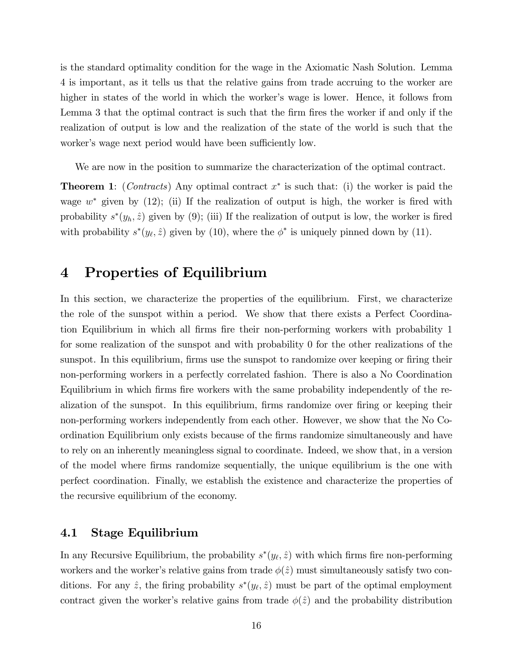is the standard optimality condition for the wage in the Axiomatic Nash Solution. Lemma 4 is important, as it tells us that the relative gains from trade accruing to the worker are higher in states of the world in which the worker's wage is lower. Hence, it follows from Lemma 3 that the optimal contract is such that the firm fires the worker if and only if the realization of output is low and the realization of the state of the world is such that the worker's wage next period would have been sufficiently low.

We are now in the position to summarize the characterization of the optimal contract.

**Theorem 1**: (*Contracts*) Any optimal contract  $x^*$  is such that: (i) the worker is paid the wage  $w^*$  given by (12); (ii) If the realization of output is high, the worker is fired with probability  $s^*(y_h, \hat{z})$  given by (9); (iii) If the realization of output is low, the worker is fired with probability  $s^*(y_\ell, \hat{z})$  given by (10), where the  $\phi^*$  is uniquely pinned down by (11).

## 4 Properties of Equilibrium

In this section, we characterize the properties of the equilibrium. First, we characterize the role of the sunspot within a period. We show that there exists a Perfect Coordination Equilibrium in which all firms fire their non-performing workers with probability 1 for some realization of the sunspot and with probability 0 for the other realizations of the sunspot. In this equilibrium, firms use the sunspot to randomize over keeping or firing their non-performing workers in a perfectly correlated fashion. There is also a No Coordination Equilibrium in which firms fire workers with the same probability independently of the realization of the sunspot. In this equilibrium, firms randomize over firing or keeping their non-performing workers independently from each other. However, we show that the No Coordination Equilibrium only exists because of the Örms randomize simultaneously and have to rely on an inherently meaningless signal to coordinate. Indeed, we show that, in a version of the model where Örms randomize sequentially, the unique equilibrium is the one with perfect coordination. Finally, we establish the existence and characterize the properties of the recursive equilibrium of the economy.

### 4.1 Stage Equilibrium

In any Recursive Equilibrium, the probability  $s^*(y_\ell, \hat{z})$  with which firms fire non-performing workers and the worker's relative gains from trade  $\phi(\hat{z})$  must simultaneously satisfy two conditions. For any  $\hat{z}$ , the firing probability  $s^*(y_\ell, \hat{z})$  must be part of the optimal employment contract given the worker's relative gains from trade  $\phi(\hat{z})$  and the probability distribution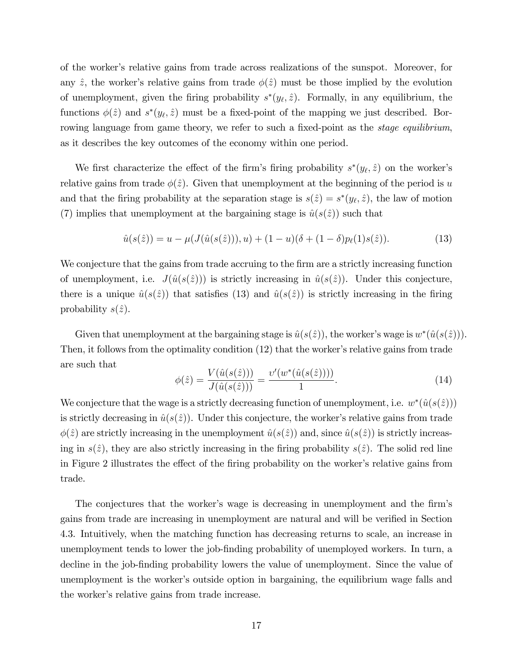of the workerís relative gains from trade across realizations of the sunspot. Moreover, for any  $\hat{z}$ , the worker's relative gains from trade  $\phi(\hat{z})$  must be those implied by the evolution of unemployment, given the firing probability  $s^*(y_\ell, \hat{z})$ . Formally, in any equilibrium, the functions  $\phi(\hat{z})$  and  $s^*(y_\ell, \hat{z})$  must be a fixed-point of the mapping we just described. Borrowing language from game theory, we refer to such a fixed-point as the *stage equilibrium*, as it describes the key outcomes of the economy within one period.

We first characterize the effect of the firm's firing probability  $s^*(y_\ell, \hat{z})$  on the worker's relative gains from trade  $\phi(\hat{z})$ . Given that unemployment at the beginning of the period is u and that the firing probability at the separation stage is  $s(\hat{z}) = s^*(y_\ell, \hat{z})$ , the law of motion (7) implies that unemployment at the bargaining stage is  $\hat{u}(s(\hat{z}))$  such that

$$
\hat{u}(s(\hat{z})) = u - \mu(J(\hat{u}(s(\hat{z}))), u) + (1 - u)(\delta + (1 - \delta)p_{\ell}(1)s(\hat{z})).
$$
\n(13)

We conjecture that the gains from trade accruing to the firm are a strictly increasing function of unemployment, i.e.  $J(\hat{u}(s(\hat{z})))$  is strictly increasing in  $\hat{u}(s(\hat{z}))$ . Under this conjecture, there is a unique  $\hat{u}(s(\hat{z}))$  that satisfies (13) and  $\hat{u}(s(\hat{z}))$  is strictly increasing in the firing probability  $s(\hat{z})$ .

Given that unemployment at the bargaining stage is  $\hat{u}(s(\hat{z}))$ , the worker's wage is  $w^*(\hat{u}(s(\hat{z})))$ . Then, it follows from the optimality condition  $(12)$  that the worker's relative gains from trade are such that

$$
\phi(\hat{z}) = \frac{V(\hat{u}(s(\hat{z})))}{J(\hat{u}(s(\hat{z})))} = \frac{v'(w^*(\hat{u}(s(\hat{z}))))}{1}.
$$
\n(14)

We conjecture that the wage is a strictly decreasing function of unemployment, i.e.  $w^*(\hat{u}(s(\hat{z})))$ is strictly decreasing in  $\hat{u}(s(\hat{z}))$ . Under this conjecture, the worker's relative gains from trade  $\phi(\hat{z})$  are strictly increasing in the unemployment  $\hat{u}(s(\hat{z}))$  and, since  $\hat{u}(s(\hat{z}))$  is strictly increasing in  $s(\hat{z})$ , they are also strictly increasing in the firing probability  $s(\hat{z})$ . The solid red line in Figure 2 illustrates the effect of the firing probability on the worker's relative gains from trade.

The conjectures that the worker's wage is decreasing in unemployment and the firm's gains from trade are increasing in unemployment are natural and will be verified in Section 4.3. Intuitively, when the matching function has decreasing returns to scale, an increase in unemployment tends to lower the job-finding probability of unemployed workers. In turn, a decline in the job-finding probability lowers the value of unemployment. Since the value of unemployment is the worker's outside option in bargaining, the equilibrium wage falls and the worker's relative gains from trade increase.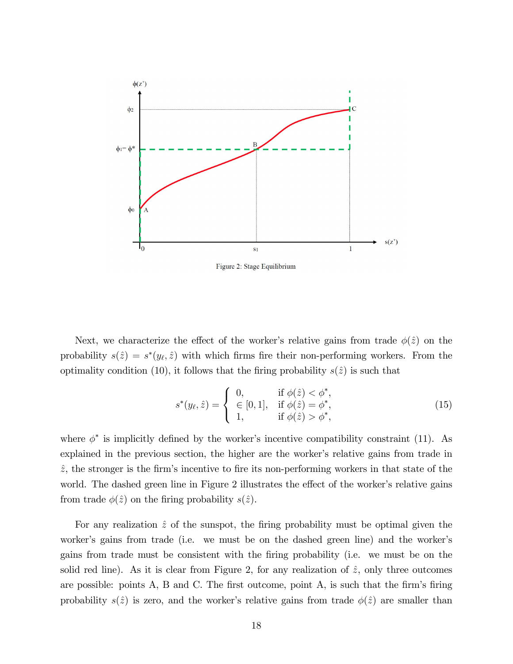

Figure 2: Stage Equilibrium

Next, we characterize the effect of the worker's relative gains from trade  $\phi(\hat{z})$  on the probability  $s(\hat{z}) = s^*(y_\ell, \hat{z})$  with which firms fire their non-performing workers. From the optimality condition (10), it follows that the firing probability  $s(\hat{z})$  is such that

$$
s^*(y_\ell, \hat{z}) = \begin{cases} 0, & \text{if } \phi(\hat{z}) < \phi^*, \\ \in [0, 1], & \text{if } \phi(\hat{z}) = \phi^*, \\ 1, & \text{if } \phi(\hat{z}) > \phi^*, \end{cases}
$$
(15)

where  $\phi^*$  is implicitly defined by the worker's incentive compatibility constraint (11). As explained in the previous section, the higher are the worker's relative gains from trade in  $\hat{z}$ , the stronger is the firm's incentive to fire its non-performing workers in that state of the world. The dashed green line in Figure 2 illustrates the effect of the worker's relative gains from trade  $\phi(\hat{z})$  on the firing probability  $s(\hat{z})$ .

For any realization  $\hat{z}$  of the sunspot, the firing probability must be optimal given the worker's gains from trade (i.e. we must be on the dashed green line) and the worker's gains from trade must be consistent with the Öring probability (i.e. we must be on the solid red line). As it is clear from Figure 2, for any realization of  $\hat{z}$ , only three outcomes are possible: points A, B and C. The first outcome, point A, is such that the firm's firing probability  $s(\hat{z})$  is zero, and the worker's relative gains from trade  $\phi(\hat{z})$  are smaller than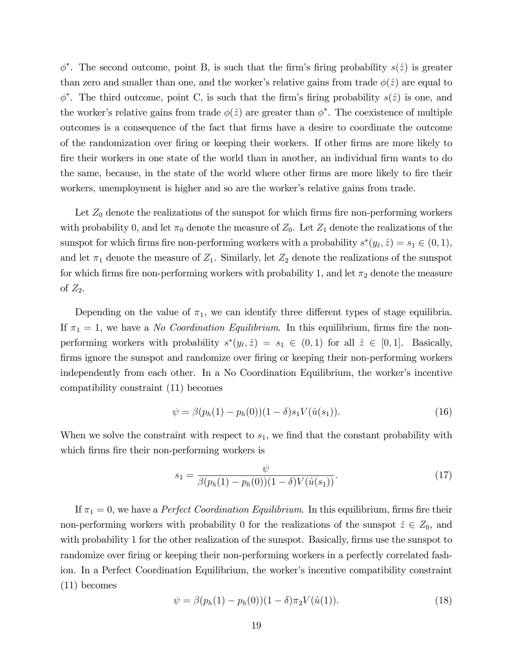$\phi^*$ . The second outcome, point B, is such that the firm's firing probability  $s(\hat{z})$  is greater than zero and smaller than one, and the worker's relative gains from trade  $\phi(\hat{z})$  are equal to  $\phi^*$ . The third outcome, point C, is such that the firm's firing probability  $s(\hat{z})$  is one, and the worker's relative gains from trade  $\phi(\hat{z})$  are greater than  $\phi^*$ . The coexistence of multiple outcomes is a consequence of the fact that Örms have a desire to coordinate the outcome of the randomization over firing or keeping their workers. If other firms are more likely to Öre their workers in one state of the world than in another, an individual Örm wants to do the same, because, in the state of the world where other firms are more likely to fire their workers, unemployment is higher and so are the worker's relative gains from trade.

Let  $Z_0$  denote the realizations of the sunspot for which firms fire non-performing workers with probability 0, and let  $\pi_0$  denote the measure of  $Z_0$ . Let  $Z_1$  denote the realizations of the sunspot for which firms fire non-performing workers with a probability  $s^*(y_\ell, \hat{z}) = s_1 \in (0, 1)$ , and let  $\pi_1$  denote the measure of  $Z_1$ . Similarly, let  $Z_2$  denote the realizations of the sunspot for which firms fire non-performing workers with probability 1, and let  $\pi_2$  denote the measure of  $Z_2$ .

Depending on the value of  $\pi_1$ , we can identify three different types of stage equilibria. If  $\pi_1 = 1$ , we have a *No Coordination Equilibrium*. In this equilibrium, firms fire the nonperforming workers with probability  $s^*(y_\ell, \hat{z}) = s_1 \in (0, 1)$  for all  $\hat{z} \in [0, 1]$ . Basically, firms ignore the sunspot and randomize over firing or keeping their non-performing workers independently from each other. In a No Coordination Equilibrium, the worker's incentive compatibility constraint (11) becomes

$$
\psi = \beta(p_h(1) - p_h(0))(1 - \delta)s_1 V(\hat{u}(s_1)). \tag{16}
$$

When we solve the constraint with respect to  $s<sub>1</sub>$ , we find that the constant probability with which firms fire their non-performing workers is

$$
s_1 = \frac{\psi}{\beta(p_h(1) - p_h(0))(1 - \delta)V(\hat{u}(s_1))}.
$$
\n(17)

If  $\pi_1 = 0$ , we have a *Perfect Coordination Equilibrium*. In this equilibrium, firms fire their non-performing workers with probability 0 for the realizations of the sunspot  $\hat{z} \in Z_0$ , and with probability 1 for the other realization of the sunspot. Basically, firms use the sunspot to randomize over firing or keeping their non-performing workers in a perfectly correlated fashion. In a Perfect Coordination Equilibrium, the worker's incentive compatibility constraint (11) becomes

$$
\psi = \beta(p_h(1) - p_h(0))(1 - \delta)\pi_2 V(\hat{u}(1)).
$$
\n(18)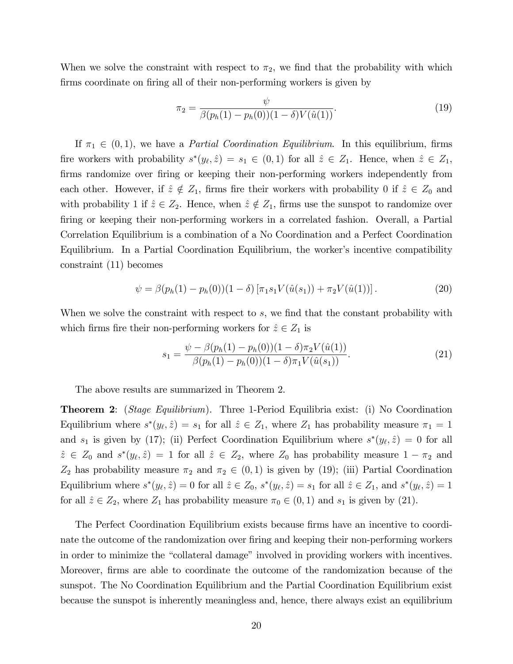When we solve the constraint with respect to  $\pi_2$ , we find that the probability with which firms coordinate on firing all of their non-performing workers is given by

$$
\pi_2 = \frac{\psi}{\beta(p_h(1) - p_h(0))(1 - \delta)V(\hat{u}(1))}.
$$
\n(19)

If  $\pi_1 \in (0, 1)$ , we have a *Partial Coordination Equilibrium*. In this equilibrium, firms fire workers with probability  $s^*(y_\ell, \hat{z}) = s_1 \in (0, 1)$  for all  $\hat{z} \in Z_1$ . Hence, when  $\hat{z} \in Z_1$ , firms randomize over firing or keeping their non-performing workers independently from each other. However, if  $\hat{z} \notin Z_1$ , firms fire their workers with probability 0 if  $\hat{z} \in Z_0$  and with probability 1 if  $\hat{z} \in Z_2$ . Hence, when  $\hat{z} \notin Z_1$ , firms use the sunspot to randomize over firing or keeping their non-performing workers in a correlated fashion. Overall, a Partial Correlation Equilibrium is a combination of a No Coordination and a Perfect Coordination Equilibrium. In a Partial Coordination Equilibrium, the worker's incentive compatibility constraint (11) becomes

$$
\psi = \beta(p_h(1) - p_h(0))(1 - \delta) [\pi_1 s_1 V(\hat{u}(s_1)) + \pi_2 V(\hat{u}(1))]. \tag{20}
$$

When we solve the constraint with respect to  $s$ , we find that the constant probability with which firms fire their non-performing workers for  $\hat{z} \in Z_1$  is

$$
s_1 = \frac{\psi - \beta(p_h(1) - p_h(0))(1 - \delta)\pi_2 V(\hat{u}(1))}{\beta(p_h(1) - p_h(0))(1 - \delta)\pi_1 V(\hat{u}(s_1))}.
$$
\n(21)

The above results are summarized in Theorem 2.

Theorem 2: (Stage Equilibrium). Three 1-Period Equilibria exist: (i) No Coordination Equilibrium where  $s^*(y_\ell, \hat{z}) = s_1$  for all  $\hat{z} \in Z_1$ , where  $Z_1$  has probability measure  $\pi_1 = 1$ and  $s_1$  is given by (17); (ii) Perfect Coordination Equilibrium where  $s^*(y_\ell, \hat{z}) = 0$  for all  $\hat{z} \in Z_0$  and  $s^*(y_\ell, \hat{z}) = 1$  for all  $\hat{z} \in Z_2$ , where  $Z_0$  has probability measure  $1 - \pi_2$  and  $Z_2$  has probability measure  $\pi_2$  and  $\pi_2 \in (0,1)$  is given by (19); (iii) Partial Coordination Equilibrium where  $s^*(y_\ell, \hat{z}) = 0$  for all  $\hat{z} \in Z_0$ ,  $s^*(y_\ell, \hat{z}) = s_1$  for all  $\hat{z} \in Z_1$ , and  $s^*(y_\ell, \hat{z}) = 1$ for all  $\hat{z} \in Z_2$ , where  $Z_1$  has probability measure  $\pi_0 \in (0, 1)$  and  $s_1$  is given by (21).

The Perfect Coordination Equilibrium exists because firms have an incentive to coordinate the outcome of the randomization over firing and keeping their non-performing workers in order to minimize the "collateral damage" involved in providing workers with incentives. Moreover, firms are able to coordinate the outcome of the randomization because of the sunspot. The No Coordination Equilibrium and the Partial Coordination Equilibrium exist because the sunspot is inherently meaningless and, hence, there always exist an equilibrium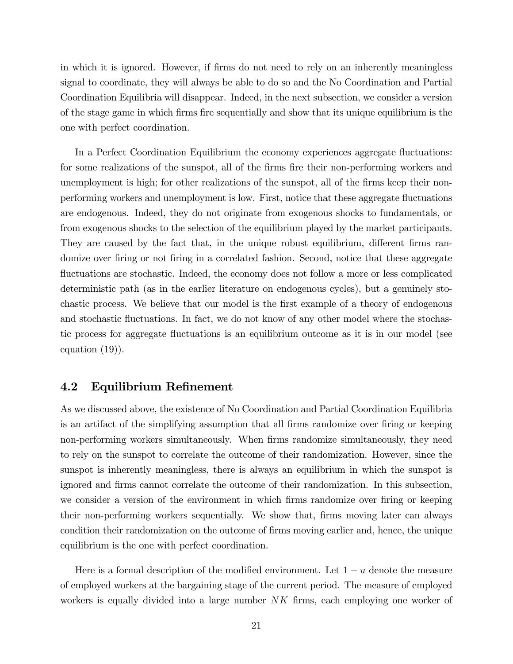in which it is ignored. However, if firms do not need to rely on an inherently meaningless signal to coordinate, they will always be able to do so and the No Coordination and Partial Coordination Equilibria will disappear. Indeed, in the next subsection, we consider a version of the stage game in which Örms Öre sequentially and show that its unique equilibrium is the one with perfect coordination.

In a Perfect Coordination Equilibrium the economy experiences aggregate fluctuations: for some realizations of the sunspot, all of the firms fire their non-performing workers and unemployment is high; for other realizations of the sunspot, all of the firms keep their nonperforming workers and unemployment is low. First, notice that these aggregate fluctuations are endogenous. Indeed, they do not originate from exogenous shocks to fundamentals, or from exogenous shocks to the selection of the equilibrium played by the market participants. They are caused by the fact that, in the unique robust equilibrium, different firms randomize over firing or not firing in a correlated fashion. Second, notice that these aggregate fluctuations are stochastic. Indeed, the economy does not follow a more or less complicated deterministic path (as in the earlier literature on endogenous cycles), but a genuinely stochastic process. We believe that our model is the first example of a theory of endogenous and stochastic fluctuations. In fact, we do not know of any other model where the stochastic process for aggregate áuctuations is an equilibrium outcome as it is in our model (see equation (19)).

### 4.2 Equilibrium Refinement

As we discussed above, the existence of No Coordination and Partial Coordination Equilibria is an artifact of the simplifying assumption that all firms randomize over firing or keeping non-performing workers simultaneously. When firms randomize simultaneously, they need to rely on the sunspot to correlate the outcome of their randomization. However, since the sunspot is inherently meaningless, there is always an equilibrium in which the sunspot is ignored and Örms cannot correlate the outcome of their randomization. In this subsection, we consider a version of the environment in which firms randomize over firing or keeping their non-performing workers sequentially. We show that, Örms moving later can always condition their randomization on the outcome of Örms moving earlier and, hence, the unique equilibrium is the one with perfect coordination.

Here is a formal description of the modified environment. Let  $1 - u$  denote the measure of employed workers at the bargaining stage of the current period. The measure of employed workers is equally divided into a large number  $NK$  firms, each employing one worker of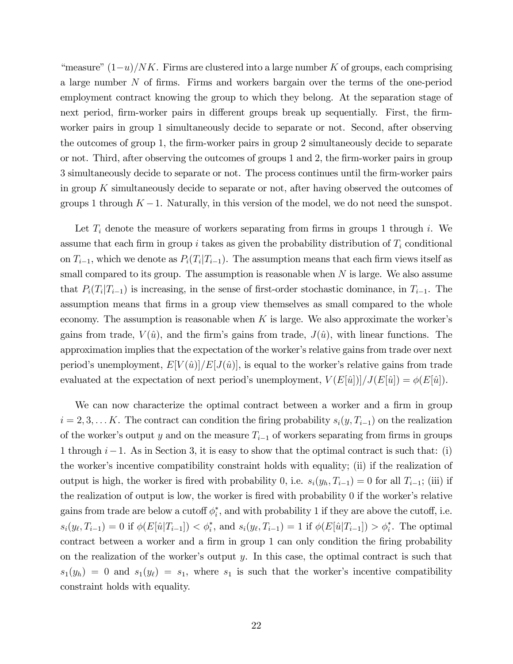"measure"  $(1-u)/NK$ . Firms are clustered into a large number K of groups, each comprising a large number N of Örms. Firms and workers bargain over the terms of the one-period employment contract knowing the group to which they belong. At the separation stage of next period, firm-worker pairs in different groups break up sequentially. First, the firmworker pairs in group 1 simultaneously decide to separate or not. Second, after observing the outcomes of group 1, the firm-worker pairs in group 2 simultaneously decide to separate or not. Third, after observing the outcomes of groups  $1$  and  $2$ , the firm-worker pairs in group 3 simultaneously decide to separate or not. The process continues until the Örm-worker pairs in group K simultaneously decide to separate or not, after having observed the outcomes of groups 1 through  $K - 1$ . Naturally, in this version of the model, we do not need the sunspot.

Let  $T_i$  denote the measure of workers separating from firms in groups 1 through i. We assume that each firm in group i takes as given the probability distribution of  $T_i$  conditional on  $T_{i-1}$ , which we denote as  $P_i(T_i|T_{i-1})$ . The assumption means that each firm views itself as small compared to its group. The assumption is reasonable when  $N$  is large. We also assume that  $P_i(T_i|T_{i-1})$  is increasing, in the sense of first-order stochastic dominance, in  $T_{i-1}$ . The assumption means that firms in a group view themselves as small compared to the whole economy. The assumption is reasonable when  $K$  is large. We also approximate the worker's gains from trade,  $V(\hat{u})$ , and the firm's gains from trade,  $J(\hat{u})$ , with linear functions. The approximation implies that the expectation of the worker's relative gains from trade over next period's unemployment,  $E[V(\hat{u})]/E[J(\hat{u})]$ , is equal to the worker's relative gains from trade evaluated at the expectation of next period's unemployment,  $V(E[\hat{u}])/J(E[\hat{u}]) = \phi(E[\hat{u}]).$ 

We can now characterize the optimal contract between a worker and a firm in group  $i = 2, 3, \ldots K$ . The contract can condition the firing probability  $s_i(y, T_{i-1})$  on the realization of the worker's output y and on the measure  $T_{i-1}$  of workers separating from firms in groups 1 through  $i-1$ . As in Section 3, it is easy to show that the optimal contract is such that: (i) the worker's incentive compatibility constraint holds with equality; (ii) if the realization of output is high, the worker is fired with probability 0, i.e.  $s_i(y_h, T_{i-1}) = 0$  for all  $T_{i-1}$ ; (iii) if the realization of output is low, the worker is fired with probability  $\theta$  if the worker's relative gains from trade are below a cutoff  $\phi_i^*$ , and with probability 1 if they are above the cutoff, i.e.  $s_i(y_{\ell}, T_{i-1}) = 0$  if  $\phi(E[\hat{u}|T_{i-1}]) < \phi_i^*$ , and  $s_i(y_{\ell}, T_{i-1}) = 1$  if  $\phi(E[\hat{u}|T_{i-1}]) > \phi_i^*$ . The optimal contract between a worker and a firm in group 1 can only condition the firing probability on the realization of the worker's output  $y$ . In this case, the optimal contract is such that  $s_1(y_h) = 0$  and  $s_1(y_\ell) = s_1$ , where  $s_1$  is such that the worker's incentive compatibility constraint holds with equality.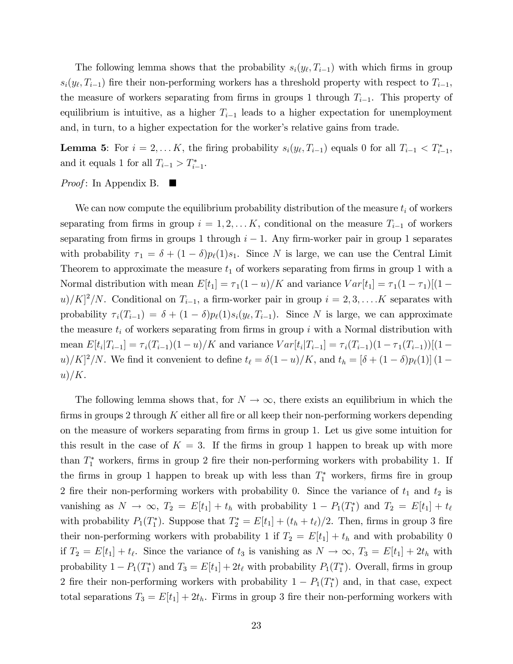The following lemma shows that the probability  $s_i(y_\ell, T_{i-1})$  with which firms in group  $s_i(y_\ell, T_{i-1})$  fire their non-performing workers has a threshold property with respect to  $T_{i-1}$ , the measure of workers separating from firms in groups 1 through  $T_{i-1}$ . This property of equilibrium is intuitive, as a higher  $T_{i-1}$  leads to a higher expectation for unemployment and, in turn, to a higher expectation for the worker's relative gains from trade.

**Lemma 5:** For  $i = 2, \ldots K$ , the firing probability  $s_i(y_{\ell}, T_{i-1})$  equals 0 for all  $T_{i-1} < T_{i-1}^*$ , and it equals 1 for all  $T_{i-1} > T_{i-1}^*$ .

*Proof*: In Appendix B.

We can now compute the equilibrium probability distribution of the measure  $t_i$  of workers separating from firms in group  $i = 1, 2, \ldots K$ , conditional on the measure  $T_{i-1}$  of workers separating from firms in groups 1 through  $i - 1$ . Any firm-worker pair in group 1 separates with probability  $\tau_1 = \delta + (1 - \delta)p_{\ell}(1)s_1$ . Since N is large, we can use the Central Limit Theorem to approximate the measure  $t_1$  of workers separating from firms in group 1 with a Normal distribution with mean  $E[t_1] = \tau_1(1-u)/K$  and variance  $Var[t_1] = \tau_1(1 - \tau_1)[(1 (u)/K]^2/N$ . Conditional on  $T_{i-1}$ , a firm-worker pair in group  $i = 2, 3, \ldots$  K separates with probability  $\tau_i(T_{i-1}) = \delta + (1 - \delta)p_\ell(1)s_i(y_\ell, T_{i-1})$ . Since N is large, we can approximate the measure  $t_i$  of workers separating from firms in group i with a Normal distribution with mean  $E[t_i|T_{i-1}] = \tau_i(T_{i-1})(1-u)/K$  and variance  $Var[t_i|T_{i-1}] = \tau_i(T_{i-1})(1-\tau_1(T_{i-1}))[(1-\tau_1)^2]$  $(u)/K]^2/N$ . We find it convenient to define  $t_\ell = \delta(1 - u)/K$ , and  $t_h = [\delta + (1 - \delta)p_\ell(1)] (1$  $u)/K$ .

The following lemma shows that, for  $N \to \infty$ , there exists an equilibrium in which the firms in groups 2 through  $K$  either all fire or all keep their non-performing workers depending on the measure of workers separating from firms in group 1. Let us give some intuition for this result in the case of  $K = 3$ . If the firms in group 1 happen to break up with more than  $T_1^*$  workers, firms in group 2 fire their non-performing workers with probability 1. If the firms in group 1 happen to break up with less than  $T_1^*$  workers, firms fire in group 2 fire their non-performing workers with probability 0. Since the variance of  $t_1$  and  $t_2$  is vanishing as  $N \to \infty$ ,  $T_2 = E[t_1] + t_h$  with probability  $1 - P_1(T_1^*)$  and  $T_2 = E[t_1] + t_{\ell}$ with probability  $P_1(T_1^*)$ . Suppose that  $T_2^* = E[t_1] + (t_h + t_\ell)/2$ . Then, firms in group 3 fire their non-performing workers with probability 1 if  $T_2 = E[t_1] + t_h$  and with probability 0 if  $T_2 = E[t_1] + t_\ell$ . Since the variance of  $t_3$  is vanishing as  $N \to \infty$ ,  $T_3 = E[t_1] + 2t_h$  with probability  $1 - P_1(T_1^*)$  and  $T_3 = E[t_1] + 2t_\ell$  with probability  $P_1(T_1^*)$ . Overall, firms in group 2 fire their non-performing workers with probability  $1 - P_1(T_1^*)$  and, in that case, expect total separations  $T_3 = E[t_1] + 2t_h$ . Firms in group 3 fire their non-performing workers with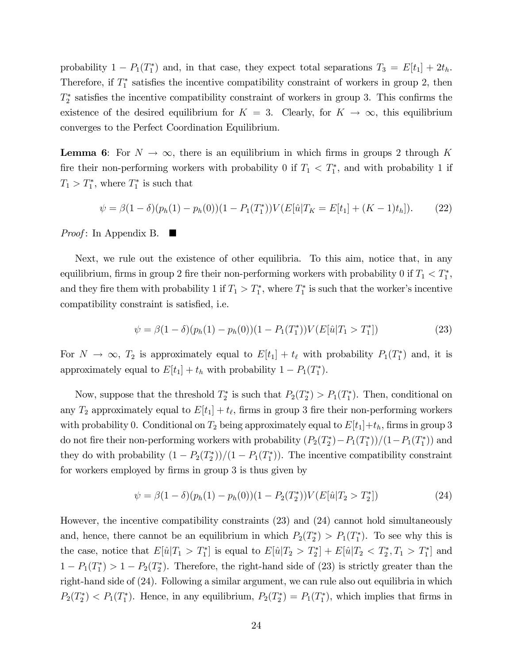probability  $1 - P_1(T_1^*)$  and, in that case, they expect total separations  $T_3 = E[t_1] + 2t_h$ . Therefore, if  $T_1^*$  satisfies the incentive compatibility constraint of workers in group 2, then  $T_2^*$  satisfies the incentive compatibility constraint of workers in group 3. This confirms the existence of the desired equilibrium for  $K = 3$ . Clearly, for  $K \to \infty$ , this equilibrium converges to the Perfect Coordination Equilibrium.

**Lemma 6:** For  $N \to \infty$ , there is an equilibrium in which firms in groups 2 through K fire their non-performing workers with probability 0 if  $T_1 < T_1^*$ , and with probability 1 if  $T_1 > T_1^*$ , where  $T_1^*$  is such that

$$
\psi = \beta(1 - \delta)(p_h(1) - p_h(0))(1 - P_1(T_1^*))V(E[\hat{u}|T_K = E[t_1] + (K - 1)t_h]).
$$
 (22)

*Proof*: In Appendix B.

Next, we rule out the existence of other equilibria. To this aim, notice that, in any equilibrium, firms in group 2 fire their non-performing workers with probability 0 if  $T_1 < T_1^*$ , and they fire them with probability 1 if  $T_1 > T_1^*$ , where  $T_1^*$  is such that the worker's incentive compatibility constraint is satisfied, i.e.

$$
\psi = \beta (1 - \delta)(p_h(1) - p_h(0))(1 - P_1(T_1^*))V(E[\hat{u}|T_1 > T_1^*])
$$
\n(23)

For  $N \to \infty$ ,  $T_2$  is approximately equal to  $E[t_1] + t_\ell$  with probability  $P_1(T_1^*)$  and, it is approximately equal to  $E[t_1] + t_h$  with probability  $1 - P_1(T_1^*)$ .

Now, suppose that the threshold  $T_2^*$  is such that  $P_2(T_2^*) > P_1(T_1^*)$ . Then, conditional on any  $T_2$  approximately equal to  $E[t_1] + t_\ell$ , firms in group 3 fire their non-performing workers with probability 0. Conditional on  $T_2$  being approximately equal to  $E[t_1]+t_h$ , firms in group 3 do not fire their non-performing workers with probability  $(P_2(T_2^*) - P_1(T_1^*))/(1 - P_1(T_1^*))$  and they do with probability  $(1 - P_2(T_2^*))/(1 - P_1(T_1^*))$ . The incentive compatibility constraint for workers employed by firms in group 3 is thus given by

$$
\psi = \beta (1 - \delta)(p_h(1) - p_h(0))(1 - P_2(T_2^*))V(E[\hat{u}|T_2 > T_2^*])
$$
\n(24)

However, the incentive compatibility constraints (23) and (24) cannot hold simultaneously and, hence, there cannot be an equilibrium in which  $P_2(T_2^*) > P_1(T_1^*)$ . To see why this is the case, notice that  $E[\hat{u}|T_1 > T_1^*]$  is equal to  $E[\hat{u}|T_2 > T_2^*] + E[\hat{u}|T_2 < T_2^*, T_1 > T_1^*]$  and  $1 - P_1(T_1^*) > 1 - P_2(T_2^*)$ . Therefore, the right-hand side of (23) is strictly greater than the right-hand side of (24). Following a similar argument, we can rule also out equilibria in which  $P_2(T_2^*)$  <  $P_1(T_1^*)$ . Hence, in any equilibrium,  $P_2(T_2^*) = P_1(T_1^*)$ , which implies that firms in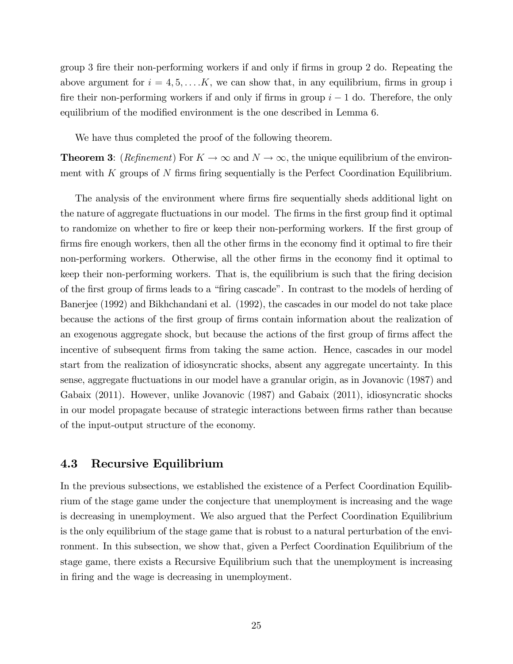group 3 fire their non-performing workers if and only if firms in group 2 do. Repeating the above argument for  $i = 4, 5, \ldots$  K, we can show that, in any equilibrium, firms in group i fire their non-performing workers if and only if firms in group  $i - 1$  do. Therefore, the only equilibrium of the modified environment is the one described in Lemma 6.

We have thus completed the proof of the following theorem.

**Theorem 3:** (*Refinement*) For  $K \to \infty$  and  $N \to \infty$ , the unique equilibrium of the environment with  $K$  groups of  $N$  firms firing sequentially is the Perfect Coordination Equilibrium.

The analysis of the environment where firms fire sequentially sheds additional light on the nature of aggregate fluctuations in our model. The firms in the first group find it optimal to randomize on whether to fire or keep their non-performing workers. If the first group of firms fire enough workers, then all the other firms in the economy find it optimal to fire their non-performing workers. Otherwise, all the other firms in the economy find it optimal to keep their non-performing workers. That is, the equilibrium is such that the firing decision of the first group of firms leads to a "firing cascade". In contrast to the models of herding of Banerjee (1992) and Bikhchandani et al. (1992), the cascades in our model do not take place because the actions of the Örst group of Örms contain information about the realization of an exogenous aggregate shock, but because the actions of the first group of firms affect the incentive of subsequent firms from taking the same action. Hence, cascades in our model start from the realization of idiosyncratic shocks, absent any aggregate uncertainty. In this sense, aggregate fluctuations in our model have a granular origin, as in Jovanovic (1987) and Gabaix (2011). However, unlike Jovanovic (1987) and Gabaix (2011), idiosyncratic shocks in our model propagate because of strategic interactions between Örms rather than because of the input-output structure of the economy.

### 4.3 Recursive Equilibrium

In the previous subsections, we established the existence of a Perfect Coordination Equilibrium of the stage game under the conjecture that unemployment is increasing and the wage is decreasing in unemployment. We also argued that the Perfect Coordination Equilibrium is the only equilibrium of the stage game that is robust to a natural perturbation of the environment. In this subsection, we show that, given a Perfect Coordination Equilibrium of the stage game, there exists a Recursive Equilibrium such that the unemployment is increasing in firing and the wage is decreasing in unemployment.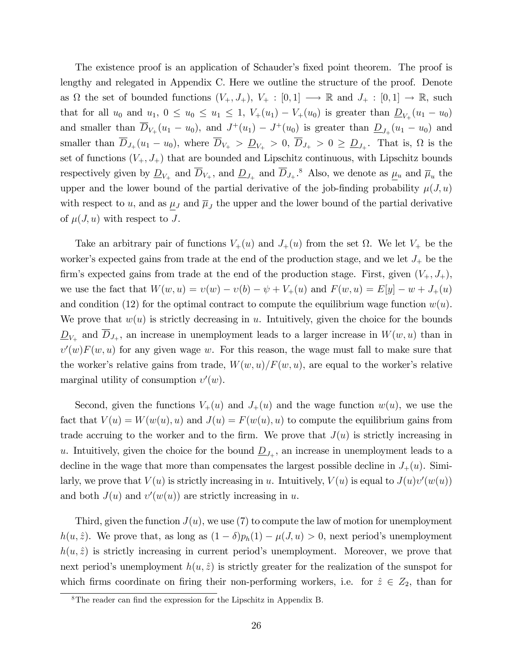The existence proof is an application of Schauder's fixed point theorem. The proof is lengthy and relegated in Appendix C. Here we outline the structure of the proof. Denote as  $\Omega$  the set of bounded functions  $(V_+, J_+), V_+ : [0, 1] \longrightarrow \mathbb{R}$  and  $J_+ : [0, 1] \longrightarrow \mathbb{R}$ , such that for all  $u_0$  and  $u_1, 0 \le u_0 \le u_1 \le 1$ ,  $V_+(u_1) - V_+(u_0)$  is greater than  $\underline{D}_{V_+}(u_1 - u_0)$ and smaller than  $\overline{D}_{V_+}(u_1 - u_0)$ , and  $J^+(u_1) - J^+(u_0)$  is greater than  $\underline{D}_{J_+}(u_1 - u_0)$  and smaller than  $D_{J_+}(u_1 - u_0)$ , where  $D_{V_+} > D_{V_+} > 0$ ,  $D_{J_+} > 0 \ge D_{J_+}$ . That is,  $\Omega$  is the set of functions  $(V_+, J_+)$  that are bounded and Lipschitz continuous, with Lipschitz bounds respectively given by  $\underline{D}_{V_+}$  and  $\overline{D}_{V_+}$ , and  $\underline{D}_{J_+}$  and  $\overline{D}_{J_+}$ .<sup>8</sup> Also, we denote as  $\underline{\mu}_u$  and  $\overline{\mu}_u$  the upper and the lower bound of the partial derivative of the job-finding probability  $\mu(J, u)$ with respect to u, and as  $\mu_J$  and  $\overline{\mu}_J$  the upper and the lower bound of the partial derivative of  $\mu(J, u)$  with respect to J.

Take an arbitrary pair of functions  $V_+(u)$  and  $J_+(u)$  from the set  $\Omega$ . We let  $V_+$  be the worker's expected gains from trade at the end of the production stage, and we let  $J_+$  be the firm's expected gains from trade at the end of the production stage. First, given  $(V_+, J_+),$ we use the fact that  $W(w, u) = v(w) - v(b) - \psi + V_+(u)$  and  $F(w, u) = E[y] - w + J_+(u)$ and condition (12) for the optimal contract to compute the equilibrium wage function  $w(u)$ . We prove that  $w(u)$  is strictly decreasing in u. Intuitively, given the choice for the bounds  $\underline{D}_{V_+}$  and  $D_{J_+}$ , an increase in unemployment leads to a larger increase in  $W(w, u)$  than in  $v'(w)F(w, u)$  for any given wage w. For this reason, the wage must fall to make sure that the worker's relative gains from trade,  $W(w, u)/F(w, u)$ , are equal to the worker's relative marginal utility of consumption  $v'(w)$ .

Second, given the functions  $V_+(u)$  and  $J_+(u)$  and the wage function  $w(u)$ , we use the fact that  $V(u) = W(w(u), u)$  and  $J(u) = F(w(u), u)$  to compute the equilibrium gains from trade accruing to the worker and to the firm. We prove that  $J(u)$  is strictly increasing in u. Intuitively, given the choice for the bound  $\underline{D}_{J_+}$ , an increase in unemployment leads to a decline in the wage that more than compensates the largest possible decline in  $J_+(u)$ . Similarly, we prove that  $V(u)$  is strictly increasing in u. Intuitively,  $V(u)$  is equal to  $J(u)v'(w(u))$ and both  $J(u)$  and  $v'(w(u))$  are strictly increasing in u.

Third, given the function  $J(u)$ , we use (7) to compute the law of motion for unemployment  $h(u, \hat{z})$ . We prove that, as long as  $(1 - \delta)p_h(1) - \mu(J, u) > 0$ , next period's unemployment  $h(u, \hat{z})$  is strictly increasing in current period's unemployment. Moreover, we prove that next period's unemployment  $h(u, \hat{z})$  is strictly greater for the realization of the sunspot for which firms coordinate on firing their non-performing workers, i.e. for  $\hat{z} \in Z_2$ , than for

 ${}^{8}$ The reader can find the expression for the Lipschitz in Appendix B.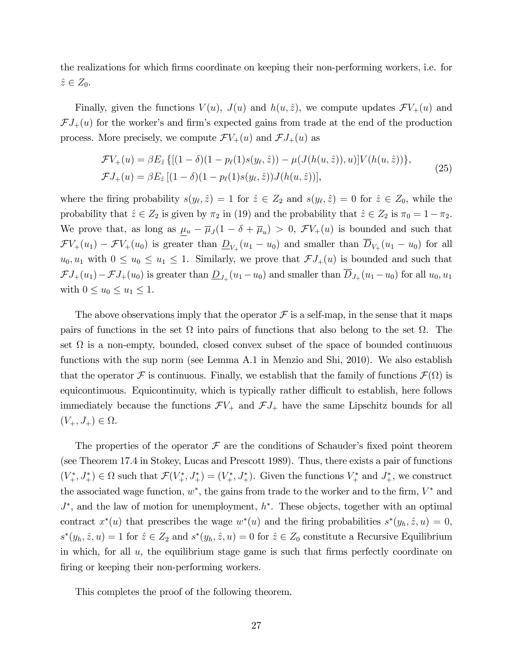the realizations for which firms coordinate on keeping their non-performing workers, i.e. for  $\hat{z} \in Z_0$ .

Finally, given the functions  $V(u)$ ,  $J(u)$  and  $h(u, \hat{z})$ , we compute updates  $\mathcal{F}V_+(u)$  and  $\mathcal{F}J_{+}(u)$  for the worker's and firm's expected gains from trade at the end of the production process. More precisely, we compute  $\mathcal{F}V_+(u)$  and  $\mathcal{F}J_+(u)$  as

$$
\mathcal{F}V_{+}(u) = \beta E_{\hat{z}} \{ [(1 - \delta)(1 - p_{\ell}(1)s(y_{\ell}, \hat{z})) - \mu(J(h(u, \hat{z})), u)] V(h(u, \hat{z})) \},
$$
  

$$
\mathcal{F}J_{+}(u) = \beta E_{\hat{z}} [(1 - \delta)(1 - p_{\ell}(1)s(y_{\ell}, \hat{z})) J(h(u, \hat{z}))],
$$
 (25)

where the firing probability  $s(y_\ell, \hat{z}) = 1$  for  $\hat{z} \in Z_2$  and  $s(y_\ell, \hat{z}) = 0$  for  $\hat{z} \in Z_0$ , while the probability that  $\hat{z} \in Z_2$  is given by  $\pi_2$  in (19) and the probability that  $\hat{z} \in Z_2$  is  $\pi_0 = 1 - \pi_2$ . We prove that, as long as  $\underline{\mu}_u - \overline{\mu}_J(1 - \delta + \overline{\mu}_u) > 0$ ,  $\mathcal{F}V_+(u)$  is bounded and such that  $\mathcal{F}V_+(u_1) - \mathcal{F}V_+(u_0)$  is greater than  $\underline{D}_{V_+}(u_1 - u_0)$  and smaller than  $D_{V_+}(u_1 - u_0)$  for all  $u_0, u_1$  with  $0 \le u_0 \le u_1 \le 1$ . Similarly, we prove that  $\mathcal{F}J_+(u)$  is bounded and such that  $\mathcal{F}J_+(u_1) - \mathcal{F}J_+(u_0)$  is greater than  $\underline{D}_{J_+}(u_1 - u_0)$  and smaller than  $D_{J_+}(u_1 - u_0)$  for all  $u_0, u_1$ with  $0 \leq u_0 \leq u_1 \leq 1$ .

The above observations imply that the operator  $\mathcal F$  is a self-map, in the sense that it maps pairs of functions in the set  $\Omega$  into pairs of functions that also belong to the set  $\Omega$ . The set  $\Omega$  is a non-empty, bounded, closed convex subset of the space of bounded continuous functions with the sup norm (see Lemma A.1 in Menzio and Shi, 2010). We also establish that the operator  $\mathcal F$  is continuous. Finally, we establish that the family of functions  $\mathcal F(\Omega)$  is equicontinuous. Equicontinuity, which is typically rather difficult to establish, here follows immediately because the functions  $\mathcal{F}V_+$  and  $\mathcal{F}J_+$  have the same Lipschitz bounds for all  $(V_+, J_+) \in \Omega.$ 

The properties of the operator  $\mathcal F$  are the conditions of Schauder's fixed point theorem (see Theorem 17.4 in Stokey, Lucas and Prescott 1989). Thus, there exists a pair of functions  $(V^*_+, J^*_+) \in \Omega$  such that  $\mathcal{F}(V^*_+, J^*_+) = (V^*_+, J^*_+)$ . Given the functions  $V^*_+$  and  $J^*_+$ , we construct the associated wage function,  $w^*$ , the gains from trade to the worker and to the firm,  $V^*$  and  $J^*$ , and the law of motion for unemployment,  $h^*$ . These objects, together with an optimal contract  $x^*(u)$  that prescribes the wage  $w^*(u)$  and the firing probabilities  $s^*(y_h, \hat{z}, u) = 0$ ,  $s^*(y_h, \hat{z}, u) = 1$  for  $\hat{z} \in Z_2$  and  $s^*(y_h, \hat{z}, u) = 0$  for  $\hat{z} \in Z_0$  constitute a Recursive Equilibrium in which, for all  $u$ , the equilibrium stage game is such that firms perfectly coordinate on firing or keeping their non-performing workers.

This completes the proof of the following theorem.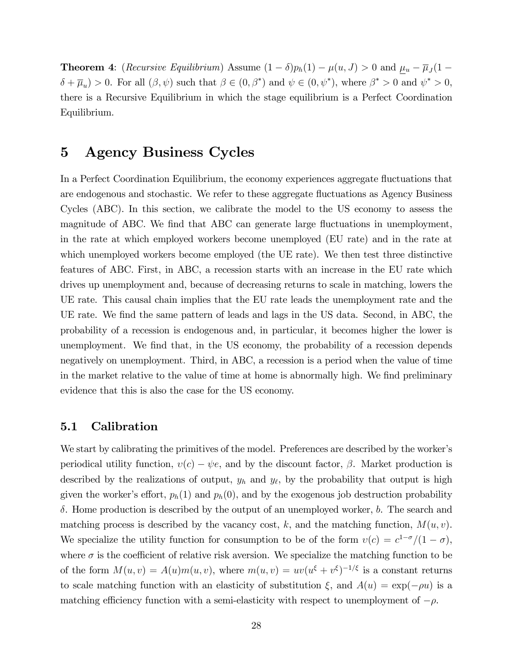**Theorem 4**: (*Recursive Equilibrium*) Assume  $(1 - \delta)p_h(1) - \mu(u, J) > 0$  and  $\underline{\mu}_u - \overline{\mu}_J(1 \delta + \overline{\mu}_u$  > 0. For all  $(\beta, \psi)$  such that  $\beta \in (0, \beta^*)$  and  $\psi \in (0, \psi^*)$ , where  $\beta^* > 0$  and  $\psi^* > 0$ , there is a Recursive Equilibrium in which the stage equilibrium is a Perfect Coordination Equilibrium.

## 5 Agency Business Cycles

In a Perfect Coordination Equilibrium, the economy experiences aggregate fluctuations that are endogenous and stochastic. We refer to these aggregate áuctuations as Agency Business Cycles (ABC). In this section, we calibrate the model to the US economy to assess the magnitude of ABC. We find that ABC can generate large fluctuations in unemployment, in the rate at which employed workers become unemployed (EU rate) and in the rate at which unemployed workers become employed (the UE rate). We then test three distinctive features of ABC. First, in ABC, a recession starts with an increase in the EU rate which drives up unemployment and, because of decreasing returns to scale in matching, lowers the UE rate. This causal chain implies that the EU rate leads the unemployment rate and the UE rate. We find the same pattern of leads and lags in the US data. Second, in ABC, the probability of a recession is endogenous and, in particular, it becomes higher the lower is unemployment. We find that, in the US economy, the probability of a recession depends negatively on unemployment. Third, in ABC, a recession is a period when the value of time in the market relative to the value of time at home is abnormally high. We find preliminary evidence that this is also the case for the US economy.

### 5.1 Calibration

We start by calibrating the primitives of the model. Preferences are described by the worker's periodical utility function,  $v(c) - \psi e$ , and by the discount factor,  $\beta$ . Market production is described by the realizations of output,  $y_h$  and  $y_\ell$ , by the probability that output is high given the worker's effort,  $p_h(1)$  and  $p_h(0)$ , and by the exogenous job destruction probability  $\delta$ . Home production is described by the output of an unemployed worker,  $b$ . The search and matching process is described by the vacancy cost, k, and the matching function,  $M(u, v)$ . We specialize the utility function for consumption to be of the form  $v(c) = c^{1-\sigma}/(1-\sigma)$ , where  $\sigma$  is the coefficient of relative risk aversion. We specialize the matching function to be of the form  $M(u, v) = A(u)m(u, v)$ , where  $m(u, v) = uv(u^{\xi} + v^{\xi})^{-1/\xi}$  is a constant returns to scale matching function with an elasticity of substitution  $\xi$ , and  $A(u) = \exp(-\rho u)$  is a matching efficiency function with a semi-elasticity with respect to unemployment of  $-\rho$ .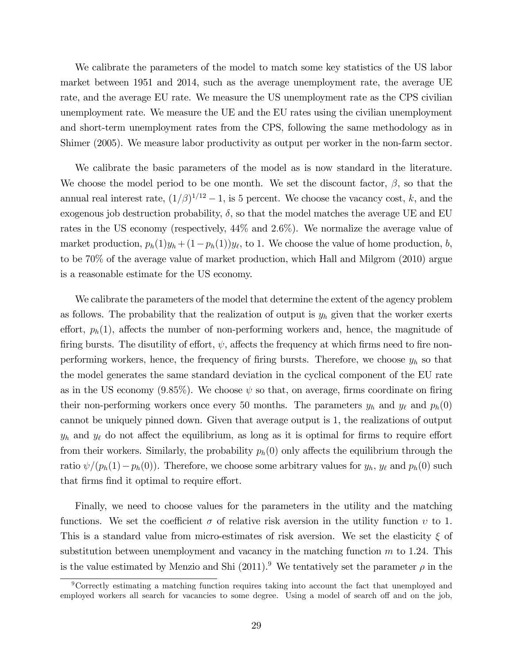We calibrate the parameters of the model to match some key statistics of the US labor market between 1951 and 2014, such as the average unemployment rate, the average UE rate, and the average EU rate. We measure the US unemployment rate as the CPS civilian unemployment rate. We measure the UE and the EU rates using the civilian unemployment and short-term unemployment rates from the CPS, following the same methodology as in Shimer (2005). We measure labor productivity as output per worker in the non-farm sector.

We calibrate the basic parameters of the model as is now standard in the literature. We choose the model period to be one month. We set the discount factor,  $\beta$ , so that the annual real interest rate,  $(1/\beta)^{1/12} - 1$ , is 5 percent. We choose the vacancy cost, k, and the exogenous job destruction probability,  $\delta$ , so that the model matches the average UE and EU rates in the US economy (respectively, 44% and 2:6%). We normalize the average value of market production,  $p_h(1)y_h + (1-p_h(1))y_\ell$ , to 1. We choose the value of home production, b, to be 70% of the average value of market production, which Hall and Milgrom (2010) argue is a reasonable estimate for the US economy.

We calibrate the parameters of the model that determine the extent of the agency problem as follows. The probability that the realization of output is  $y_h$  given that the worker exerts effort,  $p_h(1)$ , affects the number of non-performing workers and, hence, the magnitude of firing bursts. The disutility of effort,  $\psi$ , affects the frequency at which firms need to fire nonperforming workers, hence, the frequency of firing bursts. Therefore, we choose  $y_h$  so that the model generates the same standard deviation in the cyclical component of the EU rate as in the US economy  $(9.85\%)$ . We choose  $\psi$  so that, on average, firms coordinate on firing their non-performing workers once every 50 months. The parameters  $y_h$  and  $y_\ell$  and  $p_h(0)$ cannot be uniquely pinned down. Given that average output is 1, the realizations of output  $y_h$  and  $y_\ell$  do not affect the equilibrium, as long as it is optimal for firms to require effort from their workers. Similarly, the probability  $p_h(0)$  only affects the equilibrium through the ratio  $\psi/(p_h(1)-p_h(0))$ . Therefore, we choose some arbitrary values for  $y_h$ ,  $y_\ell$  and  $p_h(0)$  such that firms find it optimal to require effort.

Finally, we need to choose values for the parameters in the utility and the matching functions. We set the coefficient  $\sigma$  of relative risk aversion in the utility function  $v$  to 1. This is a standard value from micro-estimates of risk aversion. We set the elasticity  $\xi$  of substitution between unemployment and vacancy in the matching function  $m$  to 1.24. This is the value estimated by Menzio and Shi (2011).<sup>9</sup> We tentatively set the parameter  $\rho$  in the

<sup>&</sup>lt;sup>9</sup>Correctly estimating a matching function requires taking into account the fact that unemployed and employed workers all search for vacancies to some degree. Using a model of search off and on the job,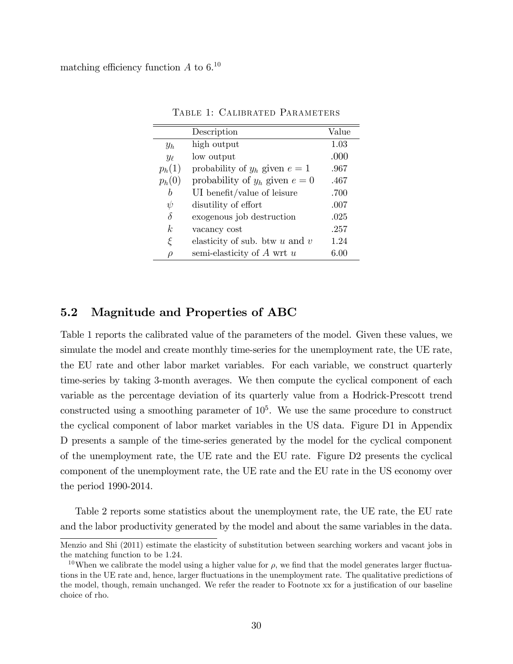|                  | Description                        | Value    |
|------------------|------------------------------------|----------|
| $y_h$            | high output                        | 1.03     |
| $y_{\ell}$       | low output                         | .000     |
| $p_h(1)$         | probability of $y_h$ given $e=1$   | .967     |
| $p_h(0)$         | probability of $y_h$ given $e = 0$ | .467     |
| b                | UI benefit/value of leisure        | .700     |
| $\psi$           | disublity of effort                | .007     |
| $\delta$         | exogenous job destruction          | .025     |
| $\boldsymbol{k}$ | vacancy cost                       | .257     |
| ξ                | elasticity of sub. btw $u$ and $v$ | 1.24     |
| ρ                | semi-elasticity of $A$ wrt $u$     | $6.00\,$ |

Table 1: Calibrated Parameters

### 5.2 Magnitude and Properties of ABC

Table 1 reports the calibrated value of the parameters of the model. Given these values, we simulate the model and create monthly time-series for the unemployment rate, the UE rate, the EU rate and other labor market variables. For each variable, we construct quarterly time-series by taking 3-month averages. We then compute the cyclical component of each variable as the percentage deviation of its quarterly value from a Hodrick-Prescott trend constructed using a smoothing parameter of  $10<sup>5</sup>$ . We use the same procedure to construct the cyclical component of labor market variables in the US data. Figure D1 in Appendix D presents a sample of the time-series generated by the model for the cyclical component of the unemployment rate, the UE rate and the EU rate. Figure D2 presents the cyclical component of the unemployment rate, the UE rate and the EU rate in the US economy over the period 1990-2014.

Table 2 reports some statistics about the unemployment rate, the UE rate, the EU rate and the labor productivity generated by the model and about the same variables in the data.

Menzio and Shi (2011) estimate the elasticity of substitution between searching workers and vacant jobs in the matching function to be 1:24.

<sup>&</sup>lt;sup>10</sup>When we calibrate the model using a higher value for  $\rho$ , we find that the model generates larger fluctuations in the UE rate and, hence, larger fluctuations in the unemployment rate. The qualitative predictions of the model, though, remain unchanged. We refer the reader to Footnote xx for a justification of our baseline choice of rho.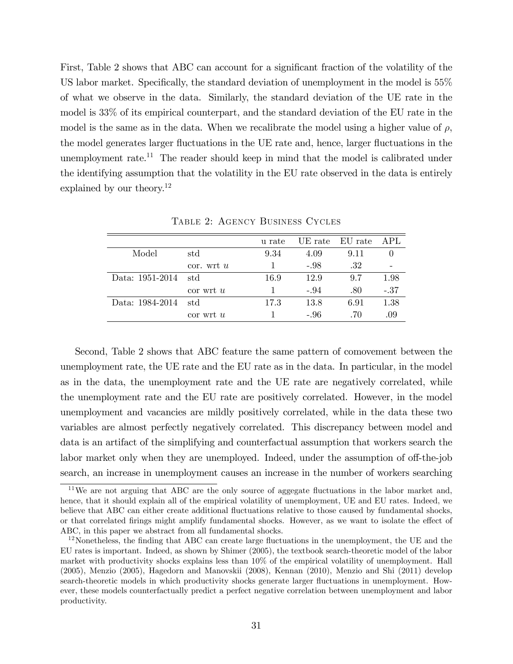First, Table 2 shows that ABC can account for a significant fraction of the volatility of the US labor market. Specifically, the standard deviation of unemployment in the model is  $55\%$ of what we observe in the data. Similarly, the standard deviation of the UE rate in the model is 33% of its empirical counterpart, and the standard deviation of the EU rate in the model is the same as in the data. When we recalibrate the model using a higher value of  $\rho$ , the model generates larger fluctuations in the UE rate and, hence, larger fluctuations in the unemployment rate.<sup>11</sup> The reader should keep in mind that the model is calibrated under the identifying assumption that the volatility in the EU rate observed in the data is entirely explained by our theory.<sup>12</sup>

|                 |                | u rate | UE rate | EU rate | APL    |
|-----------------|----------------|--------|---------|---------|--------|
| Model           | std            | 9.34   | 4.09    | 9.11    |        |
|                 | $\cot$ . wrt u |        | $-.98$  | .32     |        |
| Data: 1951-2014 | std            | 16.9   | 12.9    | 9.7     | 1.98   |
|                 | $\cot$ wrt u   |        | $-.94$  | .80     | $-.37$ |
| Data: 1984-2014 | std            | 17.3   | 13.8    | 6.91    | 1.38   |
|                 | $\cot$ wrt $u$ |        | $-.96$  | .70     | .09    |

Table 2: Agency Business Cycles

Second, Table 2 shows that ABC feature the same pattern of comovement between the unemployment rate, the UE rate and the EU rate as in the data. In particular, in the model as in the data, the unemployment rate and the UE rate are negatively correlated, while the unemployment rate and the EU rate are positively correlated. However, in the model unemployment and vacancies are mildly positively correlated, while in the data these two variables are almost perfectly negatively correlated. This discrepancy between model and data is an artifact of the simplifying and counterfactual assumption that workers search the labor market only when they are unemployed. Indeed, under the assumption of off-the-job search, an increase in unemployment causes an increase in the number of workers searching

 $11$ We are not arguing that ABC are the only source of aggegate fluctuations in the labor market and, hence, that it should explain all of the empirical volatility of unemployment, UE and EU rates. Indeed, we believe that ABC can either create additional fluctuations relative to those caused by fundamental shocks, or that correlated firings might amplify fundamental shocks. However, as we want to isolate the effect of ABC, in this paper we abstract from all fundamental shocks.

 $12$ Nonetheless, the finding that ABC can create large fluctuations in the unemployment, the UE and the EU rates is important. Indeed, as shown by Shimer (2005), the textbook search-theoretic model of the labor market with productivity shocks explains less than 10% of the empirical volatility of unemployment. Hall (2005), Menzio (2005), Hagedorn and Manovskii (2008), Kennan (2010), Menzio and Shi (2011) develop search-theoretic models in which productivity shocks generate larger fluctuations in unemployment. However, these models counterfactually predict a perfect negative correlation between unemployment and labor productivity.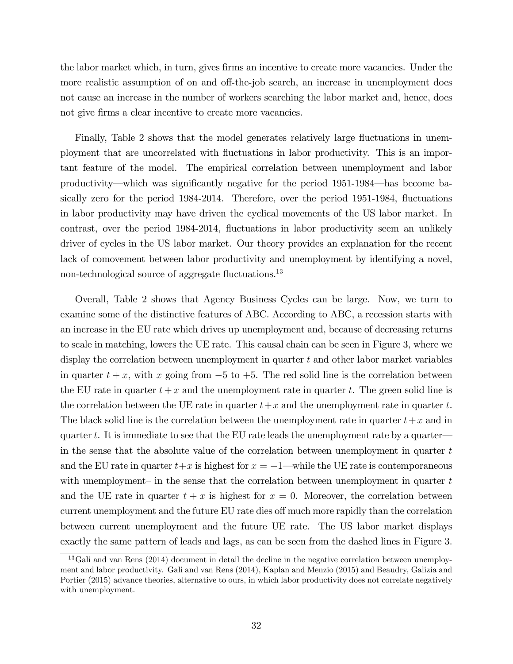the labor market which, in turn, gives firms an incentive to create more vacancies. Under the more realistic assumption of on and off-the-job search, an increase in unemployment does not cause an increase in the number of workers searching the labor market and, hence, does not give firms a clear incentive to create more vacancies.

Finally, Table 2 shows that the model generates relatively large fluctuations in unemployment that are uncorrelated with áuctuations in labor productivity. This is an important feature of the model. The empirical correlation between unemployment and labor productivity—which was significantly negative for the period 1951-1984—has become basically zero for the period 1984-2014. Therefore, over the period 1951-1984, fluctuations in labor productivity may have driven the cyclical movements of the US labor market. In contrast, over the period 1984-2014, fluctuations in labor productivity seem an unlikely driver of cycles in the US labor market. Our theory provides an explanation for the recent lack of comovement between labor productivity and unemployment by identifying a novel, non-technological source of aggregate fluctuations.<sup>13</sup>

Overall, Table 2 shows that Agency Business Cycles can be large. Now, we turn to examine some of the distinctive features of ABC. According to ABC, a recession starts with an increase in the EU rate which drives up unemployment and, because of decreasing returns to scale in matching, lowers the UE rate. This causal chain can be seen in Figure 3, where we display the correlation between unemployment in quarter  $t$  and other labor market variables in quarter  $t + x$ , with x going from  $-5$  to  $+5$ . The red solid line is the correlation between the EU rate in quarter  $t + x$  and the unemployment rate in quarter t. The green solid line is the correlation between the UE rate in quarter  $t+x$  and the unemployment rate in quarter t. The black solid line is the correlation between the unemployment rate in quarter  $t+x$  and in quarter  $t$ . It is immediate to see that the EU rate leads the unemployment rate by a quarter in the sense that the absolute value of the correlation between unemployment in quarter  $t$ and the EU rate in quarter  $t+x$  is highest for  $x = -1$ —while the UE rate is contemporaneous with unemployment in the sense that the correlation between unemployment in quarter  $t$ and the UE rate in quarter  $t + x$  is highest for  $x = 0$ . Moreover, the correlation between current unemployment and the future EU rate dies off much more rapidly than the correlation between current unemployment and the future UE rate. The US labor market displays exactly the same pattern of leads and lags, as can be seen from the dashed lines in Figure 3.

<sup>13</sup>Gali and van Rens (2014) document in detail the decline in the negative correlation between unemployment and labor productivity. Gali and van Rens (2014), Kaplan and Menzio (2015) and Beaudry, Galizia and Portier (2015) advance theories, alternative to ours, in which labor productivity does not correlate negatively with unemployment.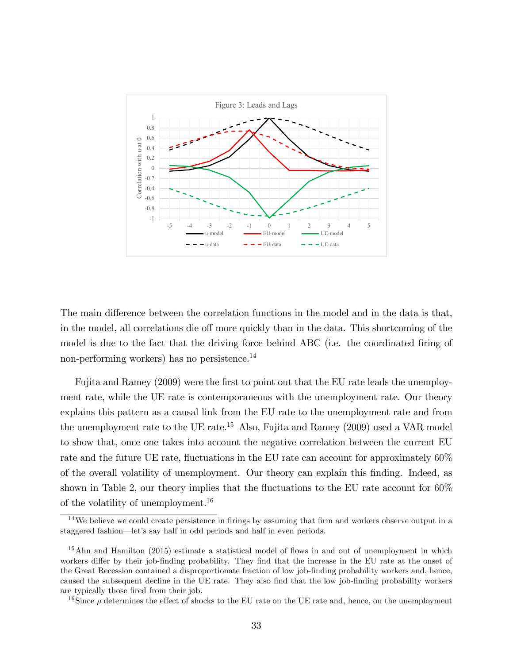

The main difference between the correlation functions in the model and in the data is that, in the model, all correlations die off more quickly than in the data. This shortcoming of the model is due to the fact that the driving force behind ABC (i.e. the coordinated firing of non-performing workers) has no persistence.<sup>14</sup>

Fujita and Ramey (2009) were the first to point out that the EU rate leads the unemployment rate, while the UE rate is contemporaneous with the unemployment rate. Our theory explains this pattern as a causal link from the EU rate to the unemployment rate and from the unemployment rate to the UE rate.<sup>15</sup> Also, Fujita and Ramey  $(2009)$  used a VAR model to show that, once one takes into account the negative correlation between the current EU rate and the future UE rate, fluctuations in the EU rate can account for approximately 60% of the overall volatility of unemployment. Our theory can explain this Önding. Indeed, as shown in Table 2, our theory implies that the fluctuations to the EU rate account for  $60\%$ of the volatility of unemployment.<sup>16</sup>

 $14$ We believe we could create persistence in firings by assuming that firm and workers observe output in a staggered fashion—let's say half in odd periods and half in even periods.

 $15$ Ahn and Hamilton (2015) estimate a statistical model of flows in and out of unemployment in which workers differ by their job-finding probability. They find that the increase in the EU rate at the onset of the Great Recession contained a disproportionate fraction of low job-finding probability workers and, hence, caused the subsequent decline in the UE rate. They also find that the low job-finding probability workers are typically those fired from their job.

<sup>&</sup>lt;sup>16</sup>Since  $\rho$  determines the effect of shocks to the EU rate on the UE rate and, hence, on the unemployment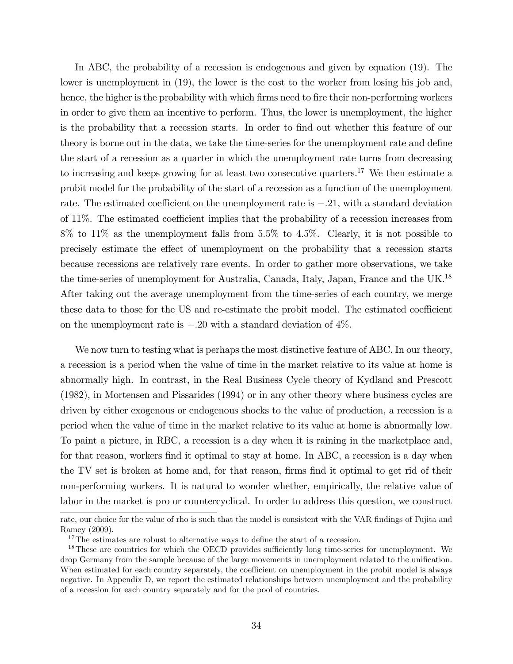In ABC, the probability of a recession is endogenous and given by equation (19). The lower is unemployment in (19), the lower is the cost to the worker from losing his job and, hence, the higher is the probability with which firms need to fire their non-performing workers in order to give them an incentive to perform. Thus, the lower is unemployment, the higher is the probability that a recession starts. In order to find out whether this feature of our theory is borne out in the data, we take the time-series for the unemployment rate and define the start of a recession as a quarter in which the unemployment rate turns from decreasing to increasing and keeps growing for at least two consecutive quarters.<sup>17</sup> We then estimate a probit model for the probability of the start of a recession as a function of the unemployment rate. The estimated coefficient on the unemployment rate is  $-.21$ , with a standard deviation of  $11\%$ . The estimated coefficient implies that the probability of a recession increases from  $8\%$  to  $11\%$  as the unemployment falls from  $5.5\%$  to  $4.5\%$ . Clearly, it is not possible to precisely estimate the effect of unemployment on the probability that a recession starts because recessions are relatively rare events. In order to gather more observations, we take the time-series of unemployment for Australia, Canada, Italy, Japan, France and the UK.<sup>18</sup> After taking out the average unemployment from the time-series of each country, we merge these data to those for the US and re-estimate the probit model. The estimated coefficient on the unemployment rate is  $-.20$  with a standard deviation of  $4\%$ .

We now turn to testing what is perhaps the most distinctive feature of ABC. In our theory, a recession is a period when the value of time in the market relative to its value at home is abnormally high. In contrast, in the Real Business Cycle theory of Kydland and Prescott (1982), in Mortensen and Pissarides (1994) or in any other theory where business cycles are driven by either exogenous or endogenous shocks to the value of production, a recession is a period when the value of time in the market relative to its value at home is abnormally low. To paint a picture, in RBC, a recession is a day when it is raining in the marketplace and, for that reason, workers find it optimal to stay at home. In ABC, a recession is a day when the TV set is broken at home and, for that reason, firms find it optimal to get rid of their non-performing workers. It is natural to wonder whether, empirically, the relative value of labor in the market is pro or countercyclical. In order to address this question, we construct

rate, our choice for the value of rho is such that the model is consistent with the VAR findings of Fujita and Ramey (2009).

 $17$ The estimates are robust to alternative ways to define the start of a recession.

 $18$ These are countries for which the OECD provides sufficiently long time-series for unemployment. We drop Germany from the sample because of the large movements in unemployment related to the unification. When estimated for each country separately, the coefficient on unemployment in the probit model is always negative. In Appendix D, we report the estimated relationships between unemployment and the probability of a recession for each country separately and for the pool of countries.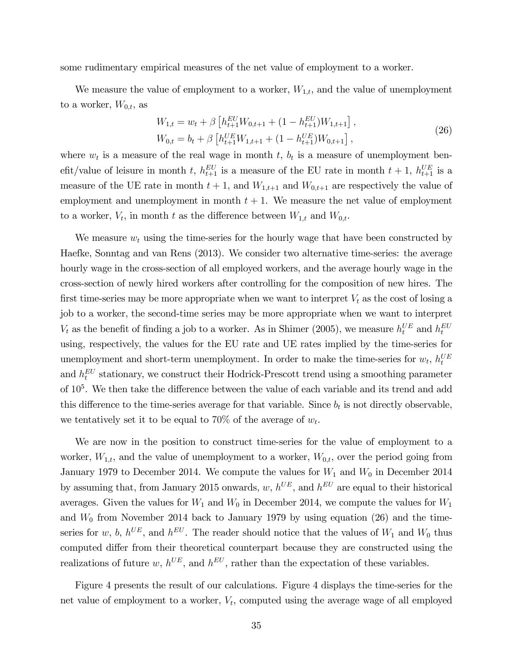some rudimentary empirical measures of the net value of employment to a worker.

We measure the value of employment to a worker,  $W_{1,t}$ , and the value of unemployment to a worker,  $W_{0,t}$ , as

$$
W_{1,t} = w_t + \beta \left[ h_{t+1}^{EU} W_{0,t+1} + (1 - h_{t+1}^{EU}) W_{1,t+1} \right],
$$
  
\n
$$
W_{0,t} = b_t + \beta \left[ h_{t+1}^{UE} W_{1,t+1} + (1 - h_{t+1}^{UE}) W_{0,t+1} \right],
$$
\n(26)

where  $w_t$  is a measure of the real wage in month t,  $b_t$  is a measure of unemployment benefit/value of leisure in month t,  $h_{t+1}^{EU}$  is a measure of the EU rate in month  $t + 1$ ,  $h_{t+1}^{UE}$  is a measure of the UE rate in month  $t + 1$ , and  $W_{1,t+1}$  and  $W_{0,t+1}$  are respectively the value of employment and unemployment in month  $t + 1$ . We measure the net value of employment to a worker,  $V_t$ , in month t as the difference between  $W_{1,t}$  and  $W_{0,t}$ .

We measure  $w_t$  using the time-series for the hourly wage that have been constructed by Haefke, Sonntag and van Rens (2013). We consider two alternative time-series: the average hourly wage in the cross-section of all employed workers, and the average hourly wage in the cross-section of newly hired workers after controlling for the composition of new hires. The first time-series may be more appropriate when we want to interpret  $V_t$  as the cost of losing a job to a worker, the second-time series may be more appropriate when we want to interpret  $V_t$  as the benefit of finding a job to a worker. As in Shimer (2005), we measure  $h_t^{UE}$  and  $h_t^{EU}$ using, respectively, the values for the EU rate and UE rates implied by the time-series for unemployment and short-term unemployment. In order to make the time-series for  $w_t$ ,  $h_t^{UE}$ and  $h_t^{EU}$  stationary, we construct their Hodrick-Prescott trend using a smoothing parameter of  $10<sup>5</sup>$ . We then take the difference between the value of each variable and its trend and add this difference to the time-series average for that variable. Since  $b_t$  is not directly observable, we tentatively set it to be equal to 70% of the average of  $w_t$ .

We are now in the position to construct time-series for the value of employment to a worker,  $W_{1,t}$ , and the value of unemployment to a worker,  $W_{0,t}$ , over the period going from January 1979 to December 2014. We compute the values for  $W_1$  and  $W_0$  in December 2014 by assuming that, from January 2015 onwards,  $w, h^{UE}$ , and  $h^{EU}$  are equal to their historical averages. Given the values for  $W_1$  and  $W_0$  in December 2014, we compute the values for  $W_1$ and  $W_0$  from November 2014 back to January 1979 by using equation (26) and the timeseries for w, b,  $h^{UE}$ , and  $h^{EU}$ . The reader should notice that the values of  $W_1$  and  $W_0$  thus computed differ from their theoretical counterpart because they are constructed using the realizations of future w,  $h^{UE}$ , and  $h^{EU}$ , rather than the expectation of these variables.

Figure 4 presents the result of our calculations. Figure 4 displays the time-series for the net value of employment to a worker,  $V_t$ , computed using the average wage of all employed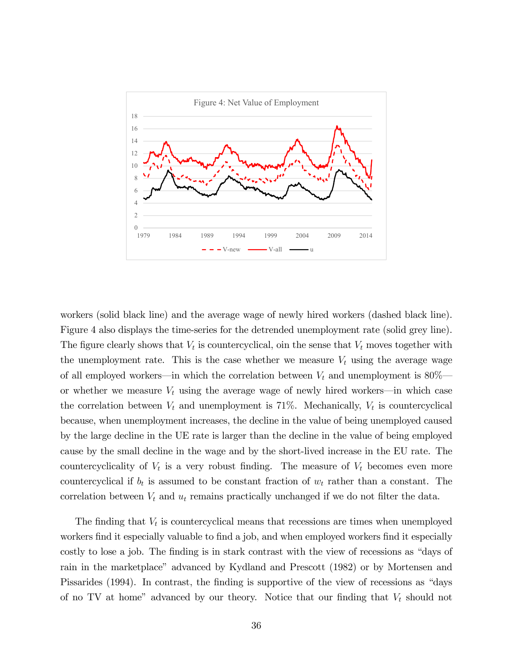

workers (solid black line) and the average wage of newly hired workers (dashed black line). Figure 4 also displays the time-series for the detrended unemployment rate (solid grey line). The figure clearly shows that  $V_t$  is countercyclical, oin the sense that  $V_t$  moves together with the unemployment rate. This is the case whether we measure  $V_t$  using the average wage of all employed workers—in which the correlation between  $V_t$  and unemployment is 80% or whether we measure  $V_t$  using the average wage of newly hired workers—in which case the correlation between  $V_t$  and unemployment is 71%. Mechanically,  $V_t$  is countercyclical because, when unemployment increases, the decline in the value of being unemployed caused by the large decline in the UE rate is larger than the decline in the value of being employed cause by the small decline in the wage and by the short-lived increase in the EU rate. The countercyclicality of  $V_t$  is a very robust finding. The measure of  $V_t$  becomes even more countercyclical if  $b_t$  is assumed to be constant fraction of  $w_t$  rather than a constant. The correlation between  $V_t$  and  $u_t$  remains practically unchanged if we do not filter the data.

The finding that  $V_t$  is countercyclical means that recessions are times when unemployed workers find it especially valuable to find a job, and when employed workers find it especially costly to lose a job. The finding is in stark contrast with the view of recessions as "days of rain in the marketplace" advanced by Kydland and Prescott (1982) or by Mortensen and Pissarides (1994). In contrast, the finding is supportive of the view of recessions as "days" of no TV at home" advanced by our theory. Notice that our finding that  $V_t$  should not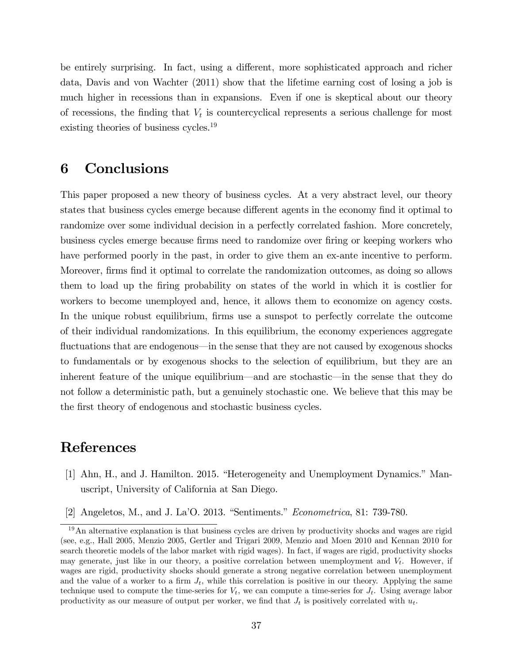be entirely surprising. In fact, using a different, more sophisticated approach and richer data, Davis and von Wachter (2011) show that the lifetime earning cost of losing a job is much higher in recessions than in expansions. Even if one is skeptical about our theory of recessions, the finding that  $V_t$  is countercyclical represents a serious challenge for most existing theories of business cycles.<sup>19</sup>

## 6 Conclusions

This paper proposed a new theory of business cycles. At a very abstract level, our theory states that business cycles emerge because different agents in the economy find it optimal to randomize over some individual decision in a perfectly correlated fashion. More concretely, business cycles emerge because Örms need to randomize over Öring or keeping workers who have performed poorly in the past, in order to give them an ex-ante incentive to perform. Moreover, firms find it optimal to correlate the randomization outcomes, as doing so allows them to load up the Öring probability on states of the world in which it is costlier for workers to become unemployed and, hence, it allows them to economize on agency costs. In the unique robust equilibrium, firms use a sunspot to perfectly correlate the outcome of their individual randomizations. In this equilibrium, the economy experiences aggregate fluctuations that are endogenous—in the sense that they are not caused by exogenous shocks to fundamentals or by exogenous shocks to the selection of equilibrium, but they are an inherent feature of the unique equilibrium—and are stochastic—in the sense that they do not follow a deterministic path, but a genuinely stochastic one. We believe that this may be the first theory of endogenous and stochastic business cycles.

### References

- [1] Ahn, H., and J. Hamilton. 2015. "Heterogeneity and Unemployment Dynamics." Manuscript, University of California at San Diego.
- [2] Angeletos, M., and J. La<sup> $\cdot$ </sup>O. 2013. "Sentiments." *Econometrica*, 81: 739-780.

 $19$ An alternative explanation is that business cycles are driven by productivity shocks and wages are rigid (see, e.g., Hall 2005, Menzio 2005, Gertler and Trigari 2009, Menzio and Moen 2010 and Kennan 2010 for search theoretic models of the labor market with rigid wages). In fact, if wages are rigid, productivity shocks may generate, just like in our theory, a positive correlation between unemployment and  $V_t$ . However, if wages are rigid, productivity shocks should generate a strong negative correlation between unemployment and the value of a worker to a firm  $J_t$ , while this correlation is positive in our theory. Applying the same technique used to compute the time-series for  $V_t$ , we can compute a time-series for  $J_t$ . Using average labor productivity as our measure of output per worker, we find that  $J_t$  is positively correlated with  $u_t$ .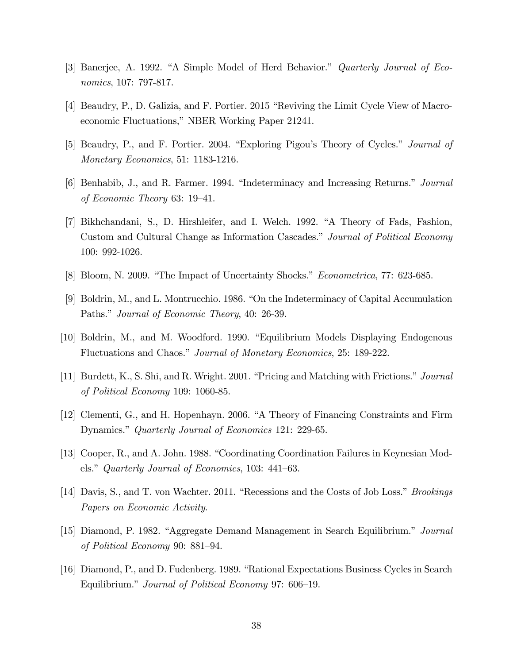- [3] Banerjee, A. 1992. "A Simple Model of Herd Behavior." *Quarterly Journal of Eco*nomics, 107: 797-817.
- [4] Beaudry, P., D. Galizia, and F. Portier. 2015 "Reviving the Limit Cycle View of Macroeconomic Fluctuations," NBER Working Paper 21241.
- [5] Beaudry, P., and F. Portier. 2004. "Exploring Pigou's Theory of Cycles." *Journal of* Monetary Economics, 51: 1183-1216.
- [6] Benhabib, J., and R. Farmer. 1994. "Indeterminacy and Increasing Returns." *Journal* of Economic Theory  $63: 19-41$ .
- [7] Bikhchandani, S., D. Hirshleifer, and I. Welch. 1992. "A Theory of Fads, Fashion, Custom and Cultural Change as Information Cascades." Journal of Political Economy 100: 992-1026.
- [8] Bloom, N. 2009. "The Impact of Uncertainty Shocks." *Econometrica*, 77: 623-685.
- [9] Boldrin, M., and L. Montrucchio. 1986. "On the Indeterminacy of Capital Accumulation Paths." *Journal of Economic Theory*, 40: 26-39.
- [10] Boldrin, M., and M. Woodford. 1990. "Equilibrium Models Displaying Endogenous Fluctuations and Chaos." Journal of Monetary Economics, 25: 189-222.
- [11] Burdett, K., S. Shi, and R. Wright. 2001. "Pricing and Matching with Frictions." *Journal* of Political Economy 109: 1060-85.
- [12] Clementi, G., and H. Hopenhayn. 2006. "A Theory of Financing Constraints and Firm Dynamics." Quarterly Journal of Economics 121: 229-65.
- [13] Cooper, R., and A. John. 1988. "Coordinating Coordination Failures in Keynesian Models." Quarterly Journal of Economics, 103:  $441-63$ .
- [14] Davis, S., and T. von Wachter. 2011. "Recessions and the Costs of Job Loss." *Brookings* Papers on Economic Activity.
- [15] Diamond, P. 1982. "Aggregate Demand Management in Search Equilibrium." Journal of Political Economy 90: 881–94.
- [16] Diamond, P., and D. Fudenberg. 1989. "Rational Expectations Business Cycles in Search Equilibrium." Journal of Political Economy 97: 606–19.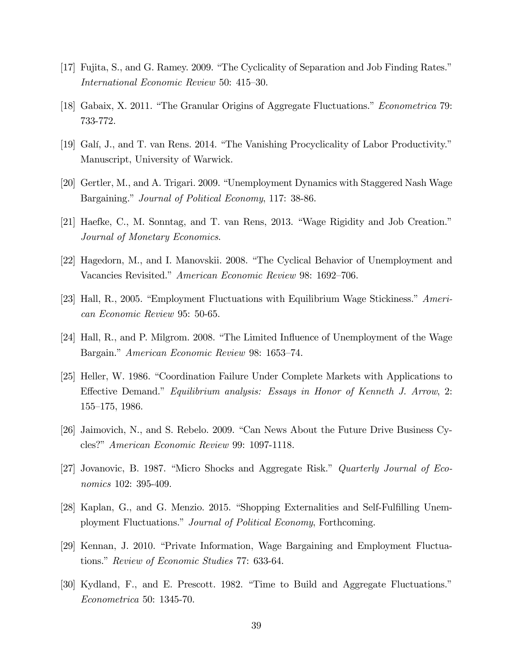- [17] Fujita, S., and G. Ramey. 2009. "The Cyclicality of Separation and Job Finding Rates." International Economic Review 50: 415–30.
- [18] Gabaix, X. 2011. "The Granular Origins of Aggregate Fluctuations." *Econometrica* 79: 733-772.
- [19] Galí, J., and T. van Rens. 2014. "The Vanishing Procyclicality of Labor Productivity." Manuscript, University of Warwick.
- [20] Gertler, M., and A. Trigari. 2009. "Unemployment Dynamics with Staggered Nash Wage Bargaining." Journal of Political Economy, 117: 38-86.
- $[21]$  Haefke, C., M. Sonntag, and T. van Rens, 2013. "Wage Rigidity and Job Creation." Journal of Monetary Economics.
- [22] Hagedorn, M., and I. Manovskii. 2008. "The Cyclical Behavior of Unemployment and Vacancies Revisited." American Economic Review 98: 1692–706.
- [23] Hall, R., 2005. "Employment Fluctuations with Equilibrium Wage Stickiness."  $American$ can Economic Review 95: 50-65.
- [24] Hall, R., and P. Milgrom. 2008. "The Limited Influence of Unemployment of the Wage Bargain." American Economic Review 98: 1653–74.
- [25] Heller, W. 1986. "Coordination Failure Under Complete Markets with Applications to Effective Demand." Equilibrium analysis: Essays in Honor of Kenneth J. Arrow, 2:  $155-175$ , 1986.
- [26] Jaimovich, N., and S. Rebelo. 2009. "Can News About the Future Drive Business Cycles?" American Economic Review 99: 1097-1118.
- [27] Jovanovic, B. 1987. "Micro Shocks and Aggregate Risk." *Quarterly Journal of Eco*nomics 102: 395-409.
- [28] Kaplan, G., and G. Menzio. 2015. "Shopping Externalities and Self-Fulfilling Unemployment Fluctuations." Journal of Political Economy, Forthcoming.
- [29] Kennan, J. 2010. "Private Information, Wage Bargaining and Employment Fluctuations." Review of Economic Studies 77: 633-64.
- [30] Kydland, F., and E. Prescott. 1982. "Time to Build and Aggregate Fluctuations." Econometrica 50: 1345-70.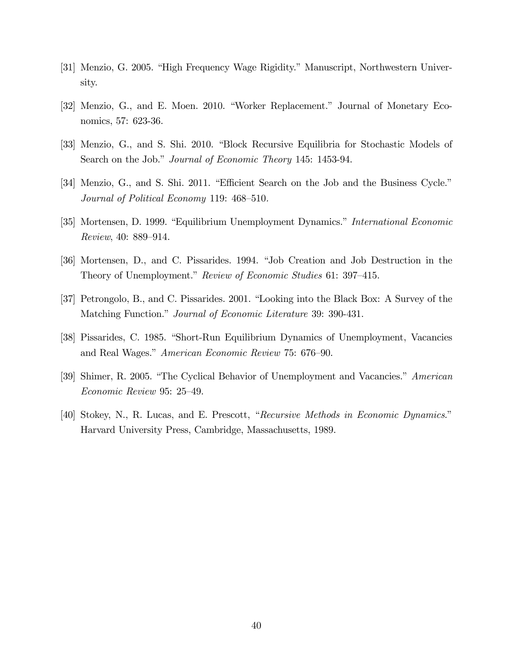- [31] Menzio, G. 2005. "High Frequency Wage Rigidity." Manuscript, Northwestern University.
- [32] Menzio, G., and E. Moen. 2010. "Worker Replacement." Journal of Monetary Economics, 57: 623-36.
- [33] Menzio, G., and S. Shi. 2010. "Block Recursive Equilibria for Stochastic Models of Search on the Job." Journal of Economic Theory 145: 1453-94.
- [34] Menzio, G., and S. Shi. 2011. "Efficient Search on the Job and the Business Cycle." Journal of Political Economy 119: 468–510.
- [35] Mortensen, D. 1999. "Equilibrium Unemployment Dynamics." International Economic Review, 40: 889–914.
- [36] Mortensen, D., and C. Pissarides. 1994. "Job Creation and Job Destruction in the Theory of Unemployment." Review of Economic Studies 61: 397–415.
- [37] Petrongolo, B., and C. Pissarides. 2001. "Looking into the Black Box: A Survey of the Matching Function." *Journal of Economic Literature* 39: 390-431.
- [38] Pissarides, C. 1985. "Short-Run Equilibrium Dynamics of Unemployment, Vacancies and Real Wages." American Economic Review 75: 676–90.
- [39] Shimer, R. 2005. "The Cyclical Behavior of Unemployment and Vacancies." American Economic Review 95: 25–49.
- [40] Stokey, N., R. Lucas, and E. Prescott, "Recursive Methods in Economic Dynamics." Harvard University Press, Cambridge, Massachusetts, 1989.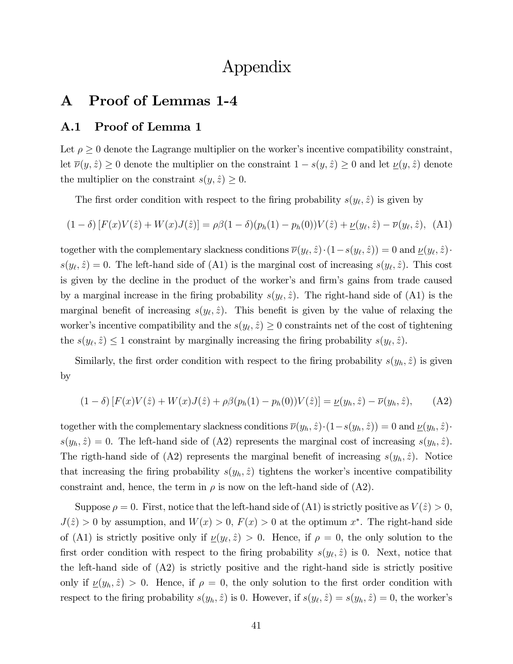## Appendix

## A Proof of Lemmas 1-4

### A.1 Proof of Lemma 1

Let  $\rho \geq 0$  denote the Lagrange multiplier on the worker's incentive compatibility constraint, let  $\overline{\nu}(y, \hat{z}) \ge 0$  denote the multiplier on the constraint  $1 - s(y, \hat{z}) \ge 0$  and let  $\underline{\nu}(y, \hat{z})$  denote the multiplier on the constraint  $s(y, \hat{z}) \geq 0$ .

The first order condition with respect to the firing probability  $s(y_\ell, \hat{z})$  is given by

$$
(1 - \delta) [F(x)V(\hat{z}) + W(x)J(\hat{z})] = \rho \beta (1 - \delta)(p_h(1) - p_h(0))V(\hat{z}) + \underline{\nu}(y_\ell, \hat{z}) - \overline{\nu}(y_\ell, \hat{z}), \quad (A1)
$$

together with the complementary slackness conditions  $\overline{\nu}(y_\ell, \hat{z}) \cdot (1 - s(y_\ell, \hat{z})) = 0$  and  $\underline{\nu}(y_\ell, \hat{z}) \cdot$  $s(y_\ell, \hat{z}) = 0$ . The left-hand side of (A1) is the marginal cost of increasing  $s(y_\ell, \hat{z})$ . This cost is given by the decline in the product of the worker's and firm's gains from trade caused by a marginal increase in the firing probability  $s(y_\ell, \hat{z})$ . The right-hand side of (A1) is the marginal benefit of increasing  $s(y_\ell, \hat{z})$ . This benefit is given by the value of relaxing the worker's incentive compatibility and the  $s(y_\ell, \hat{z}) \geq 0$  constraints net of the cost of tightening the  $s(y_\ell, \hat{z}) \leq 1$  constraint by marginally increasing the firing probability  $s(y_\ell, \hat{z})$ .

Similarly, the first order condition with respect to the firing probability  $s(y_h, \hat{z})$  is given by

$$
(1 - \delta) [F(x)V(\hat{z}) + W(x)J(\hat{z}) + \rho \beta (p_h(1) - p_h(0))V(\hat{z})] = \underline{\nu}(y_h, \hat{z}) - \overline{\nu}(y_h, \hat{z}), \quad (A2)
$$

together with the complementary slackness conditions  $\overline{\nu}(y_h, \hat{z})\cdot(1-s(y_h, \hat{z})) = 0$  and  $\underline{\nu}(y_h, \hat{z})\cdot$  $s(y_h, \hat{z}) = 0$ . The left-hand side of (A2) represents the marginal cost of increasing  $s(y_h, \hat{z})$ . The rigth-hand side of (A2) represents the marginal benefit of increasing  $s(y_h, \hat{z})$ . Notice that increasing the firing probability  $s(y_h, \hat{z})$  tightens the worker's incentive compatibility constraint and, hence, the term in  $\rho$  is now on the left-hand side of (A2).

Suppose  $\rho = 0$ . First, notice that the left-hand side of (A1) is strictly positive as  $V(\hat{z}) > 0$ ,  $J(\hat{z}) > 0$  by assumption, and  $W(x) > 0$ ,  $F(x) > 0$  at the optimum  $x^*$ . The right-hand side of (A1) is strictly positive only if  $\underline{\nu}(y_\ell, \hat{z}) > 0$ . Hence, if  $\rho = 0$ , the only solution to the first order condition with respect to the firing probability  $s(y_\ell, \hat{z})$  is 0. Next, notice that the left-hand side of (A2) is strictly positive and the right-hand side is strictly positive only if  $\underline{\nu}(y_h, \hat{z}) > 0$ . Hence, if  $\rho = 0$ , the only solution to the first order condition with respect to the firing probability  $s(y_h, \hat{z})$  is 0. However, if  $s(y_\ell, \hat{z}) = s(y_h, \hat{z}) = 0$ , the worker's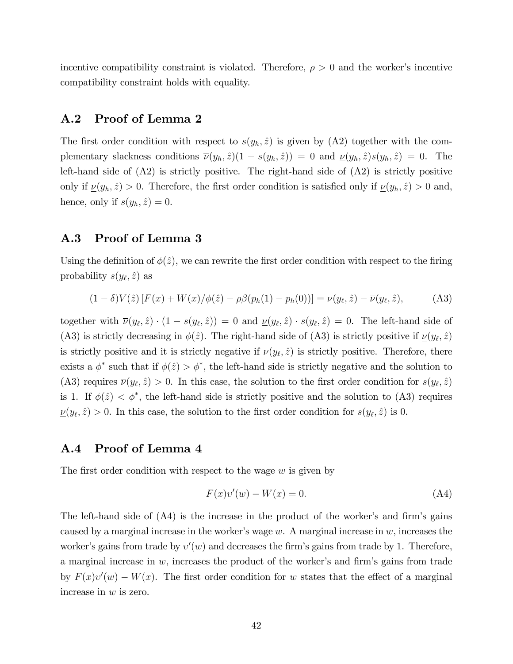incentive compatibility constraint is violated. Therefore,  $\rho > 0$  and the worker's incentive compatibility constraint holds with equality.

### A.2 Proof of Lemma 2

The first order condition with respect to  $s(y_h, \hat{z})$  is given by (A2) together with the complementary slackness conditions  $\overline{\nu}(y_h, \hat{z})(1 - s(y_h, \hat{z})) = 0$  and  $\underline{\nu}(y_h, \hat{z})s(y_h, \hat{z}) = 0$ . The left-hand side of (A2) is strictly positive. The right-hand side of (A2) is strictly positive only if  $\underline{\nu}(y_h, \hat{z}) > 0$ . Therefore, the first order condition is satisfied only if  $\underline{\nu}(y_h, \hat{z}) > 0$  and, hence, only if  $s(y_h, \hat{z}) = 0$ .

### A.3 Proof of Lemma 3

Using the definition of  $\phi(\hat{z})$ , we can rewrite the first order condition with respect to the firing probability  $s(y_\ell, \hat{z})$  as

$$
(1 - \delta)V(\hat{z}) [F(x) + W(x) / \phi(\hat{z}) - \rho \beta (p_h(1) - p_h(0))] = \underline{\nu}(y_\ell, \hat{z}) - \overline{\nu}(y_\ell, \hat{z}), \tag{A3}
$$

together with  $\overline{\nu}(y_{\ell}, \hat{z}) \cdot (1 - s(y_{\ell}, \hat{z})) = 0$  and  $\underline{\nu}(y_{\ell}, \hat{z}) \cdot s(y_{\ell}, \hat{z}) = 0$ . The left-hand side of (A3) is strictly decreasing in  $\phi(\hat{z})$ . The right-hand side of (A3) is strictly positive if  $\underline{\nu}(y_{\ell},\hat{z})$ is strictly positive and it is strictly negative if  $\overline{\nu}(y_\ell, \hat{z})$  is strictly positive. Therefore, there exists a  $\phi^*$  such that if  $\phi(\hat{z}) > \phi^*$ , the left-hand side is strictly negative and the solution to (A3) requires  $\overline{\nu}(y_\ell, \hat{z}) > 0$ . In this case, the solution to the first order condition for  $s(y_\ell, \hat{z})$ is 1. If  $\phi(\hat{z}) < \phi^*$ , the left-hand side is strictly positive and the solution to (A3) requires  $\underline{\nu}(y_{\ell},\hat{z}) > 0$ . In this case, the solution to the first order condition for  $s(y_{\ell},\hat{z})$  is 0.

### A.4 Proof of Lemma 4

The first order condition with respect to the wage  $w$  is given by

$$
F(x)v'(w) - W(x) = 0.
$$
 (A4)

The left-hand side of  $(A4)$  is the increase in the product of the worker's and firm's gains caused by a marginal increase in the worker's wage  $w$ . A marginal increase in  $w$ , increases the worker's gains from trade by  $v'(w)$  and decreases the firm's gains from trade by 1. Therefore, a marginal increase in  $w$ , increases the product of the worker's and firm's gains from trade by  $F(x)v'(w) - W(x)$ . The first order condition for w states that the effect of a marginal increase in w is zero.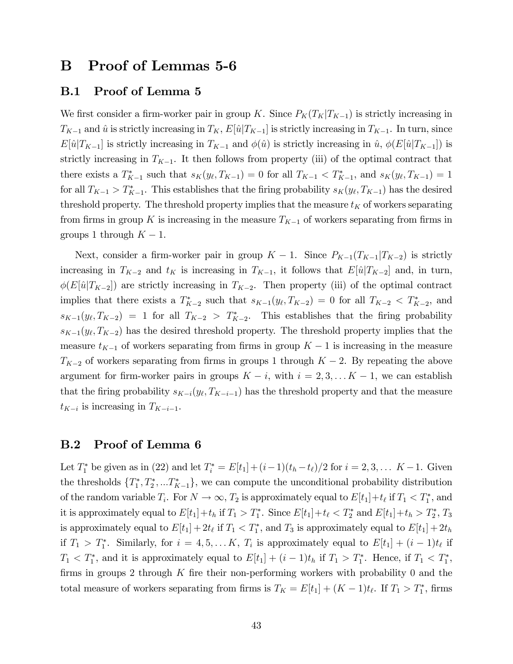## B Proof of Lemmas 5-6

### B.1 Proof of Lemma 5

We first consider a firm-worker pair in group K. Since  $P_K(T_K|T_{K-1})$  is strictly increasing in  $T_{K-1}$  and  $\hat{u}$  is strictly increasing in  $T_K$ ,  $E[\hat{u}|T_{K-1}]$  is strictly increasing in  $T_{K-1}$ . In turn, since  $E[\hat{u}|T_{K-1}]$  is strictly increasing in  $T_{K-1}$  and  $\phi(\hat{u})$  is strictly increasing in  $\hat{u}$ ,  $\phi(E[\hat{u}|T_{K-1}])$  is strictly increasing in  $T_{K-1}$ . It then follows from property (iii) of the optimal contract that there exists a  $T_{K-1}^*$  such that  $s_K(y_\ell, T_{K-1}) = 0$  for all  $T_{K-1} < T_{K-1}^*$ , and  $s_K(y_\ell, T_{K-1}) = 1$ for all  $T_{K-1} > T_{K-1}^*$ . This establishes that the firing probability  $s_K(y_\ell, T_{K-1})$  has the desired threshold property. The threshold property implies that the measure  $t_K$  of workers separating from firms in group K is increasing in the measure  $T_{K-1}$  of workers separating from firms in groups 1 through  $K - 1$ .

Next, consider a firm-worker pair in group  $K - 1$ . Since  $P_{K-1}(T_{K-1}|T_{K-2})$  is strictly increasing in  $T_{K-2}$  and  $t_K$  is increasing in  $T_{K-1}$ , it follows that  $E[\hat{u}|T_{K-2}]$  and, in turn,  $\phi(E[\hat{u}|T_{K-2}])$  are strictly increasing in  $T_{K-2}$ . Then property (iii) of the optimal contract implies that there exists a  $T_{K-2}^*$  such that  $s_{K-1}(y_\ell, T_{K-2}) = 0$  for all  $T_{K-2} < T_{K-2}^*$ , and  $s_{K-1}(y_{\ell}, T_{K-2}) = 1$  for all  $T_{K-2} > T_{K-2}^*$ . This establishes that the firing probability  $s_{K-1}(y_{\ell}, T_{K-2})$  has the desired threshold property. The threshold property implies that the measure  $t_{K-1}$  of workers separating from firms in group  $K-1$  is increasing in the measure  $T_{K-2}$  of workers separating from firms in groups 1 through  $K - 2$ . By repeating the above argument for firm-worker pairs in groups  $K - i$ , with  $i = 2, 3, \ldots K - 1$ , we can establish that the firing probability  $s_{K-i}(y_{\ell}, T_{K-i-1})$  has the threshold property and that the measure  $t_{K-i}$  is increasing in  $T_{K-i-1}$ .

### B.2 Proof of Lemma 6

Let  $T_1^*$  be given as in (22) and let  $T_i^* = E[t_1] + (i-1)(t_h - t_\ell)/2$  for  $i = 2, 3, \ldots$  K - 1. Given the thresholds  $\{T_1^*, T_2^*, \ldots T_{K-1}^*\}$ , we can compute the unconditional probability distribution of the random variable  $T_i$ . For  $N \to \infty$ ,  $T_2$  is approximately equal to  $E[t_1]+t_\ell$  if  $T_1 < T_1^*$ , and it is approximately equal to  $E[t_1]+t_h$  if  $T_1 > T_1^*$ . Since  $E[t_1]+t_\ell < T_2^*$  and  $E[t_1]+t_h > T_2^*$ ,  $T_3$ is approximately equal to  $E[t_1] + 2t_\ell$  if  $T_1 < T_1^*$ , and  $T_3$  is approximately equal to  $E[t_1] + 2t_h$ if  $T_1 > T_1^*$ . Similarly, for  $i = 4, 5, \ldots K$ ,  $T_i$  is approximately equal to  $E[t_1] + (i - 1)t_\ell$  if  $T_1 < T_1^*$ , and it is approximately equal to  $E[t_1] + (i - 1)t_h$  if  $T_1 > T_1^*$ . Hence, if  $T_1 < T_1^*$ , firms in groups 2 through  $K$  fire their non-performing workers with probability 0 and the total measure of workers separating from firms is  $T_K = E[t_1] + (K - 1)t_\ell$ . If  $T_1 > T_1^*$ , firms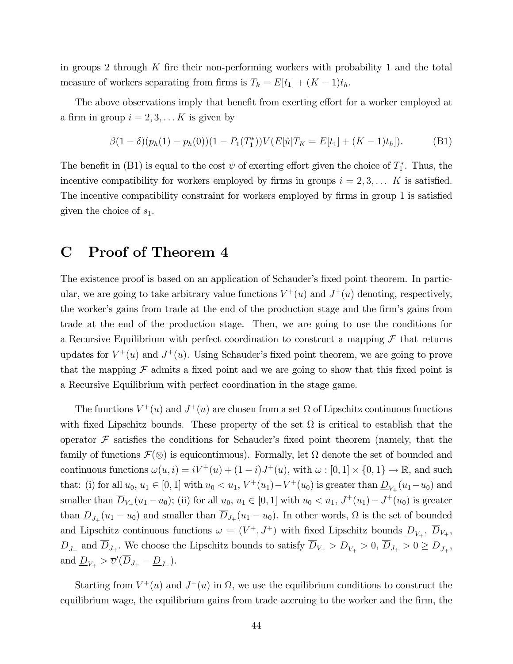in groups 2 through  $K$  fire their non-performing workers with probability 1 and the total measure of workers separating from firms is  $T_k = E[t_1] + (K - 1)t_h$ .

The above observations imply that benefit from exerting effort for a worker employed at a firm in group  $i = 2, 3, \ldots K$  is given by

$$
\beta(1-\delta)(p_h(1)-p_h(0))(1-P_1(T_1^*))V(E[\hat{u}|T_K=E[t_1]+(K-1)t_h]).
$$
 (B1)

The benefit in (B1) is equal to the cost  $\psi$  of exerting effort given the choice of  $T_1^*$ . Thus, the incentive compatibility for workers employed by firms in groups  $i = 2, 3, \ldots$  K is satisfied. The incentive compatibility constraint for workers employed by firms in group 1 is satisfied given the choice of  $s_1$ .

## C Proof of Theorem 4

The existence proof is based on an application of Schauder's fixed point theorem. In particular, we are going to take arbitrary value functions  $V^+(u)$  and  $J^+(u)$  denoting, respectively, the worker's gains from trade at the end of the production stage and the firm's gains from trade at the end of the production stage. Then, we are going to use the conditions for a Recursive Equilibrium with perfect coordination to construct a mapping  $\mathcal F$  that returns updates for  $V^+(u)$  and  $J^+(u)$ . Using Schauder's fixed point theorem, we are going to prove that the mapping  $\mathcal F$  admits a fixed point and we are going to show that this fixed point is a Recursive Equilibrium with perfect coordination in the stage game.

The functions  $V^+(u)$  and  $J^+(u)$  are chosen from a set  $\Omega$  of Lipschitz continuous functions with fixed Lipschitz bounds. These property of the set  $\Omega$  is critical to establish that the operator  $\mathcal F$  satisfies the conditions for Schauder's fixed point theorem (namely, that the family of functions  $\mathcal{F}(\otimes)$  is equicontinuous). Formally, let  $\Omega$  denote the set of bounded and continuous functions  $\omega(u, i) = iV^+(u) + (1 - i)J^+(u)$ , with  $\omega : [0, 1] \times \{0, 1\} \to \mathbb{R}$ , and such that: (i) for all  $u_0, u_1 \in [0, 1]$  with  $u_0 < u_1, V^+(u_1) - V^+(u_0)$  is greater than  $\underline{D}_{V_+}(u_1 - u_0)$  and smaller than  $\overline{D}_{V_+}(u_1 - u_0)$ ; (ii) for all  $u_0, u_1 \in [0, 1]$  with  $u_0 < u_1, J^+(u_1) - J^+(u_0)$  is greater than  $\underline{D}_{J_+}(u_1 - u_0)$  and smaller than  $D_{J_+}(u_1 - u_0)$ . In other words,  $\Omega$  is the set of bounded and Lipschitz continuous functions  $\omega = (V^+, J^+)$  with fixed Lipschitz bounds  $\underline{D}_{V_+}, \overline{D}_{V_+},$  $\underline{D}_{J_+}$  and  $D_{J_+}$ . We choose the Lipschitz bounds to satisfy  $D_{V_+} > \underline{D}_{V_+} > 0$ ,  $D_{J_+} > 0 \ge \underline{D}_{J_+}$ , and  $\underline{D}_{V_+} > \overline{v}'(D_{J_+} - \underline{D}_{J_+}).$ 

Starting from  $V^+(u)$  and  $J^+(u)$  in  $\Omega$ , we use the equilibrium conditions to construct the equilibrium wage, the equilibrium gains from trade accruing to the worker and the firm, the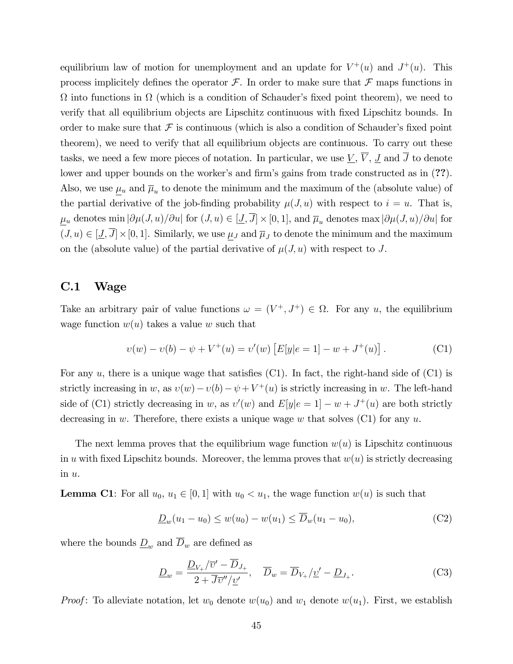equilibrium law of motion for unemployment and an update for  $V^+(u)$  and  $J^+(u)$ . This process implicitely defines the operator  $\mathcal F$ . In order to make sure that  $\mathcal F$  maps functions in  $\Omega$  into functions in  $\Omega$  (which is a condition of Schauder's fixed point theorem), we need to verify that all equilibrium objects are Lipschitz continuous with Öxed Lipschitz bounds. In order to make sure that  $\mathcal F$  is continuous (which is also a condition of Schauder's fixed point theorem), we need to verify that all equilibrium objects are continuous. To carry out these tasks, we need a few more pieces of notation. In particular, we use  $\underline{V}$ ,  $\overline{V}$ ,  $\underline{J}$  and  $\overline{J}$  to denote lower and upper bounds on the worker's and firm's gains from trade constructed as in (??). Also, we use  $\mu_u$  and  $\overline{\mu}_u$  to denote the minimum and the maximum of the (absolute value) of the partial derivative of the job-finding probability  $\mu(J, u)$  with respect to  $i = u$ . That is,  $\underline{\mu}_u$  denotes min  $|\partial \mu(J, u)/\partial u|$  for  $(J, u) \in [\underline{J}, J] \times [0, 1]$ , and  $\overline{\mu}_u$  denotes max  $|\partial \mu(J, u)/\partial u|$  for  $(J, u) \in [\underline{J}, J] \times [0, 1]$ . Similarly, we use  $\underline{\mu}_J$  and  $\overline{\mu}_J$  to denote the minimum and the maximum on the (absolute value) of the partial derivative of  $\mu(J, u)$  with respect to J.

### C.1 Wage

Take an arbitrary pair of value functions  $\omega = (V^+, J^+) \in \Omega$ . For any u, the equilibrium wage function  $w(u)$  takes a value w such that

$$
v(w) - v(b) - \psi + V^{+}(u) = v'(w) \left[ E[y|e = 1] - w + J^{+}(u) \right]. \tag{C1}
$$

For any  $u$ , there is a unique wage that satisfies (C1). In fact, the right-hand side of (C1) is strictly increasing in w, as  $v(w) - v(b) - \psi + V^+(u)$  is strictly increasing in w. The left-hand side of (C1) strictly decreasing in w, as  $v'(w)$  and  $E[y|e=1] - w + J^+(u)$  are both strictly decreasing in w. Therefore, there exists a unique wage w that solves  $(C1)$  for any u.

The next lemma proves that the equilibrium wage function  $w(u)$  is Lipschitz continuous in u with fixed Lipschitz bounds. Moreover, the lemma proves that  $w(u)$  is strictly decreasing in u.

**Lemma C1**: For all  $u_0, u_1 \in [0, 1]$  with  $u_0 < u_1$ , the wage function  $w(u)$  is such that

$$
\underline{D}_w(u_1 - u_0) \le w(u_0) - w(u_1) \le \overline{D}_w(u_1 - u_0),\tag{C2}
$$

where the bounds  $\underline{D}_w$  and  $\overline{D}_w$  are defined as

$$
\underline{D}_w = \frac{\underline{D}_{V_+}/\overline{v}' - D_{J_+}}{2 + \overline{J}\overline{v}''/\underline{v}'}, \quad \overline{D}_w = \overline{D}_{V_+}/\underline{v}' - \underline{D}_{J_+}.
$$
 (C3)

*Proof*: To alleviate notation, let  $w_0$  denote  $w(u_0)$  and  $w_1$  denote  $w(u_1)$ . First, we establish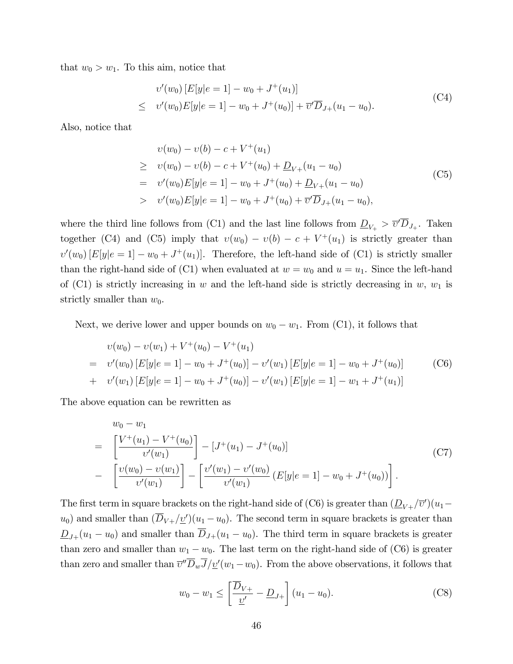that  $w_0 > w_1$ . To this aim, notice that

$$
v'(w_0)[E[y]e = 1] - w_0 + J^+(u_1)]
$$
  
\n
$$
\leq v'(w_0)E[y]e = 1] - w_0 + J^+(u_0)] + \overline{v}'\overline{D}_{J^+}(u_1 - u_0).
$$
 (C4)

Also, notice that

$$
v(w_0) - v(b) - c + V^+(u_1)
$$
  
\n
$$
\geq v(w_0) - v(b) - c + V^+(u_0) + \underline{D}_{V+}(u_1 - u_0)
$$
  
\n
$$
= v'(w_0)E[y|e = 1] - w_0 + J^+(u_0) + \underline{D}_{V+}(u_1 - u_0)
$$
  
\n
$$
v'(w_0)E[y|e = 1] - w_0 + J^+(u_0) + \overline{v}'\overline{D}_{J+}(u_1 - u_0),
$$
\n(C5)

where the third line follows from (C1) and the last line follows from  $\underline{D}_{V_+} > \overline{v}' D_{J_+}$ . Taken together (C4) and (C5) imply that  $v(w_0) - v(b) - c + V^+(u_1)$  is strictly greater than  $v'(w_0)[E[y]e = 1] - w_0 + J^+(u_1)].$  Therefore, the left-hand side of (C1) is strictly smaller than the right-hand side of (C1) when evaluated at  $w = w_0$  and  $u = u_1$ . Since the left-hand of (C1) is strictly increasing in w and the left-hand side is strictly decreasing in w,  $w_1$  is strictly smaller than  $w_0$ .

Next, we derive lower and upper bounds on  $w_0 - w_1$ . From (C1), it follows that

$$
v(w_0) - v(w_1) + V^+(u_0) - V^+(u_1)
$$
  
= 
$$
v'(w_0) [E[y|e = 1] - w_0 + J^+(u_0)] - v'(w_1) [E[y|e = 1] - w_0 + J^+(u_0)]
$$
 (C6)  
+ 
$$
v'(w_1) [E[y|e = 1] - w_0 + J^+(u_0)] - v'(w_1) [E[y|e = 1] - w_1 + J^+(u_1)]
$$

The above equation can be rewritten as

$$
w_0 - w_1
$$
  
=  $\left[ \frac{V^+(u_1) - V^+(u_0)}{v'(w_1)} \right] - [J^+(u_1) - J^+(u_0)]$  (C7)  
-  $\left[ \frac{v(w_0) - v(w_1)}{v'(w_1)} \right] - \left[ \frac{v'(w_1) - v'(w_0)}{v'(w_1)} (E[y|e = 1] - w_0 + J^+(u_0)) \right].$ 

The first term in square brackets on the right-hand side of (C6) is greater than  $(\underline{D}_{V+}/\overline{v}')(u_1$  $u_0$ ) and smaller than  $(D_{V+}/\underline{v}')(u_1 - u_0)$ . The second term in square brackets is greater than  $\underline{D}_{J+}(u_1 - u_0)$  and smaller than  $\overline{D}_{J+}(u_1 - u_0)$ . The third term in square brackets is greater than zero and smaller than  $w_1 - w_0$ . The last term on the right-hand side of (C6) is greater than zero and smaller than  $\overline{v}''D_wJ/\underline{v}'(w_1-w_0)$ . From the above observations, it follows that

$$
w_0 - w_1 \le \left[ \frac{\overline{D}_{V+}}{\underline{v}'} - \underline{D}_{J+} \right] (u_1 - u_0).
$$
 (C8)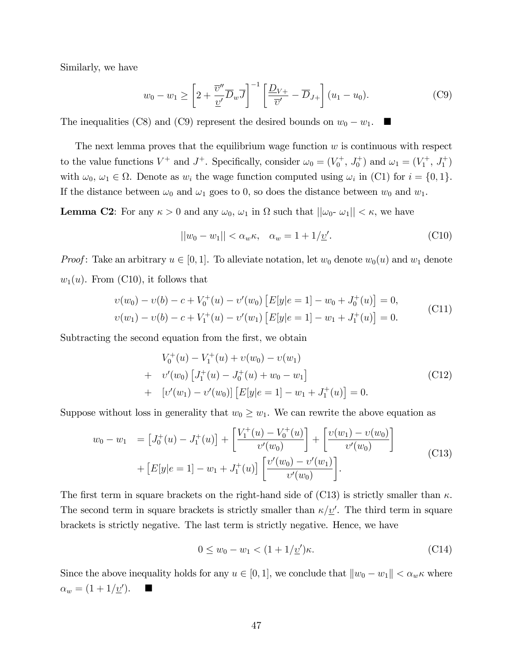Similarly, we have

$$
w_0 - w_1 \ge \left[2 + \frac{\overline{v}''}{\underline{v}'} \overline{D}_w \overline{J}\right]^{-1} \left[\frac{\underline{D}_{V+}}{\overline{v}'} - \overline{D}_{J+}\right] (u_1 - u_0).
$$
 (C9)

The inequalities (C8) and (C9) represent the desired bounds on  $w_0 - w_1$ .

The next lemma proves that the equilibrium wage function  $w$  is continuous with respect to the value functions  $V^+$  and  $J^+$ . Specifically, consider  $\omega_0 = (V_0^+, J_0^+)$  and  $\omega_1 = (V_1^+, J_1^+)$ with  $\omega_0, \omega_1 \in \Omega$ . Denote as  $w_i$  the wage function computed using  $\omega_i$  in (C1) for  $i = \{0, 1\}$ . If the distance between  $\omega_0$  and  $\omega_1$  goes to 0, so does the distance between  $w_0$  and  $w_1$ .

**Lemma C2**: For any  $\kappa > 0$  and any  $\omega_0$ ,  $\omega_1$  in  $\Omega$  such that  $||\omega_0 - \omega_1|| < \kappa$ , we have

$$
||w_0 - w_1|| < \alpha_w \kappa, \quad \alpha_w = 1 + 1/\underline{v}'. \tag{C10}
$$

*Proof*: Take an arbitrary  $u \in [0, 1]$ . To alleviate notation, let  $w_0$  denote  $w_0(u)$  and  $w_1$  denote  $w_1(u)$ . From (C10), it follows that

$$
v(w_0) - v(b) - c + V_0^+(u) - v'(w_0) [E[y]e = 1] - w_0 + J_0^+(u) = 0,
$$
  

$$
v(w_1) - v(b) - c + V_1^+(u) - v'(w_1) [E[y]e = 1] - w_1 + J_1^+(u) = 0.
$$
 (C11)

Subtracting the second equation from the first, we obtain

$$
V_0^+(u) - V_1^+(u) + v(w_0) - v(w_1)
$$
  
+ 
$$
v'(w_0) [J_1^+(u) - J_0^+(u) + w_0 - w_1]
$$
  
+ 
$$
[v'(w_1) - v'(w_0)] [E[y|e = 1] - w_1 + J_1^+(u)] = 0.
$$
 (C12)

Suppose without loss in generality that  $w_0 \geq w_1$ . We can rewrite the above equation as

$$
w_0 - w_1 = [J_0^+(u) - J_1^+(u)] + \left[\frac{V_1^+(u) - V_0^+(u)}{v'(w_0)}\right] + \left[\frac{v(w_1) - v(w_0)}{v'(w_0)}\right] + [E[y|e = 1] - w_1 + J_1^+(u)] \left[\frac{v'(w_0) - v'(w_1)}{v'(w_0)}\right].
$$
\n(C13)

The first term in square brackets on the right-hand side of (C13) is strictly smaller than  $\kappa$ . The second term in square brackets is strictly smaller than  $\kappa/\underline{v}'$ . The third term in square brackets is strictly negative. The last term is strictly negative. Hence, we have

$$
0 \le w_0 - w_1 < (1 + 1/\underline{v}')\kappa. \tag{C14}
$$

Since the above inequality holds for any  $u \in [0, 1]$ , we conclude that  $||w_0 - w_1|| < \alpha_w \kappa$  where  $\alpha_w = (1 + 1/\underline{v}')$ .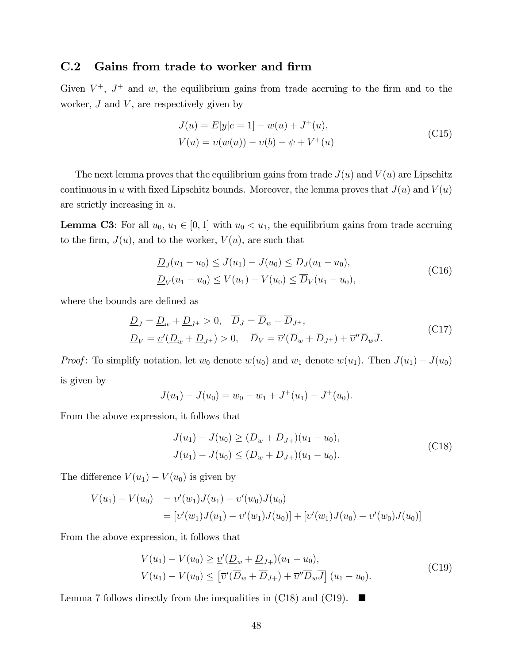### C.2 Gains from trade to worker and firm

Given  $V^+$ ,  $J^+$  and w, the equilibrium gains from trade accruing to the firm and to the worker,  $J$  and  $V$ , are respectively given by

$$
J(u) = E[y|e = 1] - w(u) + J^{+}(u),
$$
  
\n
$$
V(u) = v(w(u)) - v(b) - \psi + V^{+}(u)
$$
\n(C15)

The next lemma proves that the equilibrium gains from trade  $J(u)$  and  $V(u)$  are Lipschitz continuous in u with fixed Lipschitz bounds. Moreover, the lemma proves that  $J(u)$  and  $V(u)$ are strictly increasing in u.

**Lemma C3**: For all  $u_0, u_1 \in [0, 1]$  with  $u_0 < u_1$ , the equilibrium gains from trade accruing to the firm,  $J(u)$ , and to the worker,  $V(u)$ , are such that

$$
\underline{D}_J(u_1 - u_0) \le J(u_1) - J(u_0) \le \overline{D}_J(u_1 - u_0),
$$
  
\n
$$
\underline{D}_V(u_1 - u_0) \le V(u_1) - V(u_0) \le \overline{D}_V(u_1 - u_0),
$$
\n(C16)

where the bounds are defined as

$$
\underline{D}_J = \underline{D}_w + \underline{D}_{J^+} > 0, \quad \overline{D}_J = \overline{D}_w + \overline{D}_{J^+},
$$
  

$$
\underline{D}_V = \underline{v}'(\underline{D}_w + \underline{D}_{J^+}) > 0, \quad \overline{D}_V = \overline{v}'(\overline{D}_w + \overline{D}_{J^+}) + \overline{v}''\overline{D}_w\overline{J}.
$$
 (C17)

*Proof*: To simplify notation, let  $w_0$  denote  $w(u_0)$  and  $w_1$  denote  $w(u_1)$ . Then  $J(u_1) - J(u_0)$ is given by

$$
J(u_1) - J(u_0) = w_0 - w_1 + J^+(u_1) - J^+(u_0).
$$

From the above expression, it follows that

$$
J(u_1) - J(u_0) \geq (\underline{D}_w + \underline{D}_{J+})(u_1 - u_0),
$$
  
\n
$$
J(u_1) - J(u_0) \leq (\overline{D}_w + \overline{D}_{J+})(u_1 - u_0).
$$
\n(C18)

The difference  $V(u_1) - V(u_0)$  is given by

$$
V(u_1) - V(u_0) = v'(w_1)J(u_1) - v'(w_0)J(u_0)
$$
  
= 
$$
[v'(w_1)J(u_1) - v'(w_1)J(u_0)] + [v'(w_1)J(u_0) - v'(w_0)J(u_0)]
$$

From the above expression, it follows that

$$
V(u_1) - V(u_0) \ge \underline{v}'(\underline{D}_w + \underline{D}_{J+})(u_1 - u_0),
$$
  
\n
$$
V(u_1) - V(u_0) \le \left[\overline{v}'(\overline{D}_w + \overline{D}_{J+}) + \overline{v}''\overline{D}_w\overline{J}\right](u_1 - u_0).
$$
\n(C19)

Lemma 7 follows directly from the inequalities in (C18) and (C19).  $\blacksquare$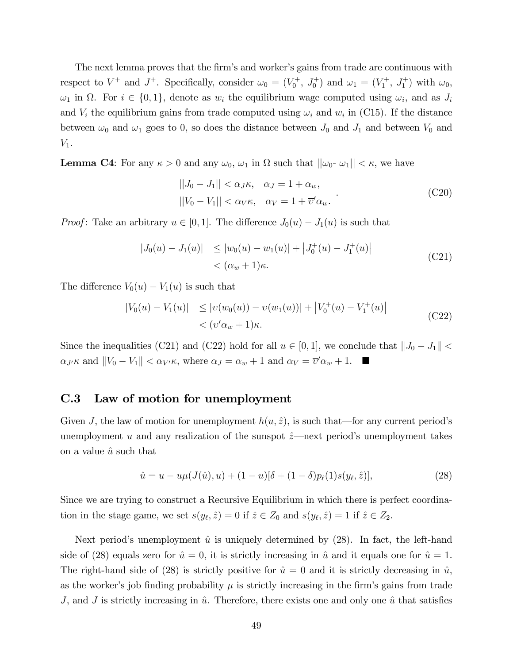The next lemma proves that the firm's and worker's gains from trade are continuous with respect to  $V^+$  and  $J^+$ . Specifically, consider  $\omega_0 = (V_0^+, J_0^+)$  and  $\omega_1 = (V_1^+, J_1^+)$  with  $\omega_0$ ,  $\omega_1$  in  $\Omega$ . For  $i \in \{0,1\}$ , denote as  $w_i$  the equilibrium wage computed using  $\omega_i$ , and as  $J_i$ and  $V_i$  the equilibrium gains from trade computed using  $\omega_i$  and  $w_i$  in (C15). If the distance between  $\omega_0$  and  $\omega_1$  goes to 0, so does the distance between  $J_0$  and  $J_1$  and between  $V_0$  and  $V_1$ .

**Lemma C4**: For any  $\kappa > 0$  and any  $\omega_0$ ,  $\omega_1$  in  $\Omega$  such that  $||\omega_0 - \omega_1|| < \kappa$ , we have

$$
||J_0 - J_1|| < \alpha_J \kappa, \quad \alpha_J = 1 + \alpha_w,
$$
  

$$
||V_0 - V_1|| < \alpha_V \kappa, \quad \alpha_V = 1 + \overline{\upsilon}' \alpha_w.
$$
 (C20)

*Proof*: Take an arbitrary  $u \in [0, 1]$ . The difference  $J_0(u) - J_1(u)$  is such that

$$
\begin{aligned} |J_0(u) - J_1(u)| &\le |w_0(u) - w_1(u)| + \left| J_0^+(u) - J_1^+(u) \right| \\ &< (\alpha_w + 1)\kappa. \end{aligned} \tag{C21}
$$

The difference  $V_0(u) - V_1(u)$  is such that

$$
|V_0(u) - V_1(u)| \le |v(w_0(u)) - v(w_1(u))| + |V_0^+(u) - V_1^+(u)|
$$
  
<  $(C22)$   

$$
< (\overline{v}' \alpha_w + 1)\kappa.
$$

Since the inequalities (C21) and (C22) hold for all  $u \in [0, 1]$ , we conclude that  $||J_0 - J_1|| <$  $\alpha_{J'}\kappa$  and  $||V_0 - V_1|| < \alpha_{V'}\kappa$ , where  $\alpha_J = \alpha_w + 1$  and  $\alpha_V = \overline{v}'\alpha_w + 1$ .

### C.3 Law of motion for unemployment

Given J, the law of motion for unemployment  $h(u, \hat{z})$ , is such that—for any current period's unemployment u and any realization of the sunspot  $\hat{z}$ —next period's unemployment takes on a value  $\hat{u}$  such that

$$
\hat{u} = u - u\mu(J(\hat{u}), u) + (1 - u)[\delta + (1 - \delta)p_{\ell}(1)s(y_{\ell}, \hat{z})],
$$
\n(28)

Since we are trying to construct a Recursive Equilibrium in which there is perfect coordination in the stage game, we set  $s(y_{\ell}, \hat{z}) = 0$  if  $\hat{z} \in Z_0$  and  $s(y_{\ell}, \hat{z}) = 1$  if  $\hat{z} \in Z_2$ .

Next period's unemployment  $\hat{u}$  is uniquely determined by (28). In fact, the left-hand side of (28) equals zero for  $\hat{u} = 0$ , it is strictly increasing in  $\hat{u}$  and it equals one for  $\hat{u} = 1$ . The right-hand side of (28) is strictly positive for  $\hat{u} = 0$  and it is strictly decreasing in  $\hat{u}$ , as the worker's job finding probability  $\mu$  is strictly increasing in the firm's gains from trade J, and J is strictly increasing in  $\hat{u}$ . Therefore, there exists one and only one  $\hat{u}$  that satisfies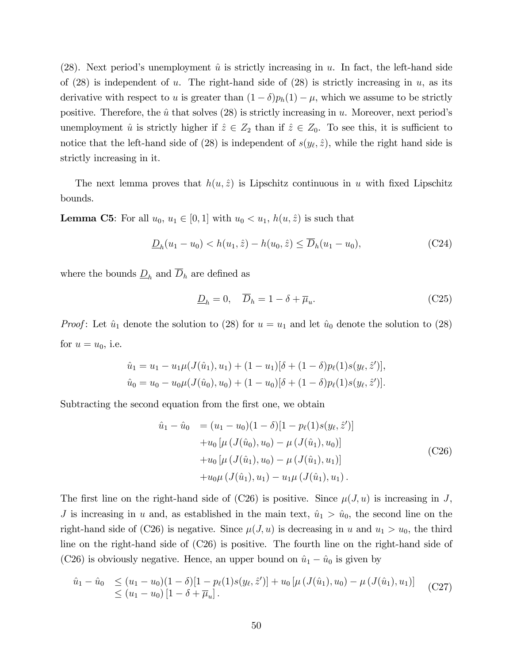(28). Next period's unemployment  $\hat{u}$  is strictly increasing in u. In fact, the left-hand side of  $(28)$  is independent of u. The right-hand side of  $(28)$  is strictly increasing in u, as its derivative with respect to u is greater than  $(1 - \delta)p_h(1) - \mu$ , which we assume to be strictly positive. Therefore, the  $\hat{u}$  that solves (28) is strictly increasing in u. Moreover, next period's unemployment  $\hat{u}$  is strictly higher if  $\hat{z} \in Z_2$  than if  $\hat{z} \in Z_0$ . To see this, it is sufficient to notice that the left-hand side of (28) is independent of  $s(y_\ell, \hat{z})$ , while the right hand side is strictly increasing in it.

The next lemma proves that  $h(u, \hat{z})$  is Lipschitz continuous in u with fixed Lipschitz bounds.

**Lemma C5**: For all  $u_0, u_1 \in [0, 1]$  with  $u_0 < u_1$ ,  $h(u, \hat{z})$  is such that

$$
\underline{D}_h(u_1 - u_0) < h(u_1, \hat{z}) - h(u_0, \hat{z}) \le \overline{D}_h(u_1 - u_0),\tag{C24}
$$

where the bounds  $\underline{D}_h$  and  $\overline{D}_h$  are defined as

$$
\underline{D}_h = 0, \quad \overline{D}_h = 1 - \delta + \overline{\mu}_u. \tag{C25}
$$

*Proof*: Let  $\hat{u}_1$  denote the solution to (28) for  $u = u_1$  and let  $\hat{u}_0$  denote the solution to (28) for  $u=u_0$ , i.e.

$$
\hat{u}_1 = u_1 - u_1 \mu(J(\hat{u}_1), u_1) + (1 - u_1)[\delta + (1 - \delta)p_\ell(1)s(y_\ell, \hat{z}^\prime)],
$$
  

$$
\hat{u}_0 = u_0 - u_0 \mu(J(\hat{u}_0), u_0) + (1 - u_0)[\delta + (1 - \delta)p_\ell(1)s(y_\ell, \hat{z}^\prime)].
$$

Subtracting the second equation from the first one, we obtain

$$
\hat{u}_1 - \hat{u}_0 = (u_1 - u_0)(1 - \delta)[1 - p_{\ell}(1)s(y_{\ell}, \hat{z}')] \n+ u_0 [\mu (J(\hat{u}_0), u_0) - \mu (J(\hat{u}_1), u_0)] \n+ u_0 [\mu (J(\hat{u}_1), u_0) - \mu (J(\hat{u}_1), u_1)] \n+ u_0 \mu (J(\hat{u}_1), u_1) - u_1 \mu (J(\hat{u}_1), u_1).
$$
\n(C26)

The first line on the right-hand side of (C26) is positive. Since  $\mu(J, u)$  is increasing in J, J is increasing in u and, as established in the main text,  $\hat{u}_1 > \hat{u}_0$ , the second line on the right-hand side of (C26) is negative. Since  $\mu(J, u)$  is decreasing in u and  $u_1 > u_0$ , the third line on the right-hand side of (C26) is positive. The fourth line on the right-hand side of (C26) is obviously negative. Hence, an upper bound on  $\hat{u}_1 - \hat{u}_0$  is given by

$$
\hat{u}_1 - \hat{u}_0 \le (u_1 - u_0)(1 - \delta)[1 - p_\ell(1)s(y_\ell, \hat{z}')] + u_0 \left[ \mu \left( J(\hat{u}_1), u_0 \right) - \mu \left( J(\hat{u}_1), u_1 \right) \right] \tag{C27}
$$
\n
$$
\le (u_1 - u_0) \left[ 1 - \delta + \overline{\mu}_u \right].
$$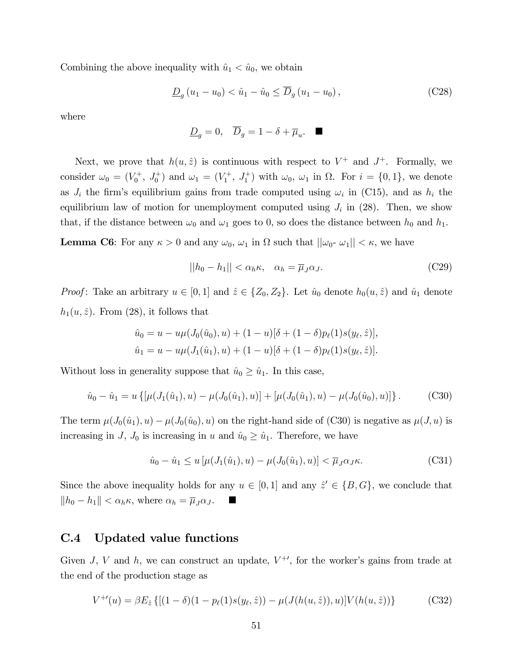Combining the above inequality with  $\hat{u}_1 < \hat{u}_0$ , we obtain

$$
\underline{D}_g(u_1 - u_0) < \hat{u}_1 - \hat{u}_0 \le \overline{D}_g(u_1 - u_0), \tag{C28}
$$

where

$$
\underline{D}_g = 0, \quad \overline{D}_g = 1 - \delta + \overline{\mu}_u. \quad \blacksquare
$$

Next, we prove that  $h(u, \hat{z})$  is continuous with respect to  $V^+$  and  $J^+$ . Formally, we consider  $\omega_0 = (V_0^+, J_0^+)$  and  $\omega_1 = (V_1^+, J_1^+)$  with  $\omega_0$ ,  $\omega_1$  in  $\Omega$ . For  $i = \{0, 1\}$ , we denote as  $J_i$  the firm's equilibrium gains from trade computed using  $\omega_i$  in (C15), and as  $h_i$  the equilibrium law of motion for unemployment computed using  $J_i$  in (28). Then, we show that, if the distance between  $\omega_0$  and  $\omega_1$  goes to 0, so does the distance between  $h_0$  and  $h_1$ .

**Lemma C6:** For any  $\kappa > 0$  and any  $\omega_0$ ,  $\omega_1$  in  $\Omega$  such that  $||\omega_0 - \omega_1|| < \kappa$ , we have

$$
||h_0 - h_1|| < \alpha_h \kappa, \quad \alpha_h = \overline{\mu}_J \alpha_J. \tag{C29}
$$

*Proof*: Take an arbitrary  $u \in [0, 1]$  and  $\hat{z} \in \{Z_0, Z_2\}$ . Let  $\hat{u}_0$  denote  $h_0(u, \hat{z})$  and  $\hat{u}_1$  denote  $h_1(u, \hat{z})$ . From (28), it follows that

$$
\hat{u}_0 = u - u\mu(J_0(\hat{u}_0), u) + (1 - u)[\delta + (1 - \delta)p_\ell(1)s(y_\ell, \hat{z})],
$$
  

$$
\hat{u}_1 = u - u\mu(J_1(\hat{u}_1), u) + (1 - u)[\delta + (1 - \delta)p_\ell(1)s(y_\ell, \hat{z})].
$$

Without loss in generality suppose that  $\hat{u}_0 \geq \hat{u}_1$ . In this case,

$$
\hat{u}_0 - \hat{u}_1 = u \{ [\mu(J_1(\hat{u}_1), u) - \mu(J_0(\hat{u}_1), u)] + [\mu(J_0(\hat{u}_1), u) - \mu(J_0(\hat{u}_0), u)] \}.
$$
 (C30)

The term  $\mu(J_0(\hat{u}_1), u) - \mu(J_0(\hat{u}_0), u)$  on the right-hand side of (C30) is negative as  $\mu(J, u)$  is increasing in J,  $J_0$  is increasing in u and  $\hat{u}_0 \geq \hat{u}_1$ . Therefore, we have

$$
\hat{u}_0 - \hat{u}_1 \le u \left[ \mu(J_1(\hat{u}_1), u) - \mu(J_0(\hat{u}_1), u) \right] < \overline{\mu}_J \alpha_J \kappa. \tag{C31}
$$

Since the above inequality holds for any  $u \in [0, 1]$  and any  $\hat{z}' \in \{B, G\}$ , we conclude that  $||h_0 - h_1|| < \alpha_h \kappa$ , where  $\alpha_h = \overline{\mu}_J \alpha_J$ .

### C.4 Updated value functions

Given J, V and h, we can construct an update,  $V^{+}$ , for the worker's gains from trade at the end of the production stage as

$$
V^{+'}(u) = \beta E_{\hat{z}} \{ [(1 - \delta)(1 - p_{\ell}(1)s(y_{\ell}, \hat{z})) - \mu(J(h(u, \hat{z})), u)] V(h(u, \hat{z})) \}
$$
(C32)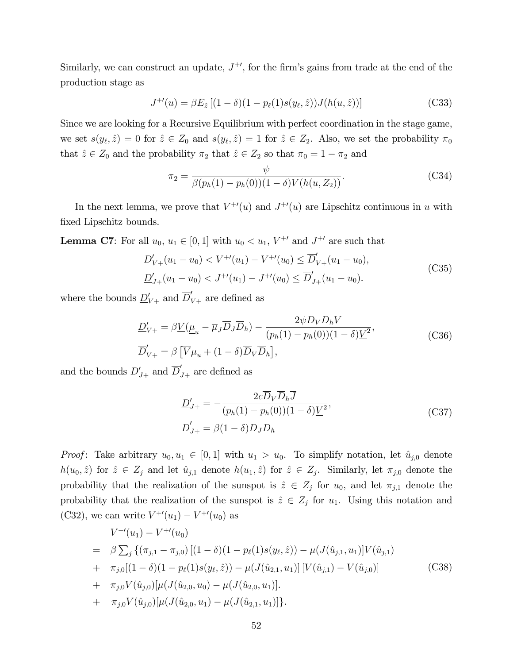Similarly, we can construct an update,  $J^{+'}$ , for the firm's gains from trade at the end of the production stage as

$$
J^{+'}(u) = \beta E_{\hat{z}} [(1 - \delta)(1 - p_{\ell}(1)s(y_{\ell}, \hat{z})) J(h(u, \hat{z}))]
$$
(C33)

Since we are looking for a Recursive Equilibrium with perfect coordination in the stage game, we set  $s(y_\ell, \hat{z}) = 0$  for  $\hat{z} \in Z_0$  and  $s(y_\ell, \hat{z}) = 1$  for  $\hat{z} \in Z_2$ . Also, we set the probability  $\pi_0$ that  $\hat{z} \in Z_0$  and the probability  $\pi_2$  that  $\hat{z} \in Z_2$  so that  $\pi_0 = 1 - \pi_2$  and

$$
\pi_2 = \frac{\psi}{\beta(p_h(1) - p_h(0))(1 - \delta)V(h(u, Z_2))}.
$$
\n(C34)

In the next lemma, we prove that  $V^{+\prime}(u)$  and  $J^{+\prime}(u)$  are Lipschitz continuous in u with fixed Lipschitz bounds.

**Lemma C7**: For all  $u_0, u_1 \in [0, 1]$  with  $u_0 < u_1, V^{+'}$  and  $J^{+'}$  are such that

$$
\underline{D}'_{V+}(u_1 - u_0) < V^{+\prime}(u_1) - V^{+\prime}(u_0) \le \overline{D}'_{V+}(u_1 - u_0),
$$
\n
$$
\underline{D}'_{J+}(u_1 - u_0) < J^{+\prime}(u_1) - J^{+\prime}(u_0) \le \overline{D}'_{J+}(u_1 - u_0).
$$
\n(C35)

where the bounds  $\underline{D}'_{V+}$  and  $\overline{D}'_{V+}$  are defined as

$$
\underline{D}'_{V+} = \beta \underline{V}(\underline{\mu}_u - \overline{\mu}_J \overline{D}_J \overline{D}_h) - \frac{2\psi D_V D_h V}{(p_h(1) - p_h(0))(1 - \delta)\underline{V}^2},
$$
\n(C36)\n
$$
\overline{D}'_{V+} = \beta \left[ \overline{V} \overline{\mu}_u + (1 - \delta) \overline{D}_V \overline{D}_h \right],
$$

and the bounds  $\underline{D}'_{J+}$  and  $\overline{D}'_{J+}$  are defined as

$$
\underline{D}'_{J+} = -\frac{2c\overline{D}_V \overline{D}_h \overline{J}}{(p_h(1) - p_h(0))(1 - \delta)\underline{V}^2},
$$
\n
$$
\overline{D}'_{J+} = \beta(1 - \delta)\overline{D}_J \overline{D}_h
$$
\n(C37)

*Proof*: Take arbitrary  $u_0, u_1 \in [0, 1]$  with  $u_1 > u_0$ . To simplify notation, let  $\hat{u}_{j,0}$  denote  $h(u_0, \hat{z})$  for  $\hat{z} \in Z_j$  and let  $\hat{u}_{j,1}$  denote  $h(u_1, \hat{z})$  for  $\hat{z} \in Z_j$ . Similarly, let  $\pi_{j,0}$  denote the probability that the realization of the sunspot is  $\hat{z} \in Z_j$  for  $u_0$ , and let  $\pi_{j,1}$  denote the probability that the realization of the sunspot is  $\hat{z} \in Z_j$  for  $u_1$ . Using this notation and (C32), we can write  $V^{+\prime}(u_1) - V^{+\prime}(u_0)$  as

$$
V^{+\prime}(u_1) - V^{+\prime}(u_0)
$$
  
=  $\beta \sum_j \{ (\pi_{j,1} - \pi_{j,0}) \left[ (1 - \delta)(1 - p_\ell(1)s(y_\ell, \hat{z})) - \mu(J(\hat{u}_{j,1}, u_1)) \right] V(\hat{u}_{j,1})$   
+  $\pi_{j,0} [(1 - \delta)(1 - p_\ell(1)s(y_\ell, \hat{z})) - \mu(J(\hat{u}_{2,1}, u_1))] \left[ V(\hat{u}_{j,1}) - V(\hat{u}_{j,0}) \right]$   
+  $\pi_{j,0} V(\hat{u}_{j,0}) [\mu(J(\hat{u}_{2,0}, u_0) - \mu(J(\hat{u}_{2,0}, u_1))]).$   
+  $\pi_{j,0} V(\hat{u}_{j,0}) [\mu(J(\hat{u}_{2,0}, u_1) - \mu(J(\hat{u}_{2,1}, u_1))]).$  (C38)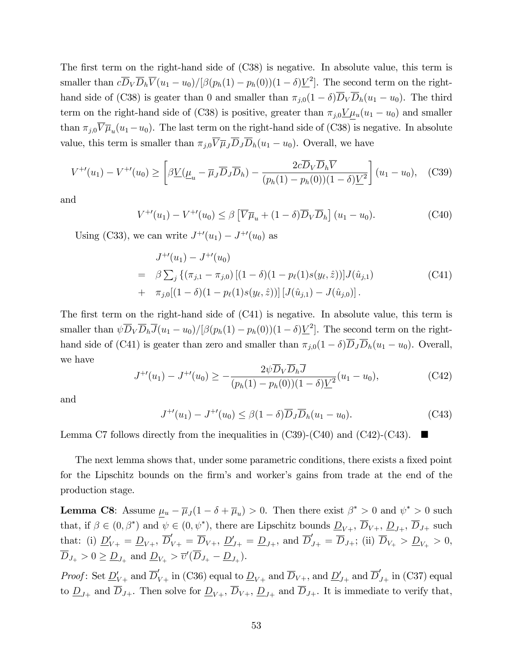The first term on the right-hand side of  $(C38)$  is negative. In absolute value, this term is smaller than  $c\overline{D}_V\overline{D}_h\overline{V}(u_1-u_0)/[\beta(p_h(1) - p_h(0))(1-\delta)\underline{V}^2]$ . The second term on the righthand side of (C38) is geater than 0 and smaller than  $\pi_{j,0}(1 - \delta)\overline{D}_V \overline{D}_h(u_1 - u_0)$ . The third term on the right-hand side of (C38) is positive, greater than  $\pi_{j,0} \underline{V} \mu_u(u_1 - u_0)$  and smaller than  $\pi_{j,0}V\overline{\mu}_{u}(u_1-u_0)$ . The last term on the right-hand side of (C38) is negative. In absolute value, this term is smaller than  $\pi_{j,0}\overline{V}\overline{\mu}_{j}\overline{D}_{j}\overline{D}_{h}(u_{1}-u_{0})$ . Overall, we have

$$
V^{+'}(u_1) - V^{+'}(u_0) \ge \left[ \beta \underline{V}(\underline{\mu}_u - \overline{\mu}_J \overline{D}_J \overline{D}_h) - \frac{2c \overline{D}_V \overline{D}_h \overline{V}}{(p_h(1) - p_h(0))(1 - \delta)\underline{V}^2} \right] (u_1 - u_0), \quad (C39)
$$

and

$$
V^{+\prime}(u_1) - V^{+\prime}(u_0) \le \beta \left[ \overline{V} \overline{\mu}_u + (1 - \delta) \overline{D}_V \overline{D}_h \right] (u_1 - u_0).
$$
 (C40)

Using (C33), we can write  $J^{+\prime}(u_1) - J^{+\prime}(u_0)$  as

$$
J^{+'}(u_1) - J^{+'}(u_0)
$$
  
=  $\beta \sum_j \{ (\pi_{j,1} - \pi_{j,0}) [(1 - \delta)(1 - p_\ell(1)s(y_\ell, \hat{z}))] J(\hat{u}_{j,1})$   
+  $\pi_{j,0} [(1 - \delta)(1 - p_\ell(1)s(y_\ell, \hat{z}))] [J(\hat{u}_{j,1}) - J(\hat{u}_{j,0})].$  (C41)

The first term on the right-hand side of  $(C41)$  is negative. In absolute value, this term is smaller than  $\psi \overline{D}_V \overline{D}_h \overline{J}(u_1 - u_0) / [\beta(p_h(1) - p_h(0)) (1 - \delta) \underline{V}^2]$ . The second term on the righthand side of (C41) is geater than zero and smaller than  $\pi_{j,0}(1 - \delta)\overline{D}_J\overline{D}_h(u_1 - u_0)$ . Overall, we have

$$
J^{+'}(u_1) - J^{+'}(u_0) \ge -\frac{2\psi \overline{D}_V \overline{D}_h \overline{J}}{(p_h(1) - p_h(0))(1 - \delta)\underline{V}^2}(u_1 - u_0),\tag{C42}
$$

and

$$
J^{+\prime}(u_1) - J^{+\prime}(u_0) \le \beta (1 - \delta) \overline{D}_J \overline{D}_h (u_1 - u_0).
$$
 (C43)

Lemma C7 follows directly from the inequalities in  $(C39)-(C40)$  and  $(C42)-(C43)$ .

The next lemma shows that, under some parametric conditions, there exists a fixed point for the Lipschitz bounds on the firm's and worker's gains from trade at the end of the production stage.

**Lemma C8**: Assume  $\underline{\mu}_u - \overline{\mu}_J(1 - \delta + \overline{\mu}_u) > 0$ . Then there exist  $\beta^* > 0$  and  $\psi^* > 0$  such that, if  $\beta \in (0, \beta^*)$  and  $\psi \in (0, \psi^*)$ , there are Lipschitz bounds  $\underline{D}_{V+}$ ,  $D_{V+}$ ,  $\underline{D}_{J+}$ ,  $D_{J+}$  such that: (i)  $\underline{D}'_{V+} = \underline{D}_{V+}$ ,  $\overline{D}'_{V+} = \overline{D}_{V+}$ ,  $\underline{D}'_{J+} = \underline{D}_{J+}$ , and  $\overline{D}'_{J+} = \overline{D}_{J+}$ ; (ii)  $\overline{D}_{V+} > \underline{D}_{V+} > 0$ ,  $D_{J_+} > 0 \ge \underline{D}_{J_+}$  and  $\underline{D}_{V_+} > \overline{v}'(D_{J_+} - \underline{D}_{J_+}).$ 

Proof: Set  $\underline{D}'_{V+}$  and  $\overline{D}'_{V+}$  in (C36) equal to  $\underline{D}_{V+}$  and  $\overline{D}_{V+}$ , and  $\underline{D}'_{J+}$  and  $\overline{D}'_{J+}$  in (C37) equal to  $\underline{D}_{J+}$  and  $\overline{D}_{J+}$ . Then solve for  $\underline{D}_{V+}$ ,  $\overline{D}_{V+}$ ,  $\underline{D}_{J+}$  and  $\overline{D}_{J+}$ . It is immediate to verify that,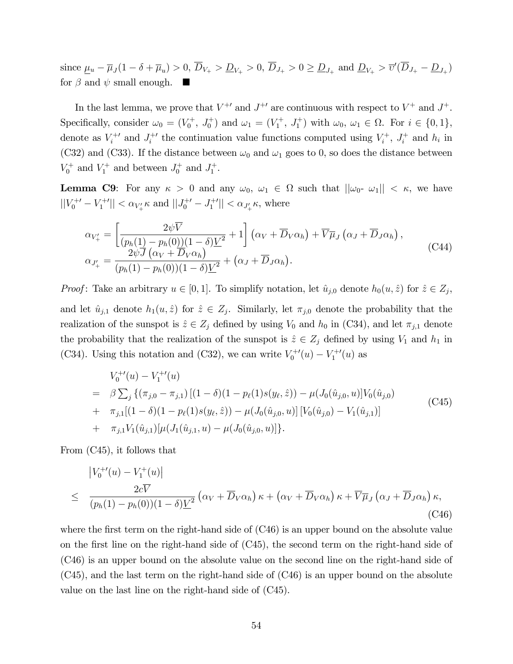since  $\underline{\mu}_u - \overline{\mu}_J(1 - \delta + \overline{\mu}_u) > 0$ ,  $D_{V_+} > \underline{D}_{V_+} > 0$ ,  $D_{J_+} > 0 \ge \underline{D}_{J_+}$  and  $\underline{D}_{V_+} > \overline{v}'(D_{J_+} - \underline{D}_{J_+})$ for  $\beta$  and  $\psi$  small enough.

In the last lemma, we prove that  $V^{+}$  and  $J^{+}$  are continuous with respect to  $V^{+}$  and  $J^{+}$ . Specifically, consider  $\omega_0 = (V_0^+, J_0^+)$  and  $\omega_1 = (V_1^+, J_1^+)$  with  $\omega_0, \omega_1 \in \Omega$ . For  $i \in \{0, 1\}$ , denote as  $V_i^{+}$  and  $J_i^{+}$  the continuation value functions computed using  $V_i^{+}$  $i^{+}, J_{i}^{+}$  $i^+$  and  $h_i$  in (C32) and (C33). If the distance between  $\omega_0$  and  $\omega_1$  goes to 0, so does the distance between  $V_0^+$  and  $V_1^+$  and between  $J_0^+$  and  $J_1^+$ .

**Lemma C9:** For any  $\kappa > 0$  and any  $\omega_0$ ,  $\omega_1 \in \Omega$  such that  $||\omega_0 - \omega_1|| < \kappa$ , we have  $||V_0^{+'} - V_1^{+'}|| < \alpha_{V'_+} \kappa$  and  $||J_0^{+'} - J_1^{+'}|| < \alpha_{J'_+} \kappa$ , where

$$
\alpha_{V'_{+}} = \left[ \frac{2\psi \overline{V}}{(p_h(1) - p_h(0))(1 - \delta)\underline{V}^2} + 1 \right] \left( \alpha_V + \overline{D}_V \alpha_h \right) + \overline{V} \overline{\mu}_J \left( \alpha_J + \overline{D}_J \alpha_h \right),
$$
\n
$$
\alpha_{J'_{+}} = \frac{2\psi \overline{J} \left( \alpha_V + \overline{D}_V \alpha_h \right)}{(p_h(1) - p_h(0))(1 - \delta)\underline{V}^2} + \left( \alpha_J + \overline{D}_J \alpha_h \right).
$$
\n(C44)

*Proof*: Take an arbitrary  $u \in [0, 1]$ . To simplify notation, let  $\hat{u}_{j,0}$  denote  $h_0(u, \hat{z})$  for  $\hat{z} \in Z_j$ , and let  $\hat{u}_{j,1}$  denote  $h_1(u, \hat{z})$  for  $\hat{z} \in Z_j$ . Similarly, let  $\pi_{j,0}$  denote the probability that the realization of the sunspot is  $\hat{z} \in Z_j$  defined by using  $V_0$  and  $h_0$  in (C34), and let  $\pi_{j,1}$  denote the probability that the realization of the sunspot is  $\hat{z} \in Z_j$  defined by using  $V_1$  and  $h_1$  in (C34). Using this notation and (C32), we can write  $V_0^{+\prime}(u) - V_1^{+\prime}(u)$  as

$$
V_0^{+'}(u) - V_1^{+'}(u)
$$
  
=  $\beta \sum_j \{ (\pi_{j,0} - \pi_{j,1}) \left[ (1 - \delta)(1 - p_\ell(1)s(y_\ell, \hat{z})) - \mu(J_0(\hat{u}_{j,0}, u) \right] V_0(\hat{u}_{j,0})$   
+  $\pi_{j,1}[(1 - \delta)(1 - p_\ell(1)s(y_\ell, \hat{z})) - \mu(J_0(\hat{u}_{j,0}, u)] \left[ V_0(\hat{u}_{j,0}) - V_1(\hat{u}_{j,1}) \right]$   
+  $\pi_{j,1} V_1(\hat{u}_{j,1}) [\mu(J_1(\hat{u}_{j,1}, u) - \mu(J_0(\hat{u}_{j,0}, u))]).$  (C45)

From (C45), it follows that

$$
\begin{aligned}\n\left| V_0^{+ \prime}(u) - V_1^{+}(u) \right| \\
\leq \frac{2c\overline{V}}{(p_h(1) - p_h(0))(1 - \delta)\underline{V}^2} \left( \alpha_V + \overline{D}_V \alpha_h \right) \kappa + \left( \alpha_V + \overline{D}_V \alpha_h \right) \kappa + \overline{V} \overline{\mu}_J \left( \alpha_J + \overline{D}_J \alpha_h \right) \kappa,\n\end{aligned} \tag{C46}
$$

where the first term on the right-hand side of  $(C46)$  is an upper bound on the absolute value on the first line on the right-hand side of  $(C45)$ , the second term on the right-hand side of (C46) is an upper bound on the absolute value on the second line on the right-hand side of (C45), and the last term on the right-hand side of (C46) is an upper bound on the absolute value on the last line on the right-hand side of (C45).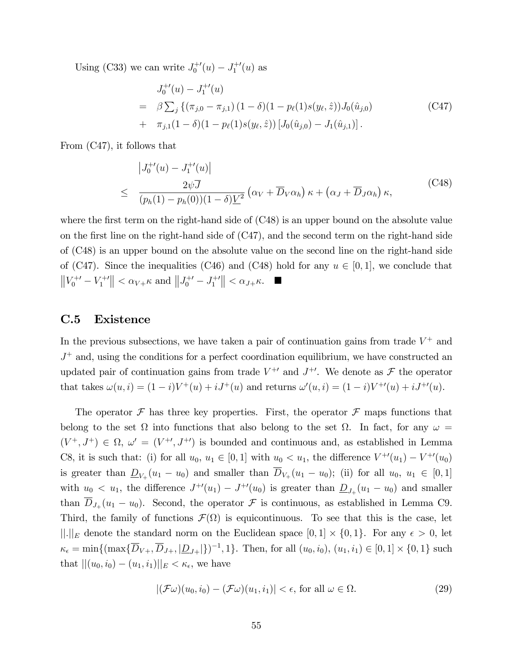Using (C33) we can write  $J_0^{+'}(u) - J_1^{+'}(u)$  as

$$
J_0^{+'}(u) - J_1^{+'}(u)
$$
  
=  $\beta \sum_j \{ (\pi_{j,0} - \pi_{j,1}) (1 - \delta)(1 - p_\ell(1)s(y_\ell, \hat{z})) J_0(\hat{u}_{j,0})$  (C47)  
+  $\pi_{j,1}(1 - \delta)(1 - p_\ell(1)s(y_\ell, \hat{z})) [J_0(\hat{u}_{j,0}) - J_1(\hat{u}_{j,1})].$ 

From (C47), it follows that

$$
\begin{aligned}\n\left|J_0^{+'}(u) - J_1^{+'}(u)\right| \\
\leq \frac{2\psi\overline{J}}{(p_h(1) - p_h(0))(1 - \delta)\underline{V}^2} \left(\alpha_V + \overline{D}_V\alpha_h\right)\kappa + \left(\alpha_J + \overline{D}_J\alpha_h\right)\kappa,\n\end{aligned} \tag{C48}
$$

where the first term on the right-hand side of  $(C48)$  is an upper bound on the absolute value on the first line on the right-hand side of  $(C47)$ , and the second term on the right-hand side of (C48) is an upper bound on the absolute value on the second line on the right-hand side of (C47). Since the inequalities (C46) and (C48) hold for any  $u \in [0, 1]$ , we conclude that  $||V_0^{+'} - V_1^{+'}|| < \alpha_{V+} \kappa$  and  $||J_0^{+'} - J_1^{+'}|| < \alpha_{J+} \kappa$ .

### C.5 Existence

In the previous subsections, we have taken a pair of continuation gains from trade  $V^+$  and  $J^+$  and, using the conditions for a perfect coordination equilibrium, we have constructed an updated pair of continuation gains from trade  $V^{+\prime}$  and  $J^{+\prime}$ . We denote as  $\mathcal F$  the operator that takes  $\omega(u, i) = (1 - i)V^+(u) + iJ^+(u)$  and returns  $\omega'(u, i) = (1 - i)V^{+'}(u) + iJ^{+'}(u)$ .

The operator  $\mathcal F$  has three key properties. First, the operator  $\mathcal F$  maps functions that belong to the set  $\Omega$  into functions that also belong to the set  $\Omega$ . In fact, for any  $\omega =$  $(V^+, J^+) \in \Omega$ ,  $\omega' = (V^{+'} , J^{+'} )$  is bounded and continuous and, as established in Lemma C8, it is such that: (i) for all  $u_0, u_1 \in [0, 1]$  with  $u_0 < u_1$ , the difference  $V^{+\prime}(u_1) - V^{+\prime}(u_0)$ is greater than  $\underline{D}_{V_+}(u_1 - u_0)$  and smaller than  $D_{V_+}(u_1 - u_0)$ ; (ii) for all  $u_0, u_1 \in [0,1]$ with  $u_0 < u_1$ , the difference  $J^{+\prime}(u_1) - J^{+\prime}(u_0)$  is greater than  $\underline{D}_{J_+}(u_1 - u_0)$  and smaller than  $D_{J_+}(u_1 - u_0)$ . Second, the operator  $\mathcal F$  is continuous, as established in Lemma C9. Third, the family of functions  $\mathcal{F}(\Omega)$  is equicontinuous. To see that this is the case, let  $\|\cdot\|_E$  denote the standard norm on the Euclidean space  $[0, 1] \times \{0, 1\}$ . For any  $\epsilon > 0$ , let  $\kappa_{\epsilon} = \min\{(\max\{\overline{D}_{V+}, \overline{D}_{J+}, |\underline{D}_{J+}|\})^{-1}, 1\}.$  Then, for all  $(u_0, i_0), (u_1, i_1) \in [0, 1] \times \{0, 1\}$  such that  $||(u_0, i_0) - (u_1, i_1)||_E < \kappa_{\epsilon}$ , we have

$$
|(\mathcal{F}\omega)(u_0, i_0) - (\mathcal{F}\omega)(u_1, i_1)| < \epsilon, \text{ for all } \omega \in \Omega. \tag{29}
$$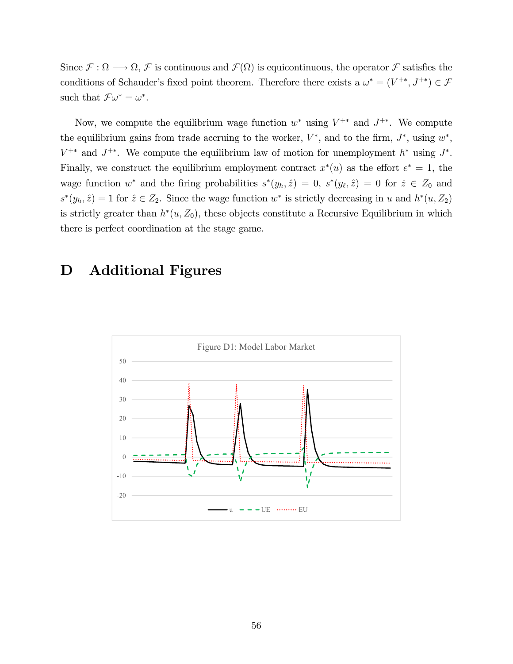Since  $\mathcal{F}: \Omega \longrightarrow \Omega$ ,  $\mathcal{F}$  is continuous and  $\mathcal{F}(\Omega)$  is equicontinuous, the operator  $\mathcal{F}$  satisfies the conditions of Schauder's fixed point theorem. Therefore there exists a  $\omega^* = (V^{+*}, J^{+*}) \in \mathcal{F}$ such that  $\mathcal{F}\omega^* = \omega^*$ .

Now, we compute the equilibrium wage function  $w^*$  using  $V^{+*}$  and  $J^{+*}$ . We compute the equilibrium gains from trade accruing to the worker,  $V^*$ , and to the firm,  $J^*$ , using  $w^*$ ,  $V^{+*}$  and  $J^{+*}$ . We compute the equilibrium law of motion for unemployment  $h^*$  using  $J^*$ . Finally, we construct the equilibrium employment contract  $x^*(u)$  as the effort  $e^* = 1$ , the wage function  $w^*$  and the firing probabilities  $s^*(y_h, \hat{z}) = 0$ ,  $s^*(y_{\ell}, \hat{z}) = 0$  for  $\hat{z} \in Z_0$  and  $s^*(y_h, \hat{z}) = 1$  for  $\hat{z} \in Z_2$ . Since the wage function  $w^*$  is strictly decreasing in u and  $h^*(u, Z_2)$ is strictly greater than  $h^*(u, Z_0)$ , these objects constitute a Recursive Equilibrium in which there is perfect coordination at the stage game.

## D Additional Figures